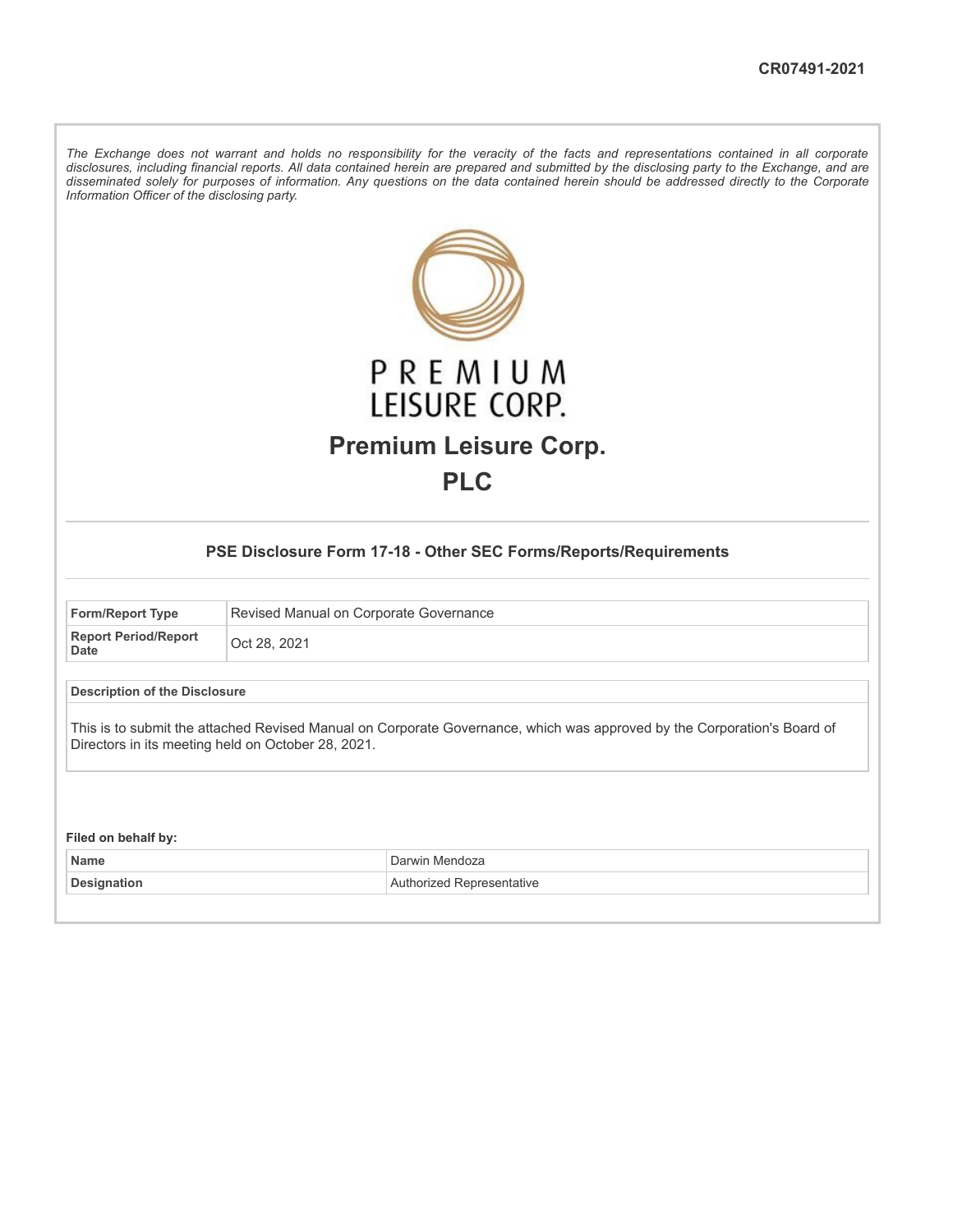The Exchange does not warrant and holds no responsibility for the veracity of the facts and representations contained in all corporate disclosures, including financial reports. All data contained herein are prepared and submitted by the disclosing party to the Exchange, and are disseminated solely for purposes of information. Any questions on the data contained herein should be addressed directly to the Corporate *Information Officer of the disclosing party.*

| PREMIUM<br>LEISURE CORP.<br><b>Premium Leisure Corp.</b><br><b>PLC</b>                                                                                                        |                                        |                           |  |  |  |
|-------------------------------------------------------------------------------------------------------------------------------------------------------------------------------|----------------------------------------|---------------------------|--|--|--|
| PSE Disclosure Form 17-18 - Other SEC Forms/Reports/Requirements                                                                                                              |                                        |                           |  |  |  |
| <b>Form/Report Type</b>                                                                                                                                                       | Revised Manual on Corporate Governance |                           |  |  |  |
| <b>Report Period/Report</b><br><b>Date</b>                                                                                                                                    | Oct 28, 2021                           |                           |  |  |  |
| <b>Description of the Disclosure</b>                                                                                                                                          |                                        |                           |  |  |  |
| This is to submit the attached Revised Manual on Corporate Governance, which was approved by the Corporation's Board of<br>Directors in its meeting held on October 28, 2021. |                                        |                           |  |  |  |
| Filed on behalf by:                                                                                                                                                           |                                        |                           |  |  |  |
| <b>Name</b>                                                                                                                                                                   |                                        | Darwin Mendoza            |  |  |  |
| Designation                                                                                                                                                                   |                                        | Authorized Representative |  |  |  |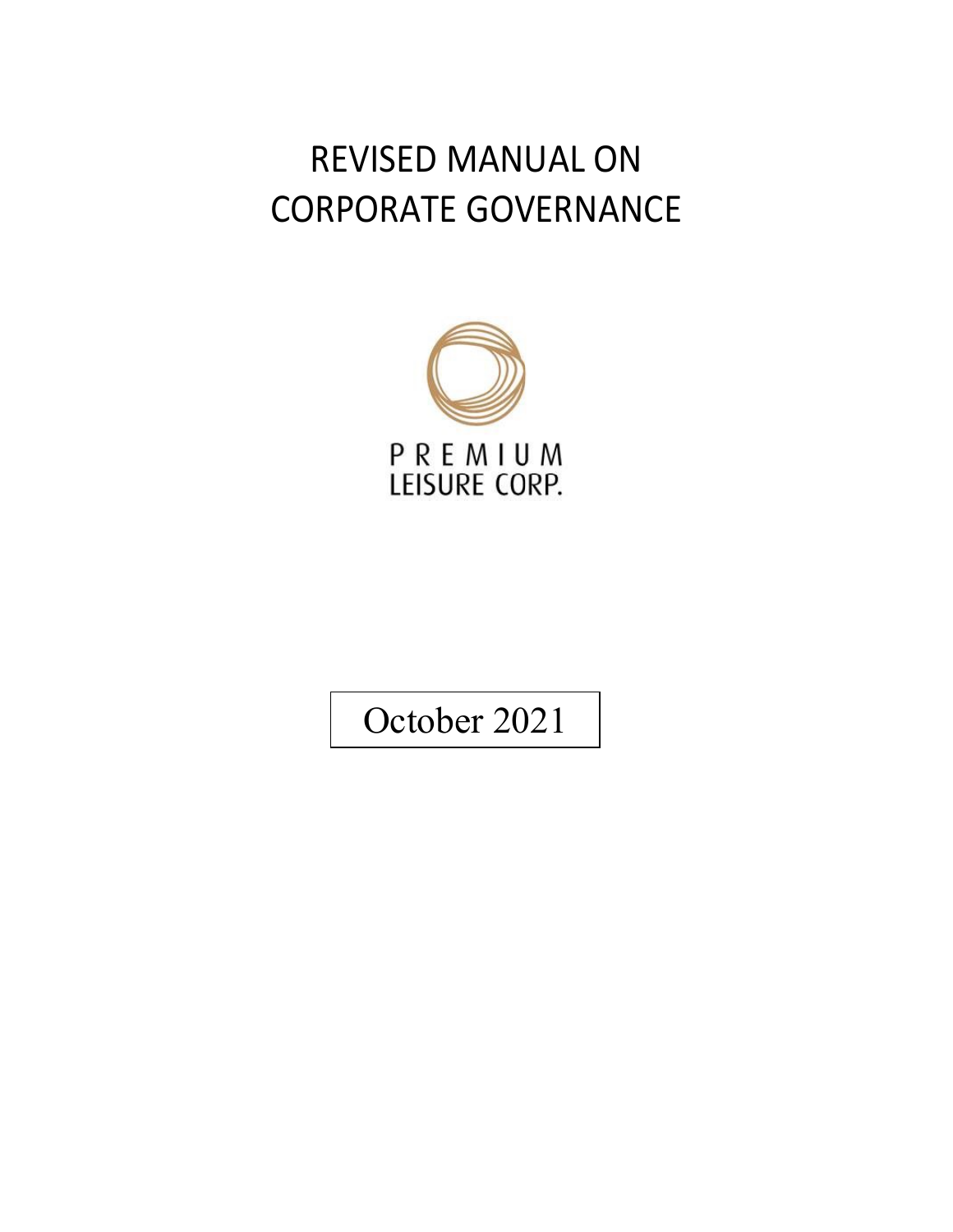# REVISED MANUAL ON CORPORATE GOVERNANCE



October 2021

May 2018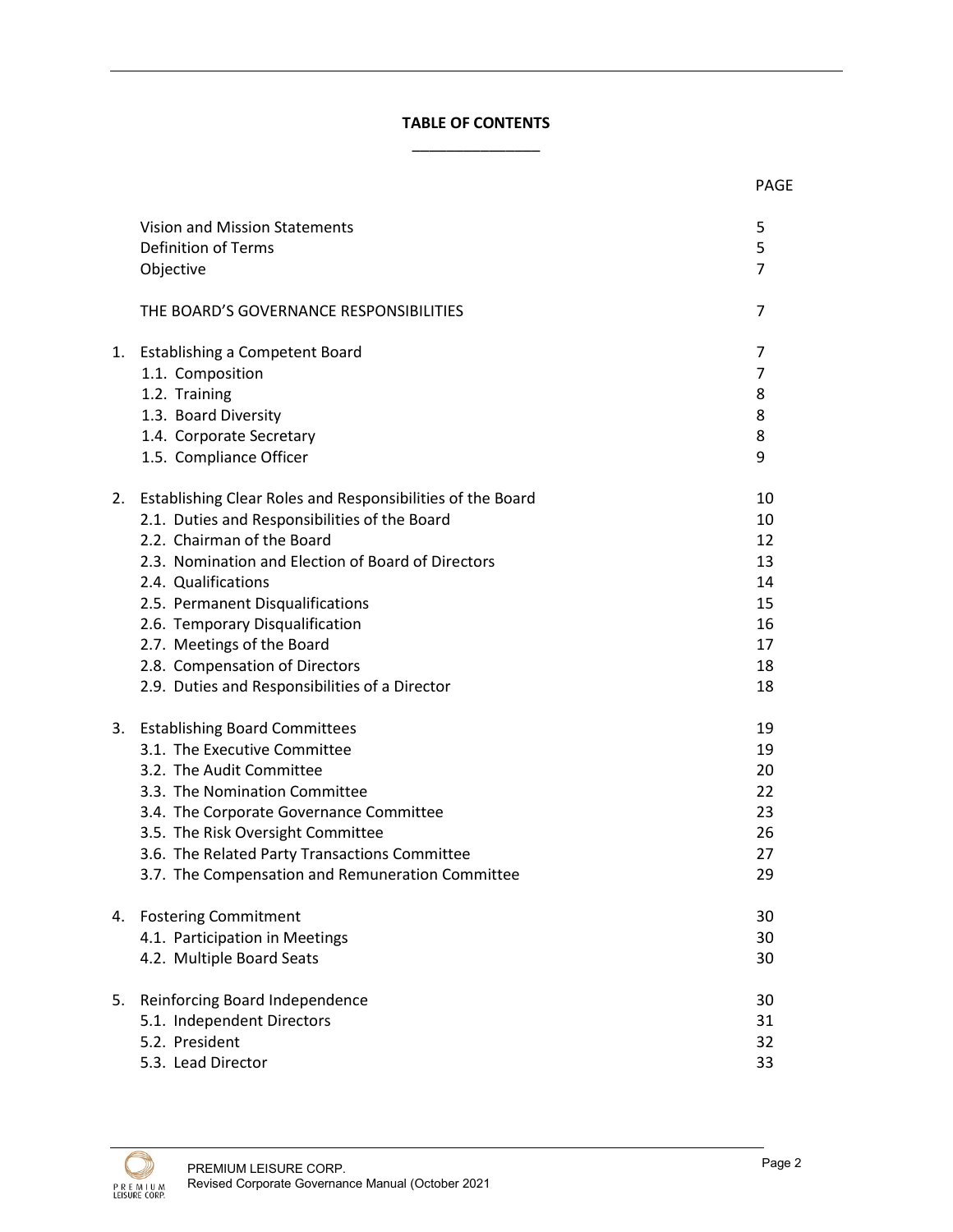# **TABLE OF CONTENTS** \_\_\_\_\_\_\_\_\_\_\_\_\_\_\_

|    |                                                            | <b>PAGE</b>    |
|----|------------------------------------------------------------|----------------|
|    | Vision and Mission Statements                              | 5              |
|    | <b>Definition of Terms</b>                                 | 5              |
|    | Objective                                                  | $\overline{7}$ |
|    | THE BOARD'S GOVERNANCE RESPONSIBILITIES                    | 7              |
|    | 1. Establishing a Competent Board                          | 7              |
|    | 1.1. Composition                                           | 7              |
|    | 1.2. Training                                              | 8              |
|    | 1.3. Board Diversity                                       | 8              |
|    | 1.4. Corporate Secretary                                   | 8              |
|    | 1.5. Compliance Officer                                    | 9              |
| 2. | Establishing Clear Roles and Responsibilities of the Board | 10             |
|    | 2.1. Duties and Responsibilities of the Board              | 10             |
|    | 2.2. Chairman of the Board                                 | 12             |
|    | 2.3. Nomination and Election of Board of Directors         | 13             |
|    | 2.4. Qualifications                                        | 14             |
|    | 2.5. Permanent Disqualifications                           | 15             |
|    | 2.6. Temporary Disqualification                            | 16             |
|    | 2.7. Meetings of the Board                                 | 17             |
|    | 2.8. Compensation of Directors                             | 18             |
|    | 2.9. Duties and Responsibilities of a Director             | 18             |
|    | 3. Establishing Board Committees                           | 19             |
|    | 3.1. The Executive Committee                               | 19             |
|    | 3.2. The Audit Committee                                   | 20             |
|    | 3.3. The Nomination Committee                              | 22             |
|    | 3.4. The Corporate Governance Committee                    | 23             |
|    | 3.5. The Risk Oversight Committee                          | 26             |
|    | 3.6. The Related Party Transactions Committee              | 27             |
|    | 3.7. The Compensation and Remuneration Committee           | 29             |
|    | 4. Fostering Commitment                                    | 30             |
|    | 4.1. Participation in Meetings                             | 30             |
|    | 4.2. Multiple Board Seats                                  | 30             |
| 5. | Reinforcing Board Independence                             | 30             |
|    | 5.1. Independent Directors                                 | 31             |
|    | 5.2. President                                             | 32             |
|    | 5.3. Lead Director                                         | 33             |

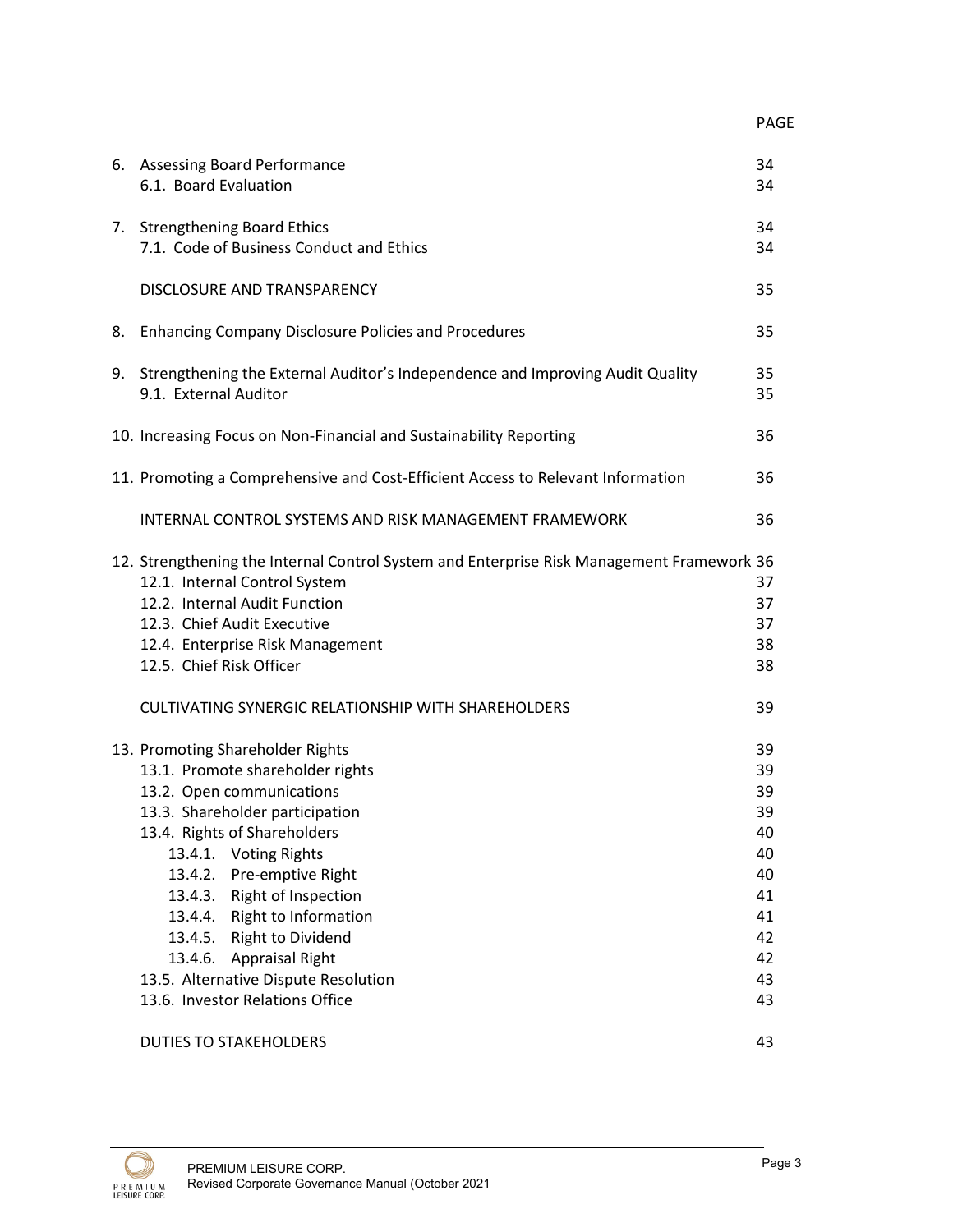|                                                                                           |                                                                                  | <b>PAGE</b> |
|-------------------------------------------------------------------------------------------|----------------------------------------------------------------------------------|-------------|
|                                                                                           | 6. Assessing Board Performance                                                   | 34          |
|                                                                                           | 6.1. Board Evaluation                                                            | 34          |
|                                                                                           | 7. Strengthening Board Ethics                                                    | 34          |
|                                                                                           | 7.1. Code of Business Conduct and Ethics                                         | 34          |
|                                                                                           | DISCLOSURE AND TRANSPARENCY                                                      | 35          |
|                                                                                           | 8. Enhancing Company Disclosure Policies and Procedures                          | 35          |
|                                                                                           | 9. Strengthening the External Auditor's Independence and Improving Audit Quality | 35          |
|                                                                                           | 9.1. External Auditor                                                            | 35          |
|                                                                                           | 10. Increasing Focus on Non-Financial and Sustainability Reporting               | 36          |
|                                                                                           | 11. Promoting a Comprehensive and Cost-Efficient Access to Relevant Information  | 36          |
|                                                                                           | INTERNAL CONTROL SYSTEMS AND RISK MANAGEMENT FRAMEWORK                           | 36          |
| 12. Strengthening the Internal Control System and Enterprise Risk Management Framework 36 |                                                                                  |             |
|                                                                                           | 12.1. Internal Control System                                                    | 37          |
|                                                                                           | 12.2. Internal Audit Function                                                    | 37          |
|                                                                                           | 12.3. Chief Audit Executive                                                      | 37          |
|                                                                                           | 12.4. Enterprise Risk Management                                                 | 38          |
|                                                                                           | 12.5. Chief Risk Officer                                                         | 38          |
|                                                                                           | CULTIVATING SYNERGIC RELATIONSHIP WITH SHAREHOLDERS                              | 39          |
|                                                                                           | 13. Promoting Shareholder Rights                                                 | 39          |
|                                                                                           | 13.1. Promote shareholder rights                                                 | 39          |
|                                                                                           | 13.2. Open communications                                                        | 39          |
|                                                                                           | 13.3. Shareholder participation                                                  | 39          |
|                                                                                           | 13.4. Rights of Shareholders                                                     | 40          |
|                                                                                           | <b>Voting Rights</b><br>13.4.1.                                                  | 40          |
|                                                                                           | 13.4.2. Pre-emptive Right                                                        | 40          |
|                                                                                           | 13.4.3. Right of Inspection                                                      | 41          |
|                                                                                           | 13.4.4. Right to Information                                                     | 41          |
|                                                                                           | <b>Right to Dividend</b><br>13.4.5.                                              | 42          |
|                                                                                           | 13.4.6. Appraisal Right                                                          | 42          |
|                                                                                           | 13.5. Alternative Dispute Resolution                                             | 43          |
|                                                                                           | 13.6. Investor Relations Office                                                  | 43          |
|                                                                                           | <b>DUTIES TO STAKEHOLDERS</b>                                                    | 43          |

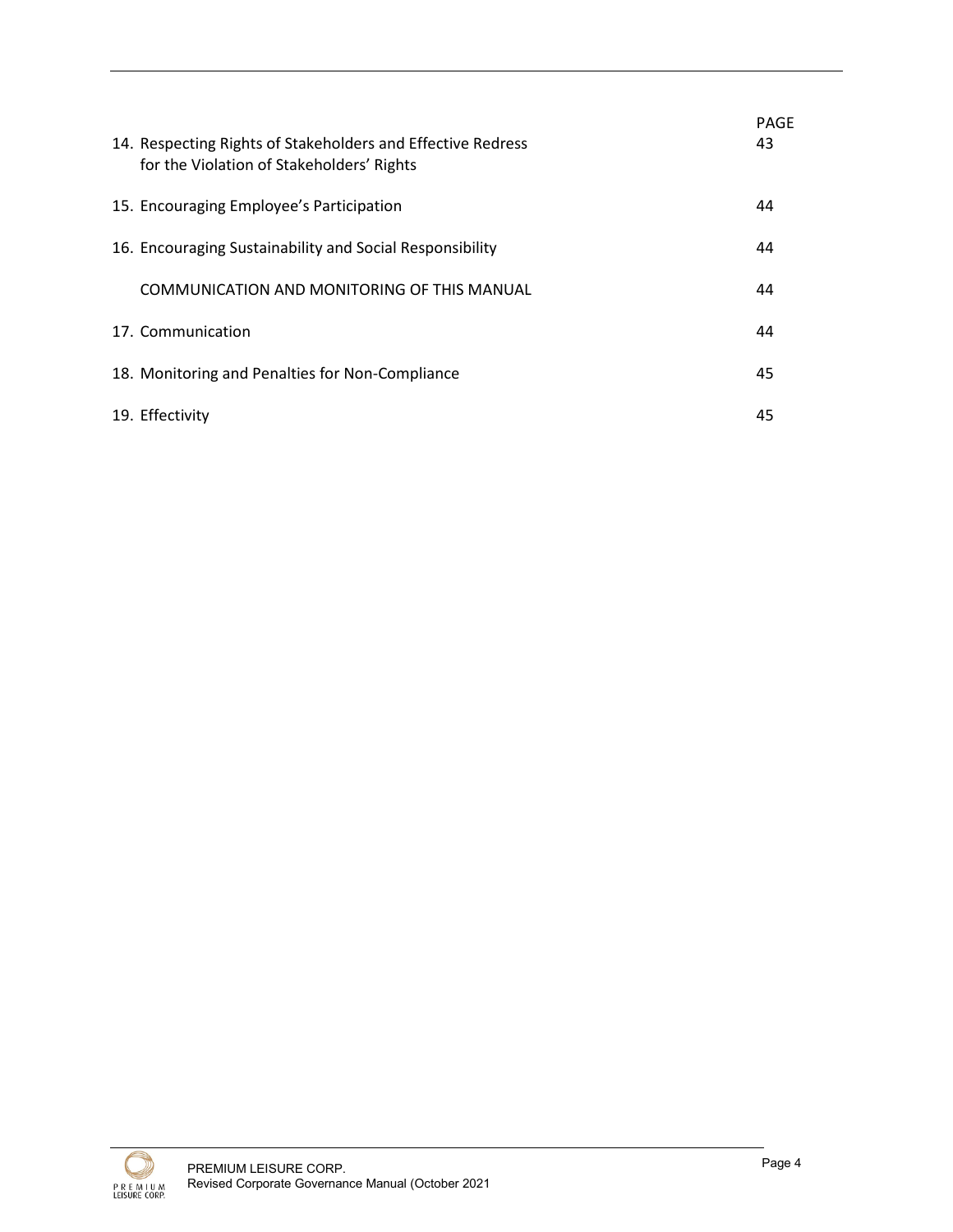| 14. Respecting Rights of Stakeholders and Effective Redress<br>for the Violation of Stakeholders' Rights | <b>PAGE</b><br>43 |
|----------------------------------------------------------------------------------------------------------|-------------------|
| 15. Encouraging Employee's Participation                                                                 | 44                |
| 16. Encouraging Sustainability and Social Responsibility                                                 | 44                |
| COMMUNICATION AND MONITORING OF THIS MANUAL                                                              | 44                |
| 17. Communication                                                                                        | 44                |
| 18. Monitoring and Penalties for Non-Compliance                                                          | 45                |
| 19. Effectivity                                                                                          | 45                |

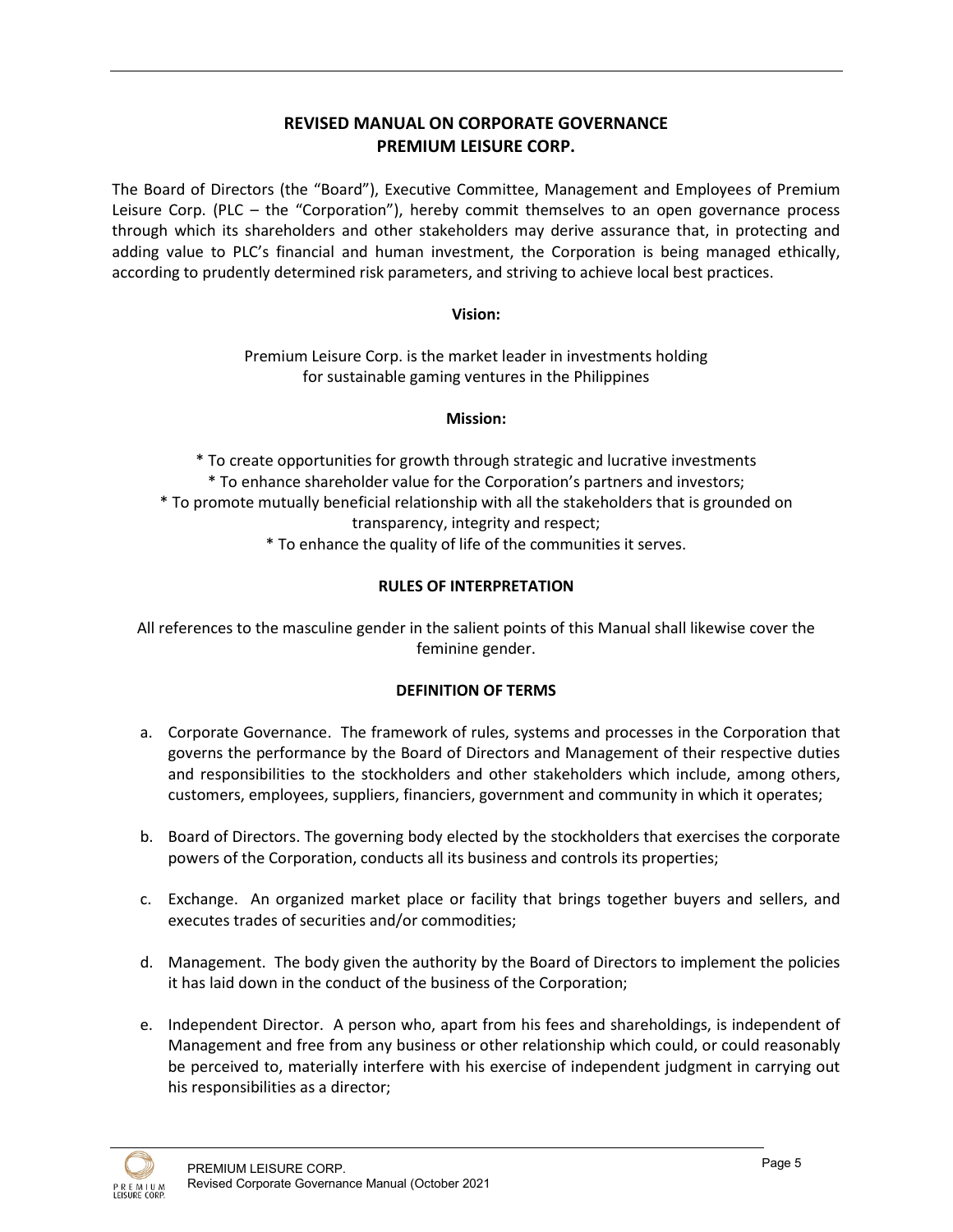# **REVISED MANUAL ON CORPORATE GOVERNANCE PREMIUM LEISURE CORP.**

The Board of Directors (the "Board"), Executive Committee, Management and Employees of Premium Leisure Corp. (PLC – the "Corporation"), hereby commit themselves to an open governance process through which its shareholders and other stakeholders may derive assurance that, in protecting and adding value to PLC's financial and human investment, the Corporation is being managed ethically, according to prudently determined risk parameters, and striving to achieve local best practices.

## **Vision:**

Premium Leisure Corp. is the market leader in investments holding for sustainable gaming ventures in the Philippines

## **Mission:**

\* To create opportunities for growth through strategic and lucrative investments \* To enhance shareholder value for the Corporation's partners and investors; \* To promote mutually beneficial relationship with all the stakeholders that is grounded on transparency, integrity and respect; \* To enhance the quality of life of the communities it serves.

## **RULES OF INTERPRETATION**

All references to the masculine gender in the salient points of this Manual shall likewise cover the feminine gender.

## **DEFINITION OF TERMS**

- a. Corporate Governance. The framework of rules, systems and processes in the Corporation that governs the performance by the Board of Directors and Management of their respective duties and responsibilities to the stockholders and other stakeholders which include, among others, customers, employees, suppliers, financiers, government and community in which it operates;
- b. Board of Directors. The governing body elected by the stockholders that exercises the corporate powers of the Corporation, conducts all its business and controls its properties;
- c. Exchange. An organized market place or facility that brings together buyers and sellers, and executes trades of securities and/or commodities;
- d. Management. The body given the authority by the Board of Directors to implement the policies it has laid down in the conduct of the business of the Corporation;
- e. Independent Director. A person who, apart from his fees and shareholdings, is independent of Management and free from any business or other relationship which could, or could reasonably be perceived to, materially interfere with his exercise of independent judgment in carrying out his responsibilities as a director;

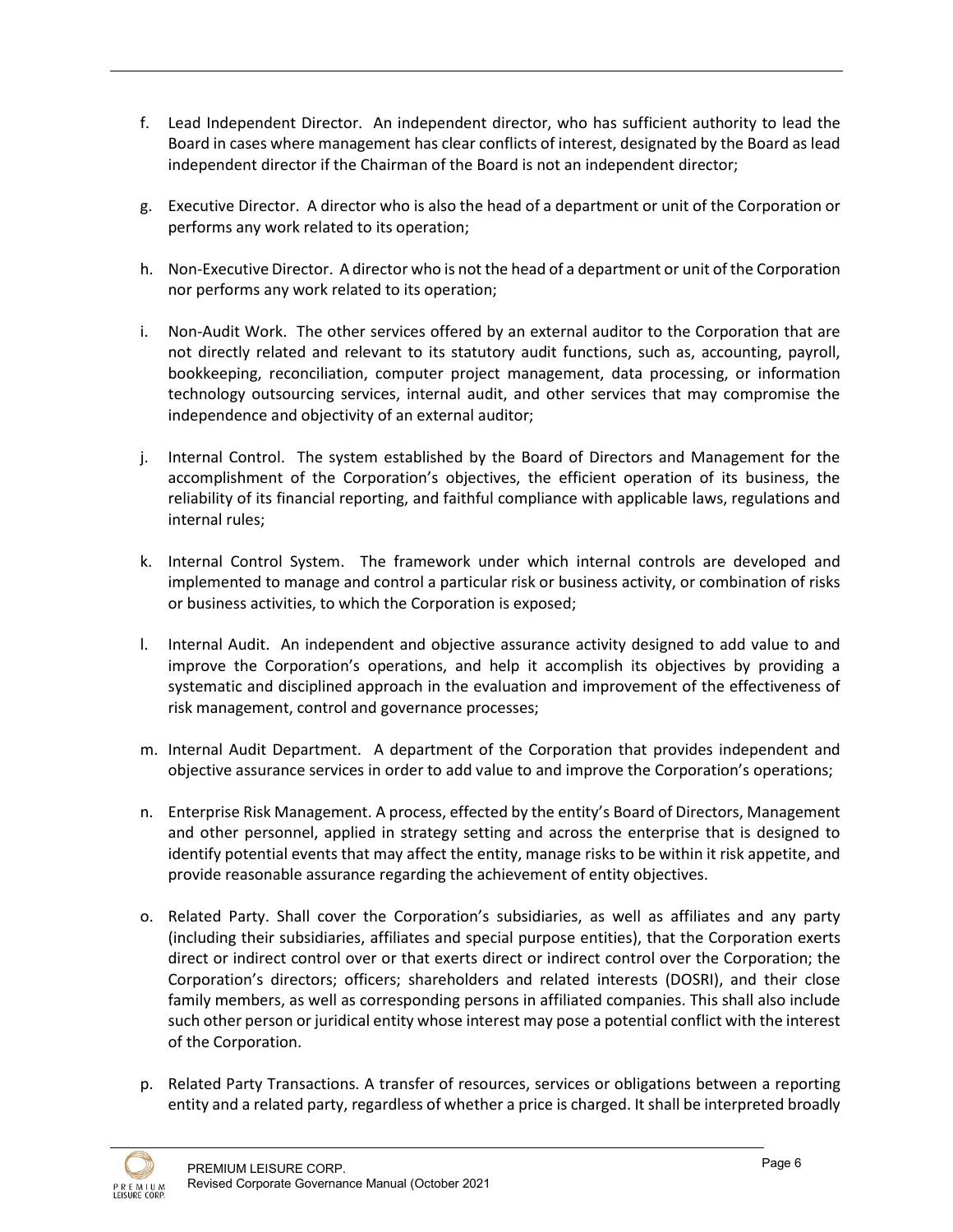- f. Lead Independent Director. An independent director, who has sufficient authority to lead the Board in cases where management has clear conflicts of interest, designated by the Board as lead independent director if the Chairman of the Board is not an independent director;
- g. Executive Director. A director who is also the head of a department or unit of the Corporation or performs any work related to its operation;
- h. Non-Executive Director. A director who is not the head of a department or unit of the Corporation nor performs any work related to its operation;
- i. Non-Audit Work. The other services offered by an external auditor to the Corporation that are not directly related and relevant to its statutory audit functions, such as, accounting, payroll, bookkeeping, reconciliation, computer project management, data processing, or information technology outsourcing services, internal audit, and other services that may compromise the independence and objectivity of an external auditor;
- j. Internal Control. The system established by the Board of Directors and Management for the accomplishment of the Corporation's objectives, the efficient operation of its business, the reliability of its financial reporting, and faithful compliance with applicable laws, regulations and internal rules;
- k. Internal Control System. The framework under which internal controls are developed and implemented to manage and control a particular risk or business activity, or combination of risks or business activities, to which the Corporation is exposed;
- l. Internal Audit. An independent and objective assurance activity designed to add value to and improve the Corporation's operations, and help it accomplish its objectives by providing a systematic and disciplined approach in the evaluation and improvement of the effectiveness of risk management, control and governance processes;
- m. Internal Audit Department. A department of the Corporation that provides independent and objective assurance services in order to add value to and improve the Corporation's operations;
- n. Enterprise Risk Management. A process, effected by the entity's Board of Directors, Management and other personnel, applied in strategy setting and across the enterprise that is designed to identify potential events that may affect the entity, manage risks to be within it risk appetite, and provide reasonable assurance regarding the achievement of entity objectives.
- o. Related Party. Shall cover the Corporation's subsidiaries, as well as affiliates and any party (including their subsidiaries, affiliates and special purpose entities), that the Corporation exerts direct or indirect control over or that exerts direct or indirect control over the Corporation; the Corporation's directors; officers; shareholders and related interests (DOSRI), and their close family members, as well as corresponding persons in affiliated companies. This shall also include such other person or juridical entity whose interest may pose a potential conflict with the interest of the Corporation.
- p. Related Party Transactions. A transfer of resources, services or obligations between a reporting entity and a related party, regardless of whether a price is charged. It shall be interpreted broadly

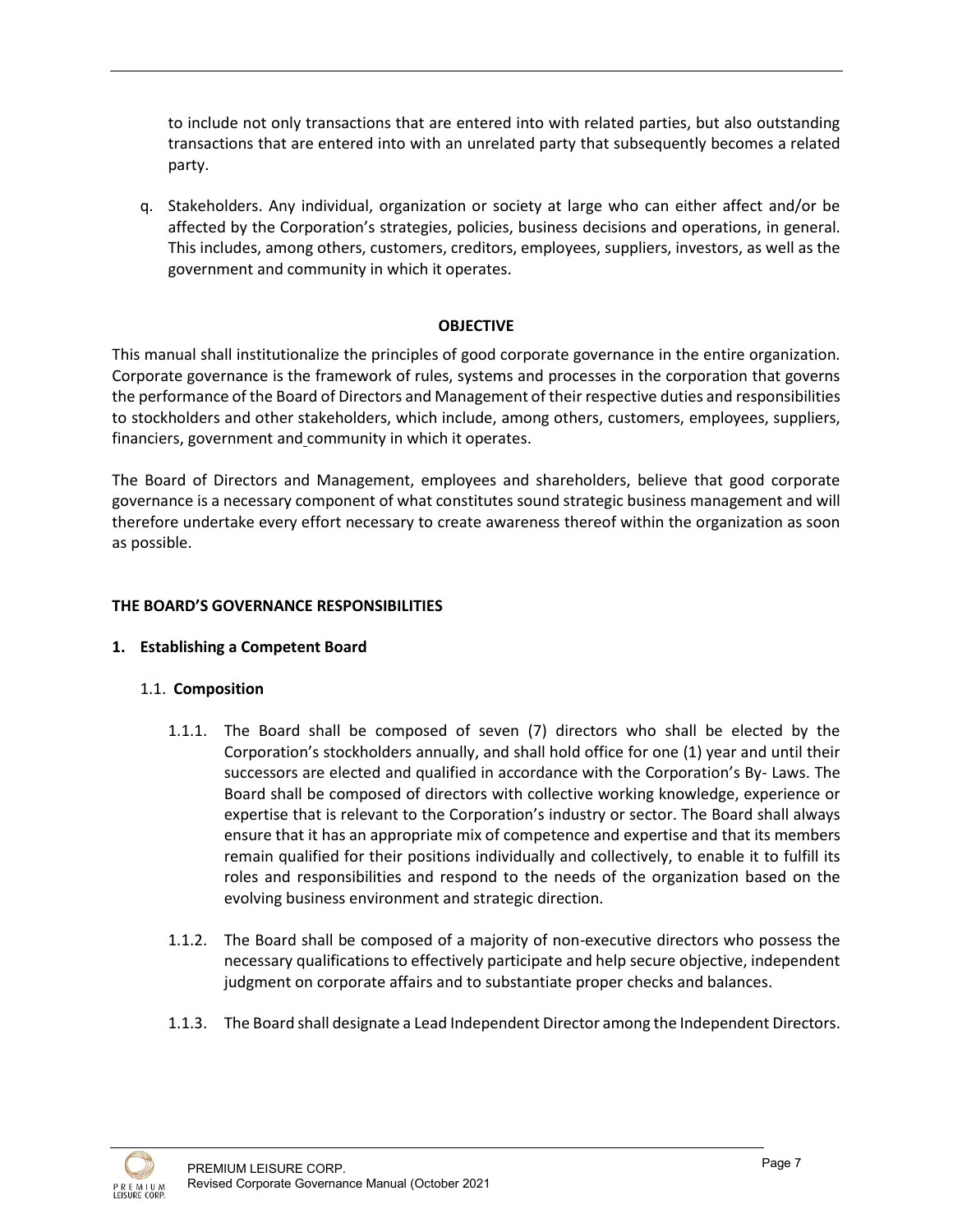to include not only transactions that are entered into with related parties, but also outstanding transactions that are entered into with an unrelated party that subsequently becomes a related party.

q. Stakeholders. Any individual, organization or society at large who can either affect and/or be affected by the Corporation's strategies, policies, business decisions and operations, in general. This includes, among others, customers, creditors, employees, suppliers, investors, as well as the government and community in which it operates.

## **OBJECTIVE**

This manual shall institutionalize the principles of good corporate governance in the entire organization. Corporate governance is the framework of rules, systems and processes in the corporation that governs the performance of the Board of Directors and Management of their respective duties and responsibilities to stockholders and other stakeholders, which include, among others, customers, employees, suppliers, financiers, government and community in which it operates.

The Board of Directors and Management, employees and shareholders, believe that good corporate governance is a necessary component of what constitutes sound strategic business management and will therefore undertake every effort necessary to create awareness thereof within the organization as soon as possible.

## **THE BOARD'S GOVERNANCE RESPONSIBILITIES**

## **1. Establishing a Competent Board**

# 1.1. **Composition**

- 1.1.1. The Board shall be composed of seven (7) directors who shall be elected by the Corporation's stockholders annually, and shall hold office for one (1) year and until their successors are elected and qualified in accordance with the Corporation's By- Laws. The Board shall be composed of directors with collective working knowledge, experience or expertise that is relevant to the Corporation's industry or sector. The Board shall always ensure that it has an appropriate mix of competence and expertise and that its members remain qualified for their positions individually and collectively, to enable it to fulfill its roles and responsibilities and respond to the needs of the organization based on the evolving business environment and strategic direction.
- 1.1.2. The Board shall be composed of a majority of non-executive directors who possess the necessary qualifications to effectively participate and help secure objective, independent judgment on corporate affairs and to substantiate proper checks and balances.
- 1.1.3. The Board shall designate a Lead Independent Director among the Independent Directors.

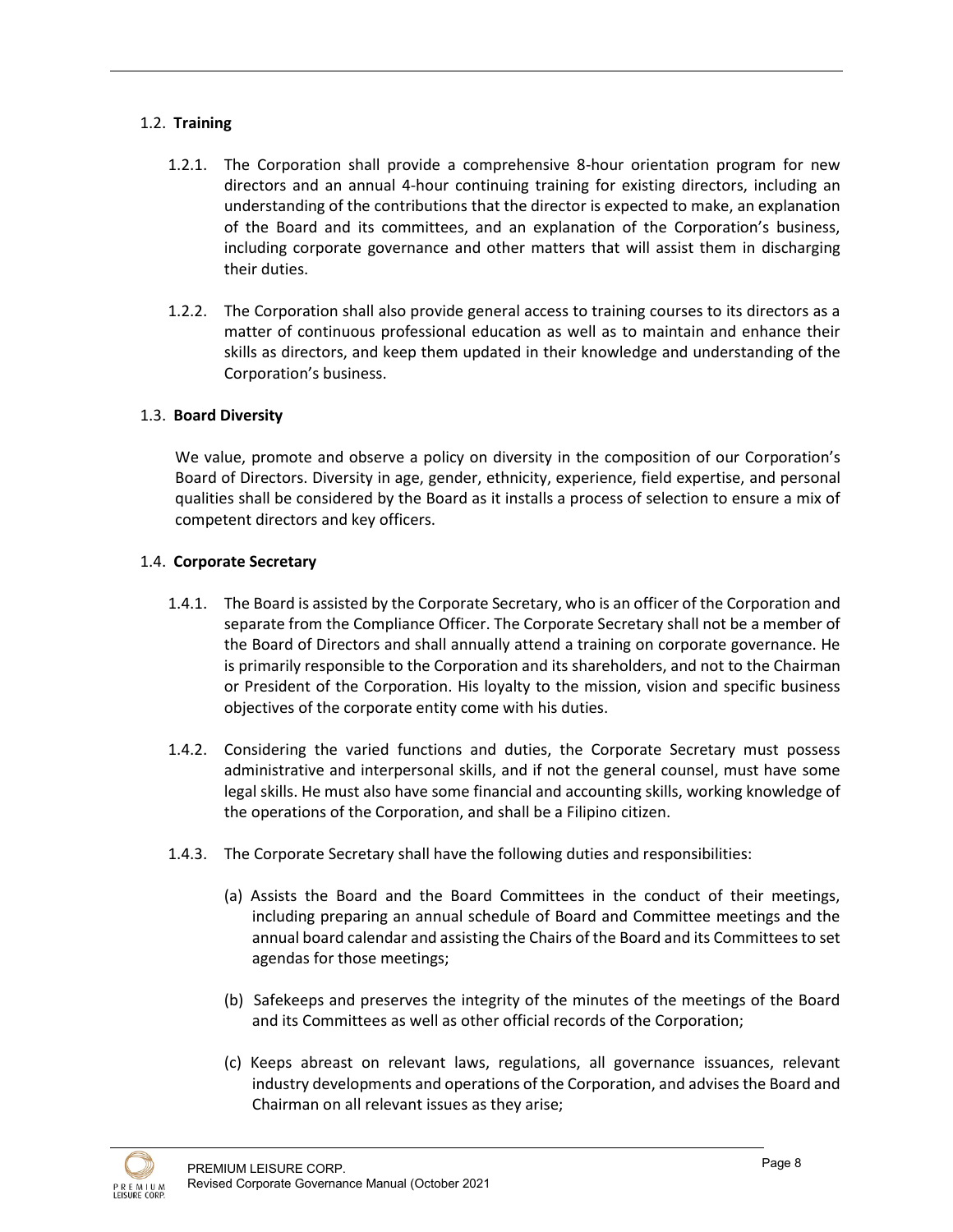# 1.2. **Training**

- 1.2.1. The Corporation shall provide a comprehensive 8-hour orientation program for new directors and an annual 4-hour continuing training for existing directors, including an understanding of the contributions that the director is expected to make, an explanation of the Board and its committees, and an explanation of the Corporation's business, including corporate governance and other matters that will assist them in discharging their duties.
- 1.2.2. The Corporation shall also provide general access to training courses to its directors as a matter of continuous professional education as well as to maintain and enhance their skills as directors, and keep them updated in their knowledge and understanding of the Corporation's business.

# 1.3. **Board Diversity**

We value, promote and observe a policy on diversity in the composition of our Corporation's Board of Directors. Diversity in age, gender, ethnicity, experience, field expertise, and personal qualities shall be considered by the Board as it installs a process of selection to ensure a mix of competent directors and key officers.

## 1.4. **Corporate Secretary**

- 1.4.1. The Board is assisted by the Corporate Secretary, who is an officer of the Corporation and separate from the Compliance Officer. The Corporate Secretary shall not be a member of the Board of Directors and shall annually attend a training on corporate governance. He is primarily responsible to the Corporation and its shareholders, and not to the Chairman or President of the Corporation. His loyalty to the mission, vision and specific business objectives of the corporate entity come with his duties.
- 1.4.2. Considering the varied functions and duties, the Corporate Secretary must possess administrative and interpersonal skills, and if not the general counsel, must have some legal skills. He must also have some financial and accounting skills, working knowledge of the operations of the Corporation, and shall be a Filipino citizen.
- 1.4.3. The Corporate Secretary shall have the following duties and responsibilities:
	- (a) Assists the Board and the Board Committees in the conduct of their meetings, including preparing an annual schedule of Board and Committee meetings and the annual board calendar and assisting the Chairs of the Board and its Committees to set agendas for those meetings;
	- (b) Safekeeps and preserves the integrity of the minutes of the meetings of the Board and its Committees as well as other official records of the Corporation;
	- (c) Keeps abreast on relevant laws, regulations, all governance issuances, relevant industry developments and operations of the Corporation, and advises the Board and Chairman on all relevant issues as they arise;

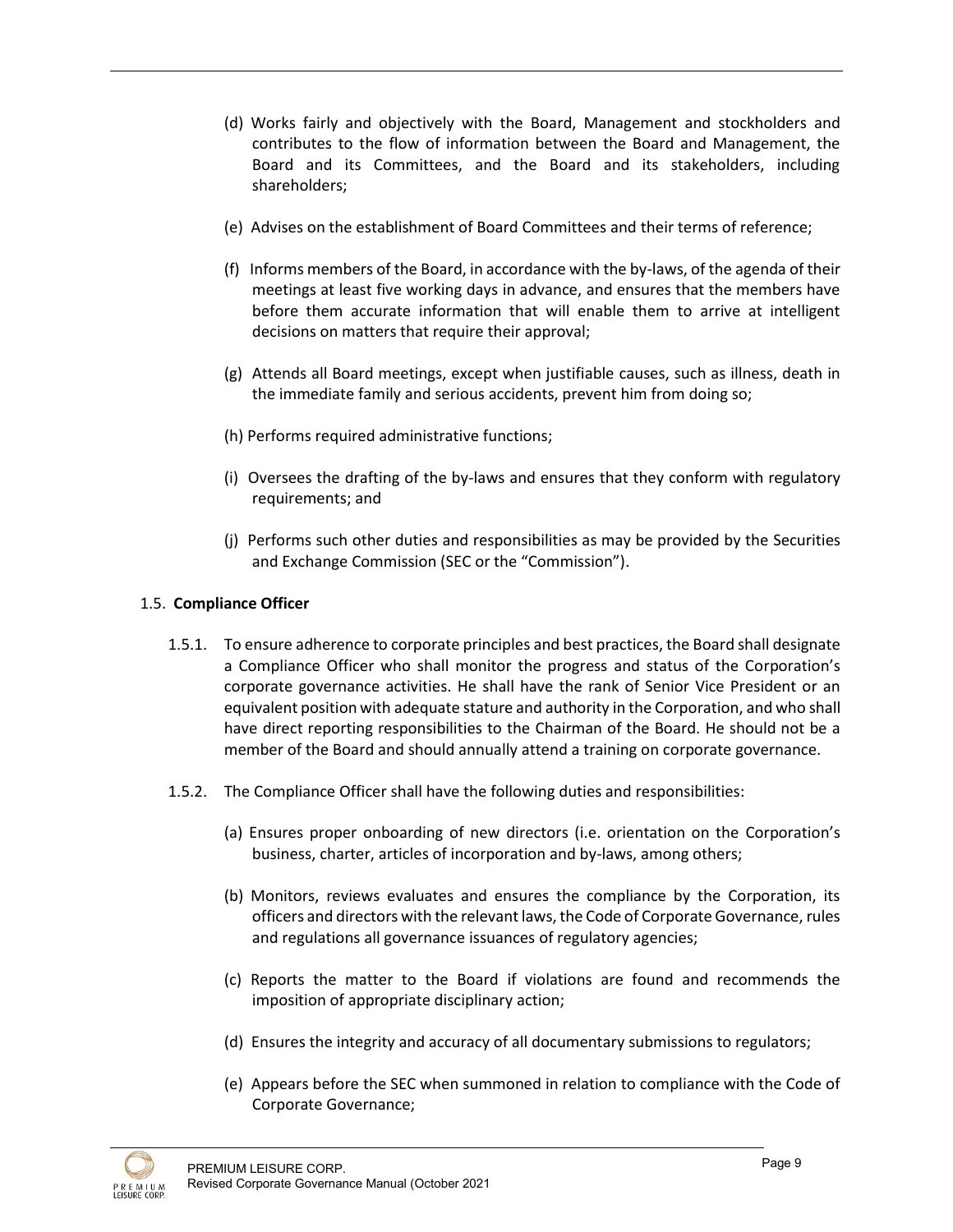- (d) Works fairly and objectively with the Board, Management and stockholders and contributes to the flow of information between the Board and Management, the Board and its Committees, and the Board and its stakeholders, including shareholders;
- (e) Advises on the establishment of Board Committees and their terms of reference;
- (f) Informs members of the Board, in accordance with the by-laws, of the agenda of their meetings at least five working days in advance, and ensures that the members have before them accurate information that will enable them to arrive at intelligent decisions on matters that require their approval;
- (g) Attends all Board meetings, except when justifiable causes, such as illness, death in the immediate family and serious accidents, prevent him from doing so;
- (h) Performs required administrative functions;
- (i) Oversees the drafting of the by-laws and ensures that they conform with regulatory requirements; and
- (j) Performs such other duties and responsibilities as may be provided by the Securities and Exchange Commission (SEC or the "Commission").

# 1.5. **Compliance Officer**

- 1.5.1. To ensure adherence to corporate principles and best practices, the Board shall designate a Compliance Officer who shall monitor the progress and status of the Corporation's corporate governance activities. He shall have the rank of Senior Vice President or an equivalent position with adequate stature and authority in the Corporation, and who shall have direct reporting responsibilities to the Chairman of the Board. He should not be a member of the Board and should annually attend a training on corporate governance.
- 1.5.2. The Compliance Officer shall have the following duties and responsibilities:
	- (a) Ensures proper onboarding of new directors (i.e. orientation on the Corporation's business, charter, articles of incorporation and by-laws, among others;
	- (b) Monitors, reviews evaluates and ensures the compliance by the Corporation, its officers and directors with the relevant laws, the Code of Corporate Governance, rules and regulations all governance issuances of regulatory agencies;
	- (c) Reports the matter to the Board if violations are found and recommends the imposition of appropriate disciplinary action;
	- (d) Ensures the integrity and accuracy of all documentary submissions to regulators;
	- (e) Appears before the SEC when summoned in relation to compliance with the Code of Corporate Governance;

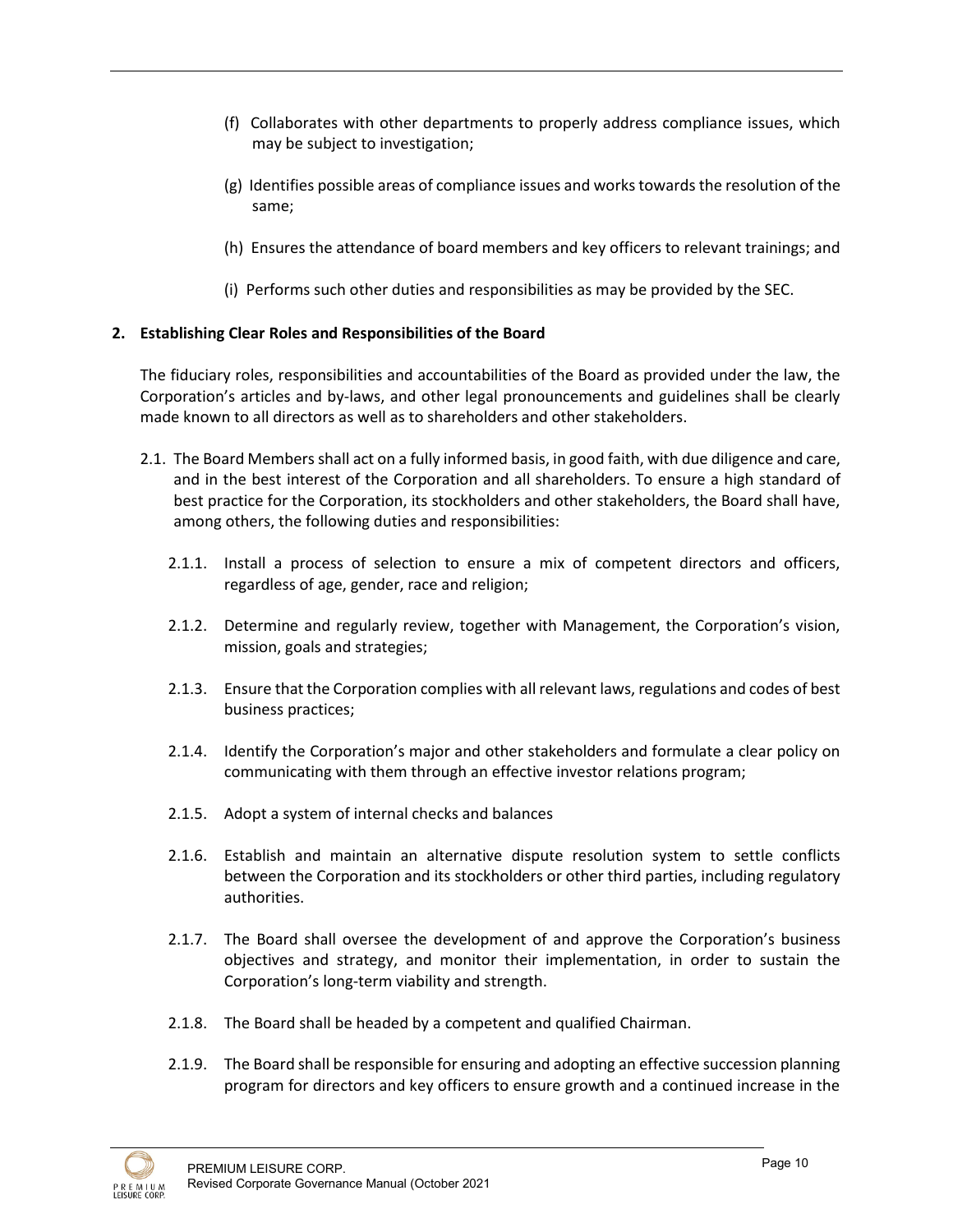- (f) Collaborates with other departments to properly address compliance issues, which may be subject to investigation;
- (g) Identifies possible areas of compliance issues and works towards the resolution of the same;
- (h) Ensures the attendance of board members and key officers to relevant trainings; and
- (i) Performs such other duties and responsibilities as may be provided by the SEC.

# **2. Establishing Clear Roles and Responsibilities of the Board**

The fiduciary roles, responsibilities and accountabilities of the Board as provided under the law, the Corporation's articles and by-laws, and other legal pronouncements and guidelines shall be clearly made known to all directors as well as to shareholders and other stakeholders.

- 2.1. The Board Members shall act on a fully informed basis, in good faith, with due diligence and care, and in the best interest of the Corporation and all shareholders. To ensure a high standard of best practice for the Corporation, its stockholders and other stakeholders, the Board shall have, among others, the following duties and responsibilities:
	- 2.1.1. Install a process of selection to ensure a mix of competent directors and officers, regardless of age, gender, race and religion;
	- 2.1.2. Determine and regularly review, together with Management, the Corporation's vision, mission, goals and strategies;
	- 2.1.3. Ensure that the Corporation complies with all relevant laws, regulations and codes of best business practices;
	- 2.1.4. Identify the Corporation's major and other stakeholders and formulate a clear policy on communicating with them through an effective investor relations program;
	- 2.1.5. Adopt a system of internal checks and balances
	- 2.1.6. Establish and maintain an alternative dispute resolution system to settle conflicts between the Corporation and its stockholders or other third parties, including regulatory authorities.
	- 2.1.7. The Board shall oversee the development of and approve the Corporation's business objectives and strategy, and monitor their implementation, in order to sustain the Corporation's long-term viability and strength.
	- 2.1.8. The Board shall be headed by a competent and qualified Chairman.
	- 2.1.9. The Board shall be responsible for ensuring and adopting an effective succession planning program for directors and key officers to ensure growth and a continued increase in the

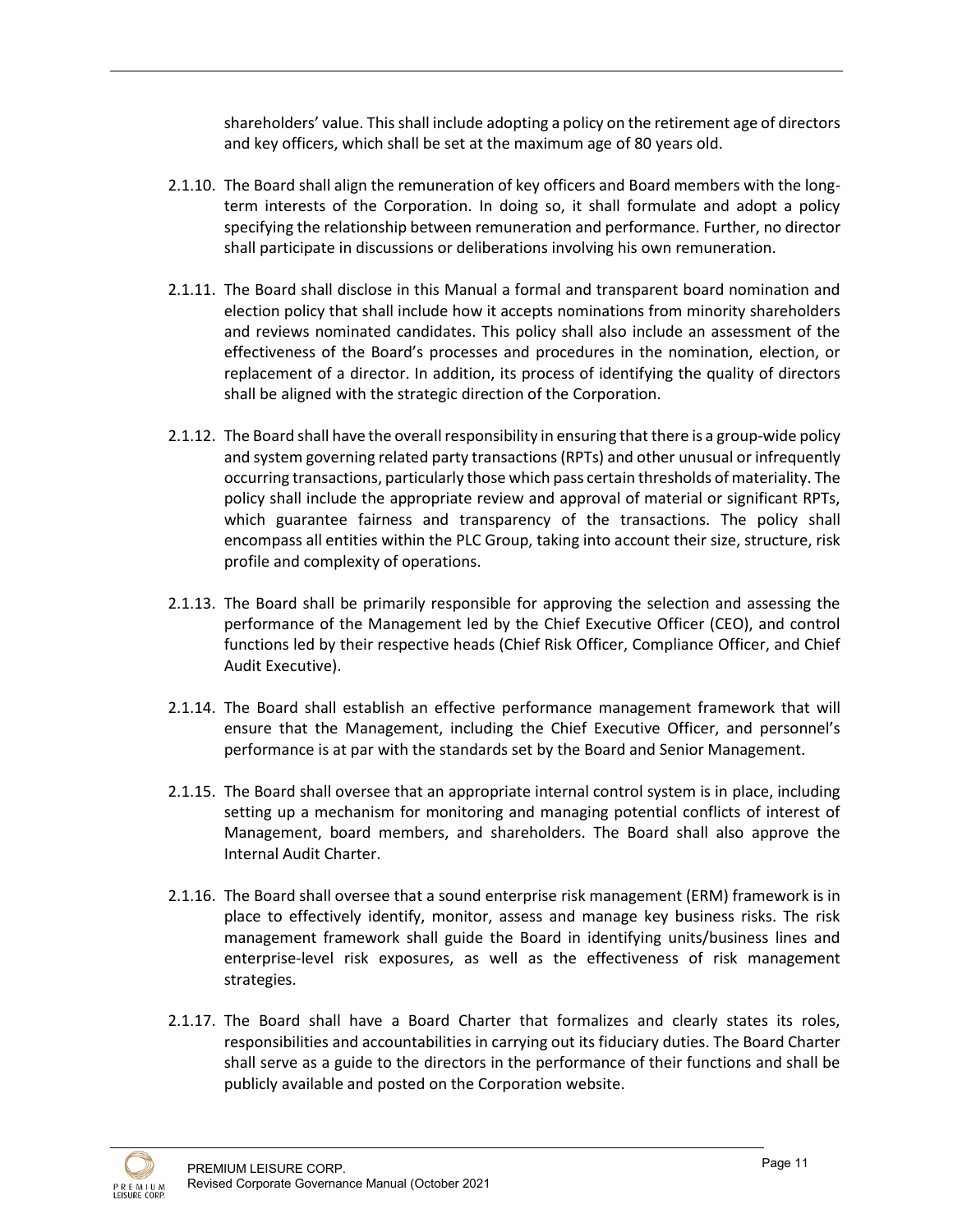shareholders' value. This shall include adopting a policy on the retirement age of directors and key officers, which shall be set at the maximum age of 80 years old.

- 2.1.10. The Board shall align the remuneration of key officers and Board members with the longterm interests of the Corporation. In doing so, it shall formulate and adopt a policy specifying the relationship between remuneration and performance. Further, no director shall participate in discussions or deliberations involving his own remuneration.
- 2.1.11. The Board shall disclose in this Manual a formal and transparent board nomination and election policy that shall include how it accepts nominations from minority shareholders and reviews nominated candidates. This policy shall also include an assessment of the effectiveness of the Board's processes and procedures in the nomination, election, or replacement of a director. In addition, its process of identifying the quality of directors shall be aligned with the strategic direction of the Corporation.
- 2.1.12. The Board shall have the overall responsibility in ensuring that there is a group-wide policy and system governing related party transactions (RPTs) and other unusual or infrequently occurring transactions, particularly those which pass certain thresholds of materiality. The policy shall include the appropriate review and approval of material or significant RPTs, which guarantee fairness and transparency of the transactions. The policy shall encompass all entities within the PLC Group, taking into account their size, structure, risk profile and complexity of operations.
- 2.1.13. The Board shall be primarily responsible for approving the selection and assessing the performance of the Management led by the Chief Executive Officer (CEO), and control functions led by their respective heads (Chief Risk Officer, Compliance Officer, and Chief Audit Executive).
- 2.1.14. The Board shall establish an effective performance management framework that will ensure that the Management, including the Chief Executive Officer, and personnel's performance is at par with the standards set by the Board and Senior Management.
- 2.1.15. The Board shall oversee that an appropriate internal control system is in place, including setting up a mechanism for monitoring and managing potential conflicts of interest of Management, board members, and shareholders. The Board shall also approve the Internal Audit Charter.
- 2.1.16. The Board shall oversee that a sound enterprise risk management (ERM) framework is in place to effectively identify, monitor, assess and manage key business risks. The risk management framework shall guide the Board in identifying units/business lines and enterprise-level risk exposures, as well as the effectiveness of risk management strategies.
- 2.1.17. The Board shall have a Board Charter that formalizes and clearly states its roles, responsibilities and accountabilities in carrying out its fiduciary duties. The Board Charter shall serve as a guide to the directors in the performance of their functions and shall be publicly available and posted on the Corporation website.

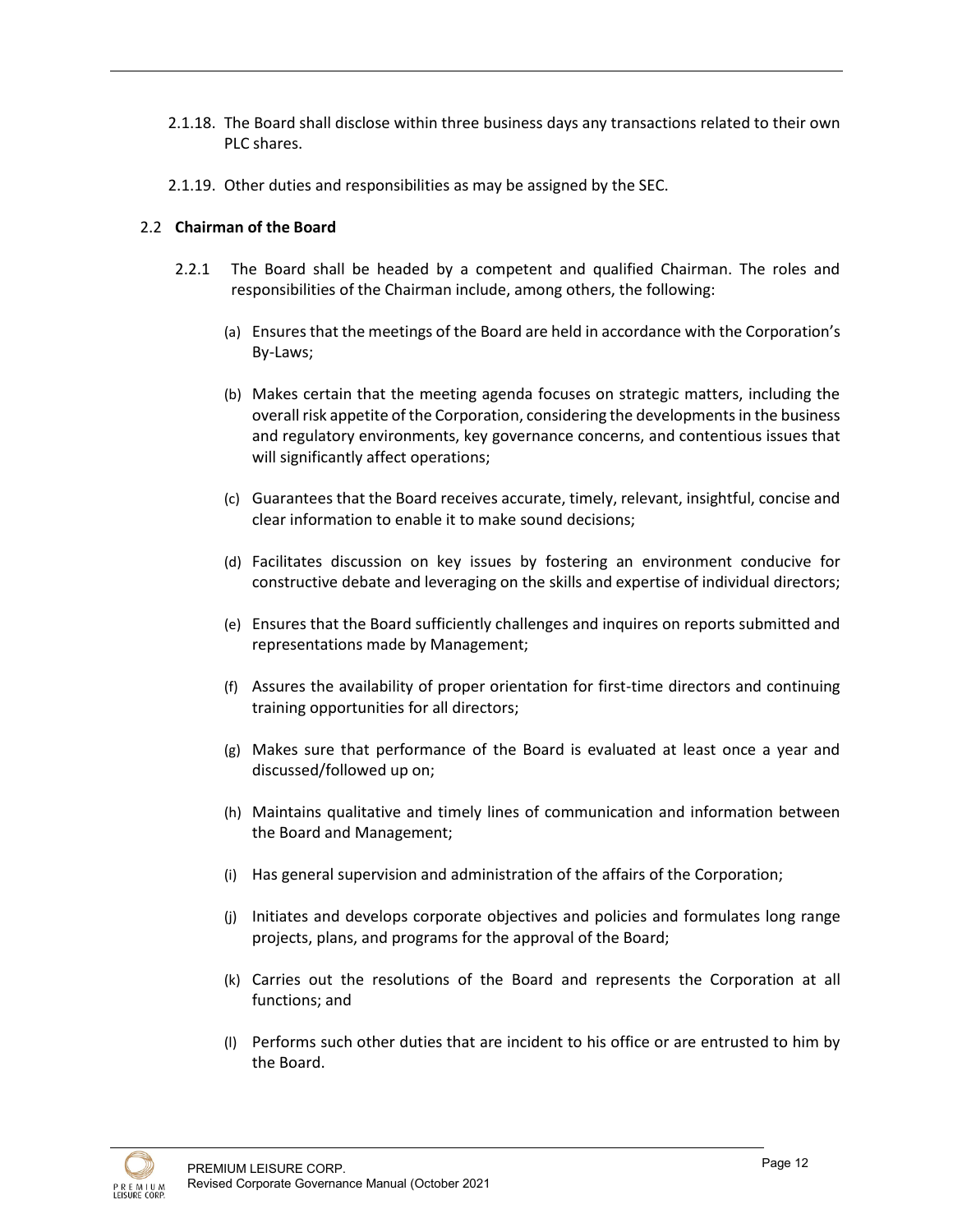- 2.1.18. The Board shall disclose within three business days any transactions related to their own PLC shares.
- 2.1.19. Other duties and responsibilities as may be assigned by the SEC.

## 2.2 **Chairman of the Board**

- 2.2.1 The Board shall be headed by a competent and qualified Chairman. The roles and responsibilities of the Chairman include, among others, the following:
	- (a) Ensures that the meetings of the Board are held in accordance with the Corporation's By-Laws;
	- (b) Makes certain that the meeting agenda focuses on strategic matters, including the overall risk appetite of the Corporation, considering the developments in the business and regulatory environments, key governance concerns, and contentious issues that will significantly affect operations;
	- (c) Guarantees that the Board receives accurate, timely, relevant, insightful, concise and clear information to enable it to make sound decisions;
	- (d) Facilitates discussion on key issues by fostering an environment conducive for constructive debate and leveraging on the skills and expertise of individual directors;
	- (e) Ensures that the Board sufficiently challenges and inquires on reports submitted and representations made by Management;
	- (f) Assures the availability of proper orientation for first-time directors and continuing training opportunities for all directors;
	- (g) Makes sure that performance of the Board is evaluated at least once a year and discussed/followed up on;
	- (h) Maintains qualitative and timely lines of communication and information between the Board and Management;
	- (i) Has general supervision and administration of the affairs of the Corporation;
	- (j) Initiates and develops corporate objectives and policies and formulates long range projects, plans, and programs for the approval of the Board;
	- (k) Carries out the resolutions of the Board and represents the Corporation at all functions; and
	- (l) Performs such other duties that are incident to his office or are entrusted to him by the Board.

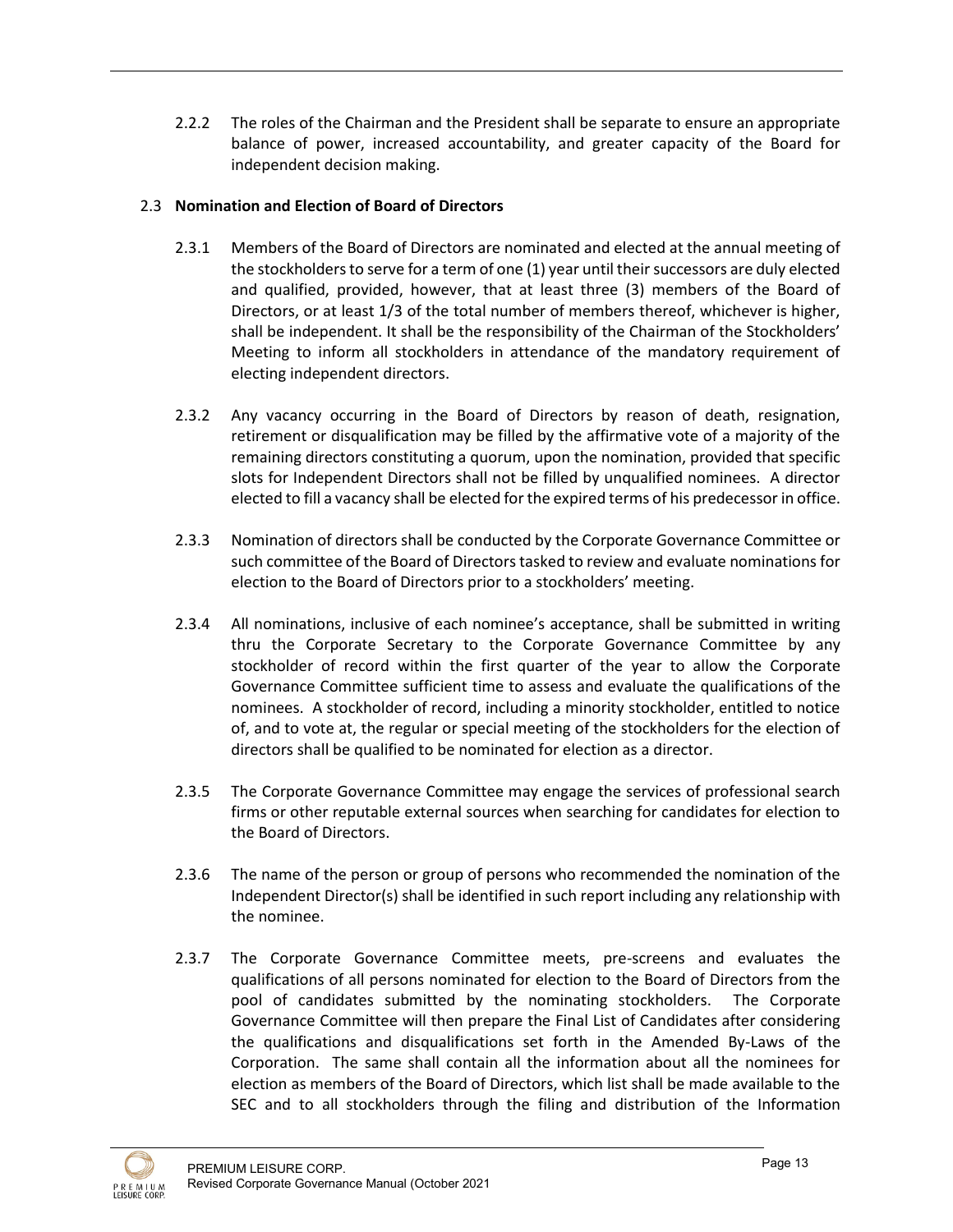2.2.2 The roles of the Chairman and the President shall be separate to ensure an appropriate balance of power, increased accountability, and greater capacity of the Board for independent decision making.

# 2.3 **Nomination and Election of Board of Directors**

- 2.3.1 Members of the Board of Directors are nominated and elected at the annual meeting of the stockholders to serve for a term of one (1) year until their successors are duly elected and qualified, provided, however, that at least three (3) members of the Board of Directors, or at least 1/3 of the total number of members thereof, whichever is higher, shall be independent. It shall be the responsibility of the Chairman of the Stockholders' Meeting to inform all stockholders in attendance of the mandatory requirement of electing independent directors.
- 2.3.2 Any vacancy occurring in the Board of Directors by reason of death, resignation, retirement or disqualification may be filled by the affirmative vote of a majority of the remaining directors constituting a quorum, upon the nomination, provided that specific slots for Independent Directors shall not be filled by unqualified nominees. A director elected to fill a vacancy shall be elected for the expired terms of his predecessor in office.
- 2.3.3 Nomination of directors shall be conducted by the Corporate Governance Committee or such committee of the Board of Directors tasked to review and evaluate nominations for election to the Board of Directors prior to a stockholders' meeting.
- 2.3.4 All nominations, inclusive of each nominee's acceptance, shall be submitted in writing thru the Corporate Secretary to the Corporate Governance Committee by any stockholder of record within the first quarter of the year to allow the Corporate Governance Committee sufficient time to assess and evaluate the qualifications of the nominees. A stockholder of record, including a minority stockholder, entitled to notice of, and to vote at, the regular or special meeting of the stockholders for the election of directors shall be qualified to be nominated for election as a director.
- 2.3.5 The Corporate Governance Committee may engage the services of professional search firms or other reputable external sources when searching for candidates for election to the Board of Directors.
- 2.3.6 The name of the person or group of persons who recommended the nomination of the Independent Director(s) shall be identified in such report including any relationship with the nominee.
- 2.3.7 The Corporate Governance Committee meets, pre-screens and evaluates the qualifications of all persons nominated for election to the Board of Directors from the pool of candidates submitted by the nominating stockholders. The Corporate Governance Committee will then prepare the Final List of Candidates after considering the qualifications and disqualifications set forth in the Amended By-Laws of the Corporation. The same shall contain all the information about all the nominees for election as members of the Board of Directors, which list shall be made available to the SEC and to all stockholders through the filing and distribution of the Information

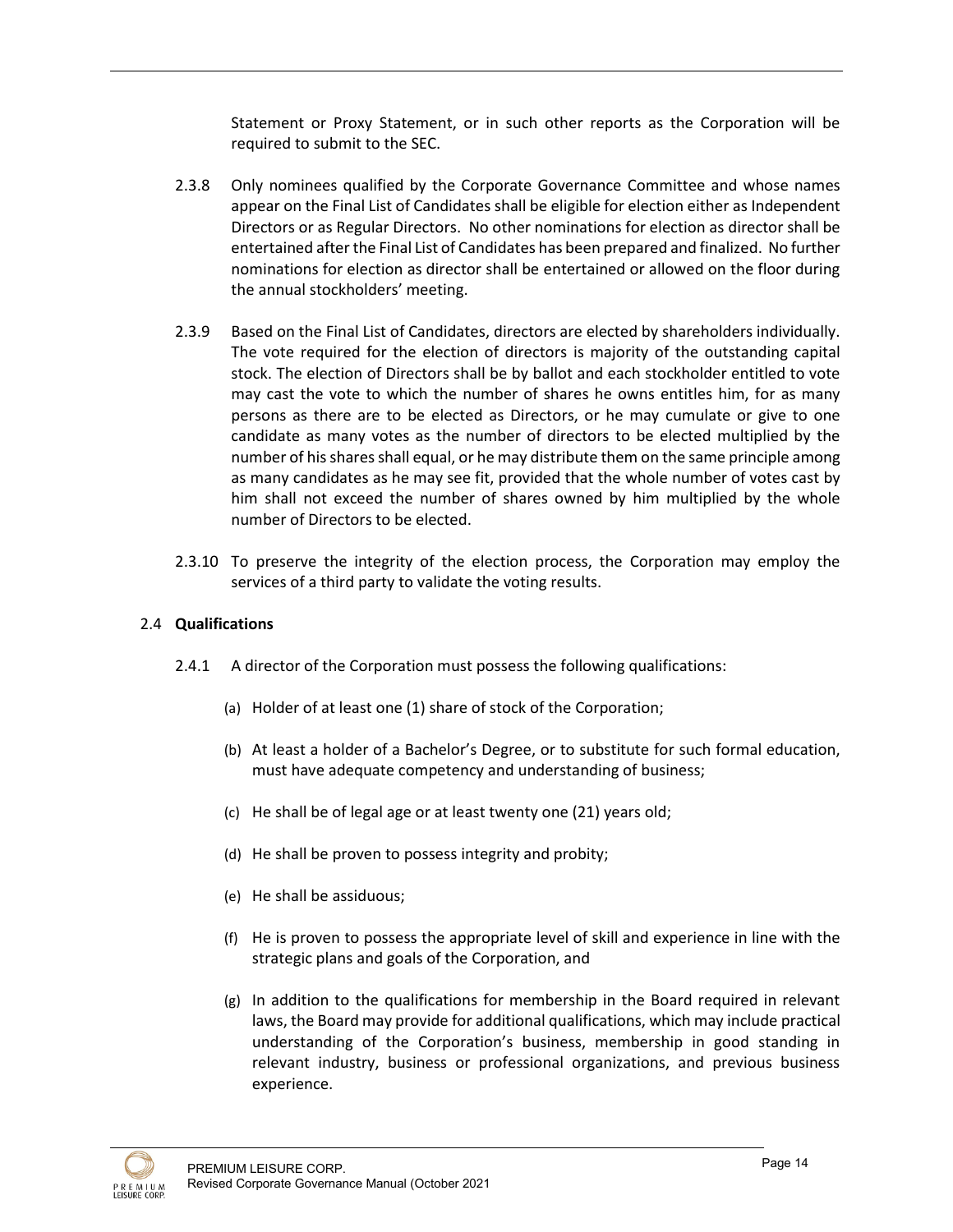Statement or Proxy Statement, or in such other reports as the Corporation will be required to submit to the SEC.

- 2.3.8 Only nominees qualified by the Corporate Governance Committee and whose names appear on the Final List of Candidates shall be eligible for election either as Independent Directors or as Regular Directors. No other nominations for election as director shall be entertained after the Final List of Candidates has been prepared and finalized. No further nominations for election as director shall be entertained or allowed on the floor during the annual stockholders' meeting.
- 2.3.9 Based on the Final List of Candidates, directors are elected by shareholders individually. The vote required for the election of directors is majority of the outstanding capital stock. The election of Directors shall be by ballot and each stockholder entitled to vote may cast the vote to which the number of shares he owns entitles him, for as many persons as there are to be elected as Directors, or he may cumulate or give to one candidate as many votes as the number of directors to be elected multiplied by the number of his shares shall equal, or he may distribute them on the same principle among as many candidates as he may see fit, provided that the whole number of votes cast by him shall not exceed the number of shares owned by him multiplied by the whole number of Directors to be elected.
- 2.3.10 To preserve the integrity of the election process, the Corporation may employ the services of a third party to validate the voting results.

## 2.4 **Qualifications**

- 2.4.1 A director of the Corporation must possess the following qualifications:
	- (a) Holder of at least one (1) share of stock of the Corporation;
	- (b) At least a holder of a Bachelor's Degree, or to substitute for such formal education, must have adequate competency and understanding of business;
	- (c) He shall be of legal age or at least twenty one (21) years old;
	- (d) He shall be proven to possess integrity and probity;
	- (e) He shall be assiduous;
	- (f) He is proven to possess the appropriate level of skill and experience in line with the strategic plans and goals of the Corporation, and
	- (g) In addition to the qualifications for membership in the Board required in relevant laws, the Board may provide for additional qualifications, which may include practical understanding of the Corporation's business, membership in good standing in relevant industry, business or professional organizations, and previous business experience.

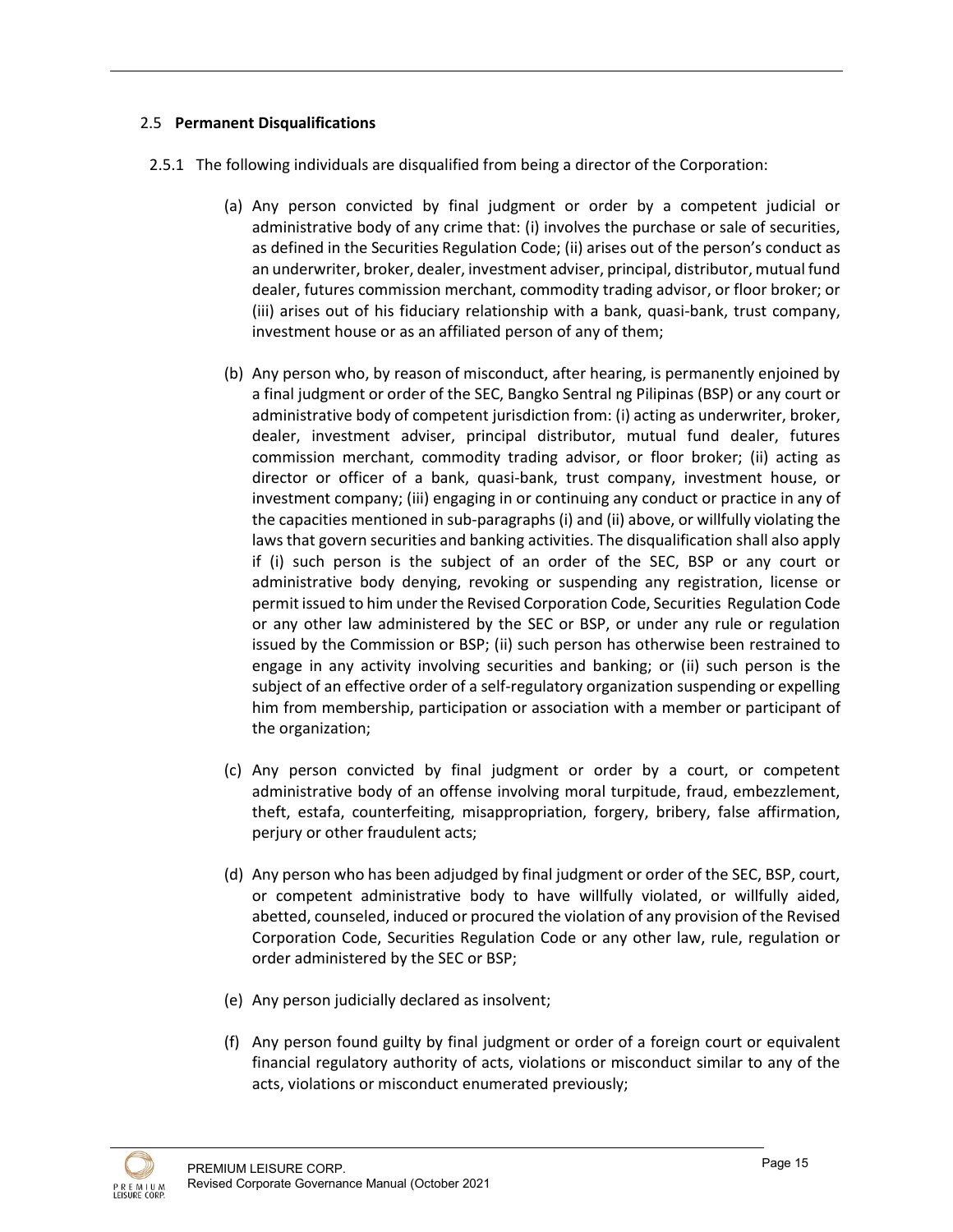# 2.5 **Permanent Disqualifications**

- 2.5.1 The following individuals are disqualified from being a director of the Corporation:
	- (a) Any person convicted by final judgment or order by a competent judicial or administrative body of any crime that: (i) involves the purchase or sale of securities, as defined in the Securities Regulation Code; (ii) arises out of the person's conduct as an underwriter, broker, dealer, investment adviser, principal, distributor, mutual fund dealer, futures commission merchant, commodity trading advisor, or floor broker; or (iii) arises out of his fiduciary relationship with a bank, quasi-bank, trust company, investment house or as an affiliated person of any of them;
	- (b) Any person who, by reason of misconduct, after hearing, is permanently enjoined by a final judgment or order of the SEC, Bangko Sentral ng Pilipinas (BSP) or any court or administrative body of competent jurisdiction from: (i) acting as underwriter, broker, dealer, investment adviser, principal distributor, mutual fund dealer, futures commission merchant, commodity trading advisor, or floor broker; (ii) acting as director or officer of a bank, quasi-bank, trust company, investment house, or investment company; (iii) engaging in or continuing any conduct or practice in any of the capacities mentioned in sub-paragraphs (i) and (ii) above, or willfully violating the laws that govern securities and banking activities. The disqualification shall also apply if (i) such person is the subject of an order of the SEC, BSP or any court or administrative body denying, revoking or suspending any registration, license or permit issued to him under the Revised Corporation Code, Securities Regulation Code or any other law administered by the SEC or BSP, or under any rule or regulation issued by the Commission or BSP; (ii) such person has otherwise been restrained to engage in any activity involving securities and banking; or (ii) such person is the subject of an effective order of a self-regulatory organization suspending or expelling him from membership, participation or association with a member or participant of the organization;
	- (c) Any person convicted by final judgment or order by a court, or competent administrative body of an offense involving moral turpitude, fraud, embezzlement, theft, estafa, counterfeiting, misappropriation, forgery, bribery, false affirmation, perjury or other fraudulent acts;
	- (d) Any person who has been adjudged by final judgment or order of the SEC, BSP, court, or competent administrative body to have willfully violated, or willfully aided, abetted, counseled, induced or procured the violation of any provision of the Revised Corporation Code, Securities Regulation Code or any other law, rule, regulation or order administered by the SEC or BSP;
	- (e) Any person judicially declared as insolvent;
	- (f) Any person found guilty by final judgment or order of a foreign court or equivalent financial regulatory authority of acts, violations or misconduct similar to any of the acts, violations or misconduct enumerated previously;

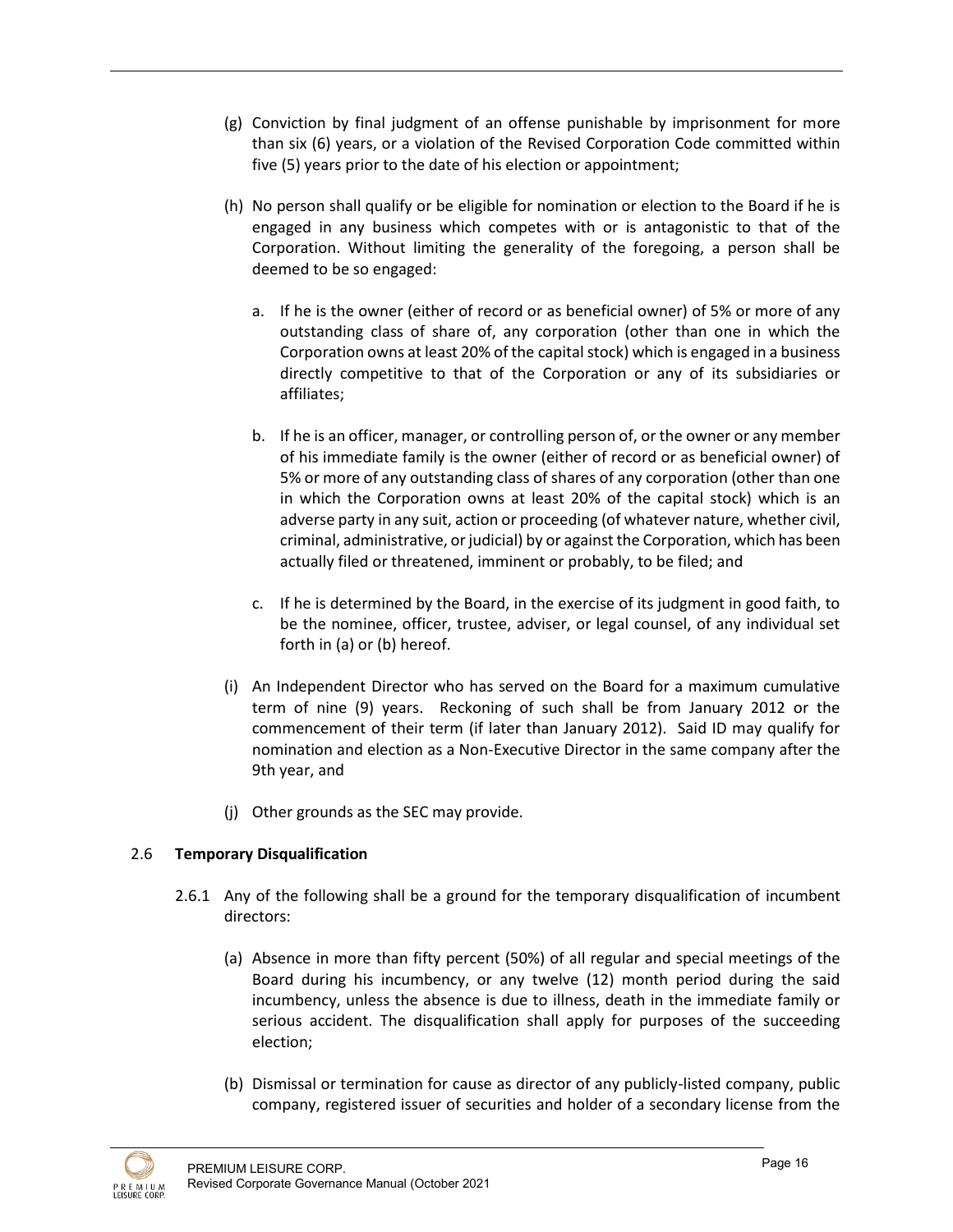- (g) Conviction by final judgment of an offense punishable by imprisonment for more than six (6) years, or a violation of the Revised Corporation Code committed within five (5) years prior to the date of his election or appointment;
- (h) No person shall qualify or be eligible for nomination or election to the Board if he is engaged in any business which competes with or is antagonistic to that of the Corporation. Without limiting the generality of the foregoing, a person shall be deemed to be so engaged:
	- a. If he is the owner (either of record or as beneficial owner) of 5% or more of any outstanding class of share of, any corporation (other than one in which the Corporation owns at least 20% of the capital stock) which is engaged in a business directly competitive to that of the Corporation or any of its subsidiaries or affiliates;
	- b. If he is an officer, manager, or controlling person of, or the owner or any member of his immediate family is the owner (either of record or as beneficial owner) of 5% or more of any outstanding class of shares of any corporation (other than one in which the Corporation owns at least 20% of the capital stock) which is an adverse party in any suit, action or proceeding (of whatever nature, whether civil, criminal, administrative, or judicial) by or against the Corporation, which has been actually filed or threatened, imminent or probably, to be filed; and
	- c. If he is determined by the Board, in the exercise of its judgment in good faith, to be the nominee, officer, trustee, adviser, or legal counsel, of any individual set forth in (a) or (b) hereof.
- (i) An Independent Director who has served on the Board for a maximum cumulative term of nine (9) years. Reckoning of such shall be from January 2012 or the commencement of their term (if later than January 2012). Said ID may qualify for nomination and election as a Non-Executive Director in the same company after the 9th year, and
- (j) Other grounds as the SEC may provide.

# 2.6 **Temporary Disqualification**

- 2.6.1 Any of the following shall be a ground for the temporary disqualification of incumbent directors:
	- (a) Absence in more than fifty percent (50%) of all regular and special meetings of the Board during his incumbency, or any twelve (12) month period during the said incumbency, unless the absence is due to illness, death in the immediate family or serious accident. The disqualification shall apply for purposes of the succeeding election;
	- (b) Dismissal or termination for cause as director of any publicly-listed company, public company, registered issuer of securities and holder of a secondary license from the

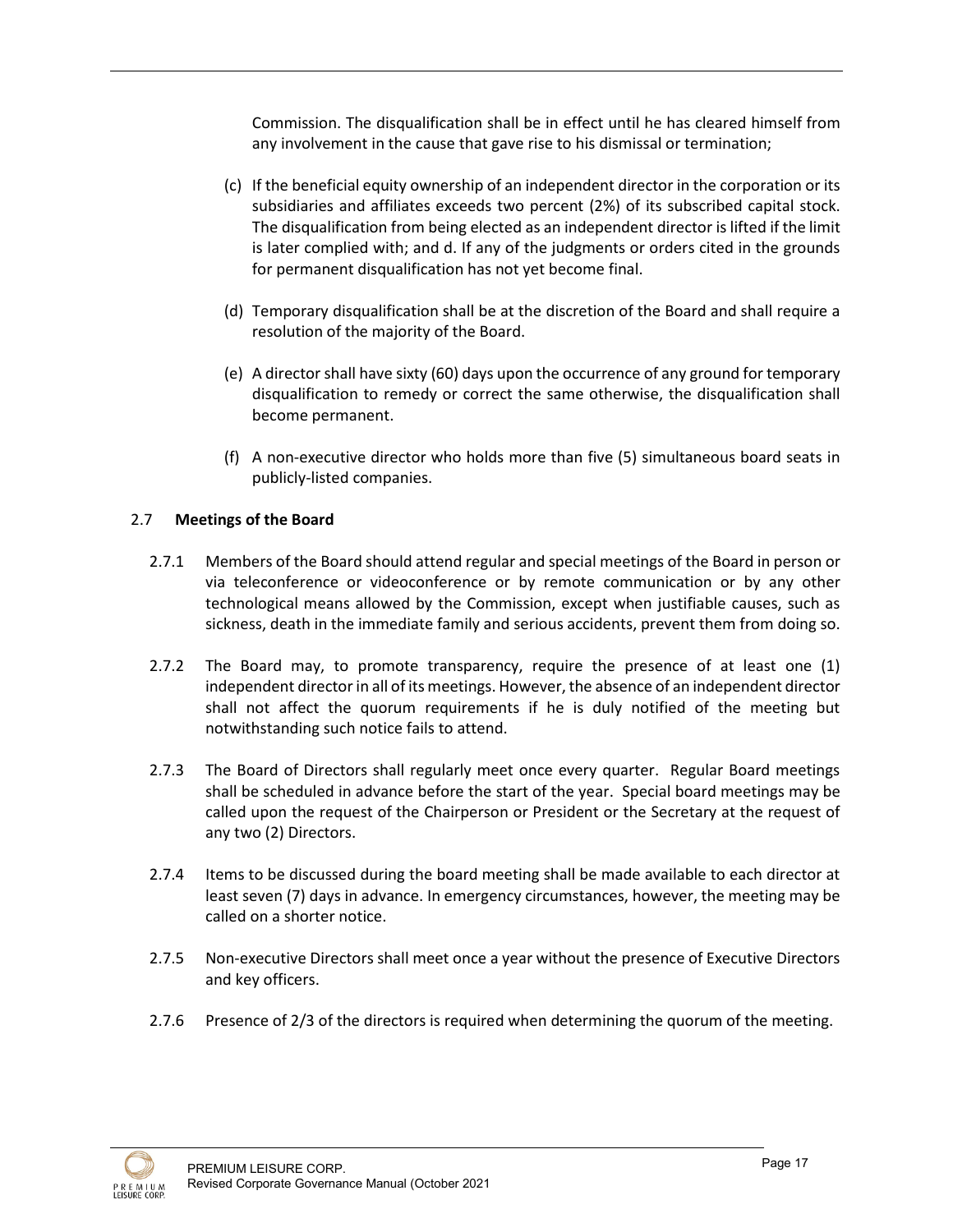Commission. The disqualification shall be in effect until he has cleared himself from any involvement in the cause that gave rise to his dismissal or termination;

- (c) If the beneficial equity ownership of an independent director in the corporation or its subsidiaries and affiliates exceeds two percent (2%) of its subscribed capital stock. The disqualification from being elected as an independent director is lifted if the limit is later complied with; and d. If any of the judgments or orders cited in the grounds for permanent disqualification has not yet become final.
- (d) Temporary disqualification shall be at the discretion of the Board and shall require a resolution of the majority of the Board.
- (e) A director shall have sixty (60) days upon the occurrence of any ground for temporary disqualification to remedy or correct the same otherwise, the disqualification shall become permanent.
- (f) A non-executive director who holds more than five (5) simultaneous board seats in publicly-listed companies.

## 2.7 **Meetings of the Board**

- 2.7.1 Members of the Board should attend regular and special meetings of the Board in person or via teleconference or videoconference or by remote communication or by any other technological means allowed by the Commission, except when justifiable causes, such as sickness, death in the immediate family and serious accidents, prevent them from doing so.
- 2.7.2 The Board may, to promote transparency, require the presence of at least one (1) independent director in all of its meetings. However, the absence of an independent director shall not affect the quorum requirements if he is duly notified of the meeting but notwithstanding such notice fails to attend.
- 2.7.3 The Board of Directors shall regularly meet once every quarter. Regular Board meetings shall be scheduled in advance before the start of the year. Special board meetings may be called upon the request of the Chairperson or President or the Secretary at the request of any two (2) Directors.
- 2.7.4 Items to be discussed during the board meeting shall be made available to each director at least seven (7) days in advance. In emergency circumstances, however, the meeting may be called on a shorter notice.
- 2.7.5 Non-executive Directors shall meet once a year without the presence of Executive Directors and key officers.
- 2.7.6 Presence of 2/3 of the directors is required when determining the quorum of the meeting.

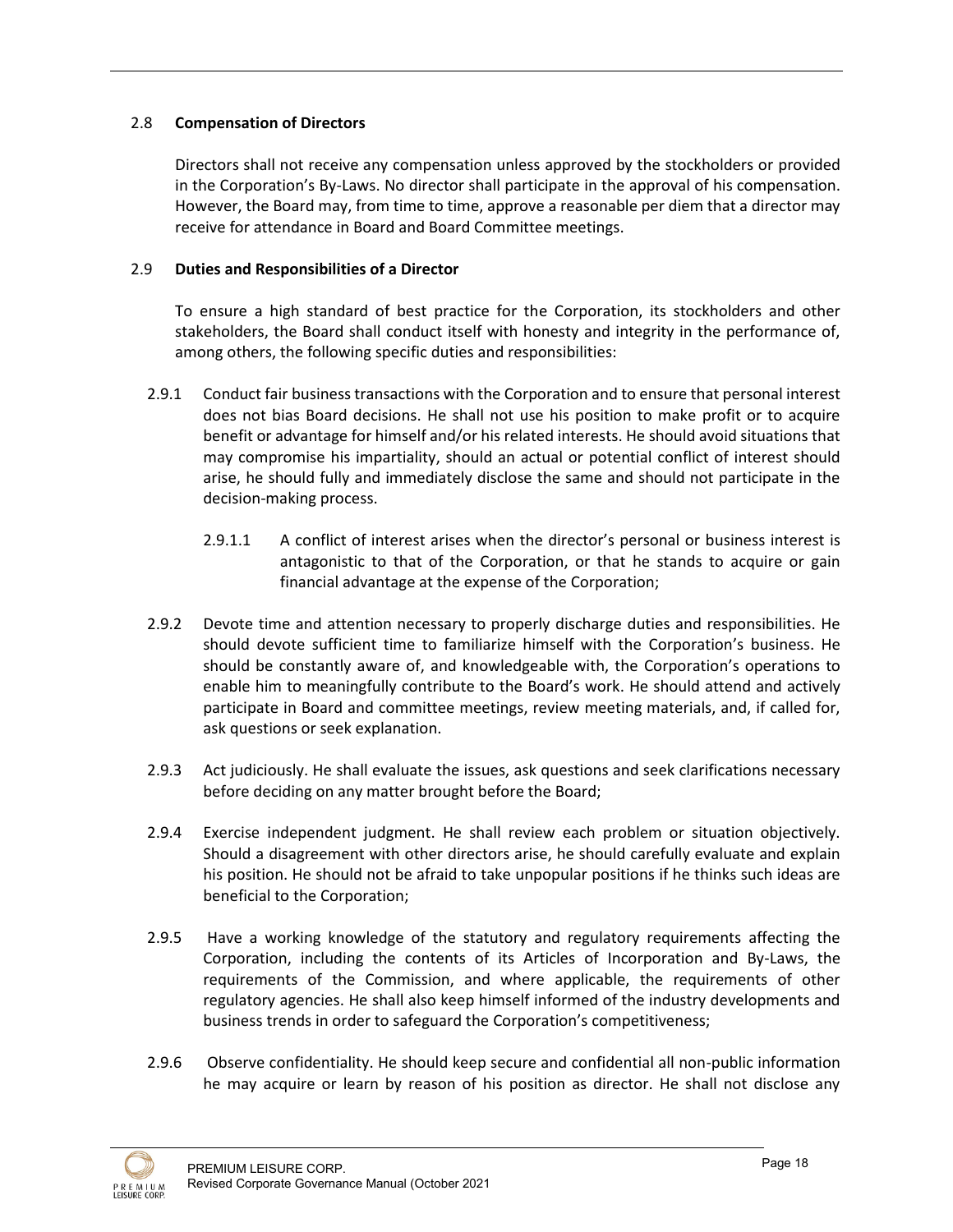## 2.8 **Compensation of Directors**

Directors shall not receive any compensation unless approved by the stockholders or provided in the Corporation's By-Laws. No director shall participate in the approval of his compensation. However, the Board may, from time to time, approve a reasonable per diem that a director may receive for attendance in Board and Board Committee meetings.

## 2.9 **Duties and Responsibilities of a Director**

To ensure a high standard of best practice for the Corporation, its stockholders and other stakeholders, the Board shall conduct itself with honesty and integrity in the performance of, among others, the following specific duties and responsibilities:

- 2.9.1 Conduct fair business transactions with the Corporation and to ensure that personal interest does not bias Board decisions. He shall not use his position to make profit or to acquire benefit or advantage for himself and/or his related interests. He should avoid situations that may compromise his impartiality, should an actual or potential conflict of interest should arise, he should fully and immediately disclose the same and should not participate in the decision-making process.
	- 2.9.1.1 A conflict of interest arises when the director's personal or business interest is antagonistic to that of the Corporation, or that he stands to acquire or gain financial advantage at the expense of the Corporation;
- 2.9.2 Devote time and attention necessary to properly discharge duties and responsibilities. He should devote sufficient time to familiarize himself with the Corporation's business. He should be constantly aware of, and knowledgeable with, the Corporation's operations to enable him to meaningfully contribute to the Board's work. He should attend and actively participate in Board and committee meetings, review meeting materials, and, if called for, ask questions or seek explanation.
- 2.9.3 Act judiciously. He shall evaluate the issues, ask questions and seek clarifications necessary before deciding on any matter brought before the Board;
- 2.9.4 Exercise independent judgment. He shall review each problem or situation objectively. Should a disagreement with other directors arise, he should carefully evaluate and explain his position. He should not be afraid to take unpopular positions if he thinks such ideas are beneficial to the Corporation;
- 2.9.5 Have a working knowledge of the statutory and regulatory requirements affecting the Corporation, including the contents of its Articles of Incorporation and By-Laws, the requirements of the Commission, and where applicable, the requirements of other regulatory agencies. He shall also keep himself informed of the industry developments and business trends in order to safeguard the Corporation's competitiveness;
- 2.9.6 Observe confidentiality. He should keep secure and confidential all non-public information he may acquire or learn by reason of his position as director. He shall not disclose any

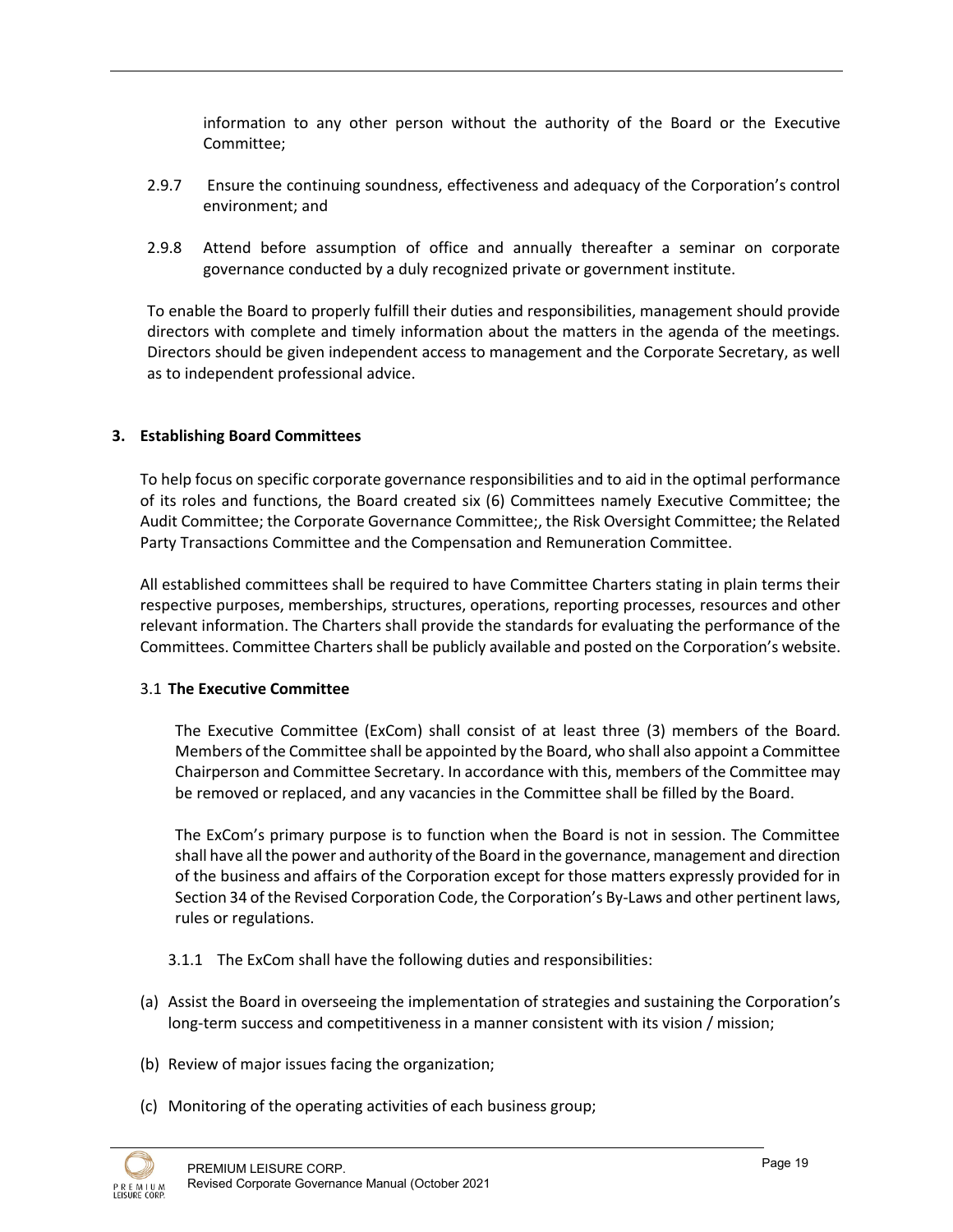information to any other person without the authority of the Board or the Executive Committee;

- 2.9.7 Ensure the continuing soundness, effectiveness and adequacy of the Corporation's control environment; and
- 2.9.8 Attend before assumption of office and annually thereafter a seminar on corporate governance conducted by a duly recognized private or government institute.

To enable the Board to properly fulfill their duties and responsibilities, management should provide directors with complete and timely information about the matters in the agenda of the meetings. Directors should be given independent access to management and the Corporate Secretary, as well as to independent professional advice.

## **3. Establishing Board Committees**

To help focus on specific corporate governance responsibilities and to aid in the optimal performance of its roles and functions, the Board created six (6) Committees namely Executive Committee; the Audit Committee; the Corporate Governance Committee;, the Risk Oversight Committee; the Related Party Transactions Committee and the Compensation and Remuneration Committee.

All established committees shall be required to have Committee Charters stating in plain terms their respective purposes, memberships, structures, operations, reporting processes, resources and other relevant information. The Charters shall provide the standards for evaluating the performance of the Committees. Committee Charters shall be publicly available and posted on the Corporation's website.

#### 3.1 **The Executive Committee**

The Executive Committee (ExCom) shall consist of at least three (3) members of the Board. Members of the Committee shall be appointed by the Board, who shall also appoint a Committee Chairperson and Committee Secretary. In accordance with this, members of the Committee may be removed or replaced, and any vacancies in the Committee shall be filled by the Board.

The ExCom's primary purpose is to function when the Board is not in session. The Committee shall have all the power and authority of the Board in the governance, management and direction of the business and affairs of the Corporation except for those matters expressly provided for in Section 34 of the Revised Corporation Code, the Corporation's By-Laws and other pertinent laws, rules or regulations.

- 3.1.1 The ExCom shall have the following duties and responsibilities:
- (a) Assist the Board in overseeing the implementation of strategies and sustaining the Corporation's long-term success and competitiveness in a manner consistent with its vision / mission;
- (b) Review of major issues facing the organization;
- (c) Monitoring of the operating activities of each business group;

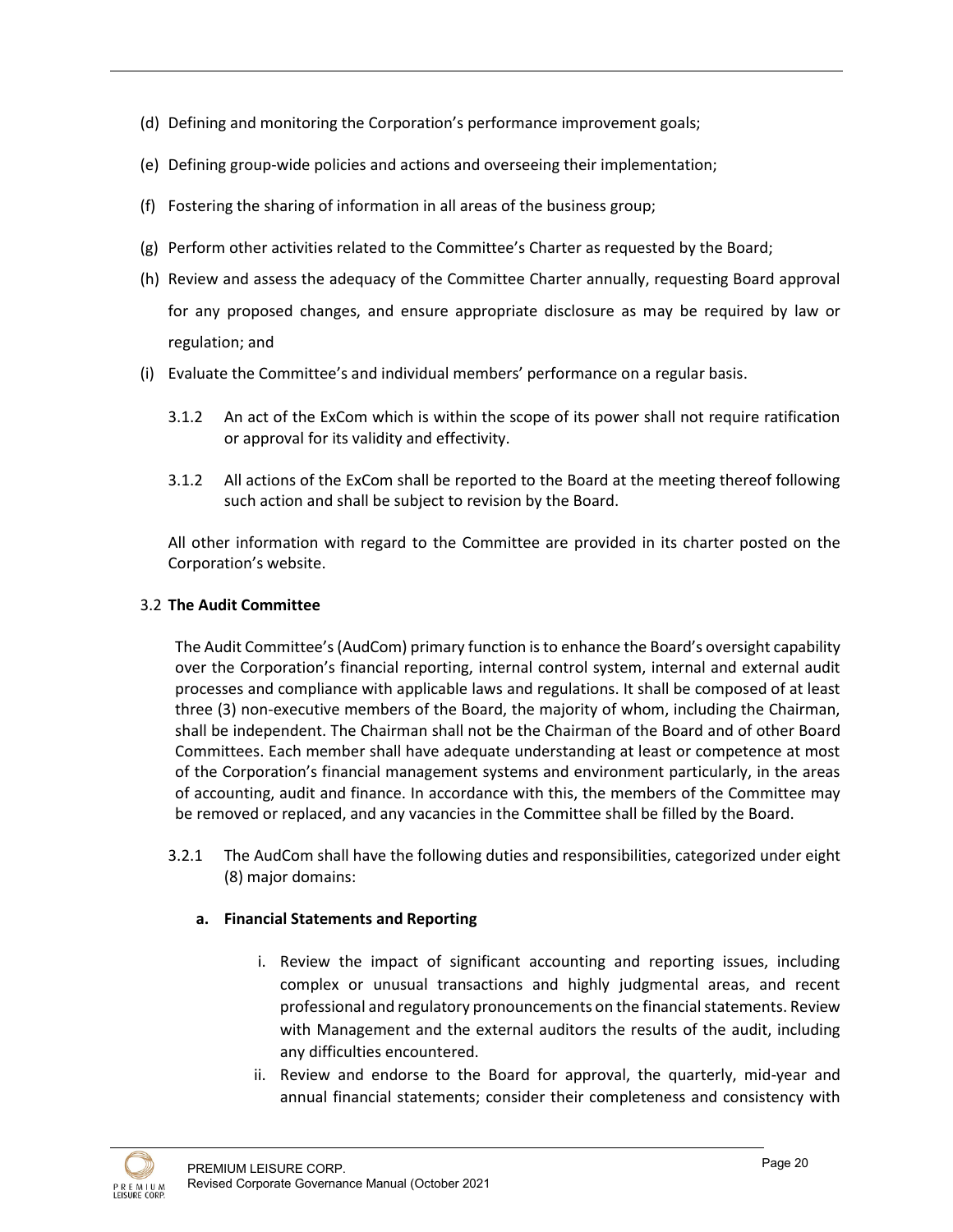- (d) Defining and monitoring the Corporation's performance improvement goals;
- (e) Defining group-wide policies and actions and overseeing their implementation;
- (f) Fostering the sharing of information in all areas of the business group;
- (g) Perform other activities related to the Committee's Charter as requested by the Board;
- (h) Review and assess the adequacy of the Committee Charter annually, requesting Board approval for any proposed changes, and ensure appropriate disclosure as may be required by law or regulation; and
- (i) Evaluate the Committee's and individual members' performance on a regular basis.
	- 3.1.2 An act of the ExCom which is within the scope of its power shall not require ratification or approval for its validity and effectivity.
	- 3.1.2 All actions of the ExCom shall be reported to the Board at the meeting thereof following such action and shall be subject to revision by the Board.

All other information with regard to the Committee are provided in its charter posted on the Corporation's website.

## 3.2 **The Audit Committee**

The Audit Committee's (AudCom) primary function is to enhance the Board's oversight capability over the Corporation's financial reporting, internal control system, internal and external audit processes and compliance with applicable laws and regulations. It shall be composed of at least three (3) non-executive members of the Board, the majority of whom, including the Chairman, shall be independent. The Chairman shall not be the Chairman of the Board and of other Board Committees. Each member shall have adequate understanding at least or competence at most of the Corporation's financial management systems and environment particularly, in the areas of accounting, audit and finance. In accordance with this, the members of the Committee may be removed or replaced, and any vacancies in the Committee shall be filled by the Board.

3.2.1 The AudCom shall have the following duties and responsibilities, categorized under eight (8) major domains:

## **a. Financial Statements and Reporting**

- i. Review the impact of significant accounting and reporting issues, including complex or unusual transactions and highly judgmental areas, and recent professional and regulatory pronouncements on the financial statements. Review with Management and the external auditors the results of the audit, including any difficulties encountered.
- ii. Review and endorse to the Board for approval, the quarterly, mid-year and annual financial statements; consider their completeness and consistency with

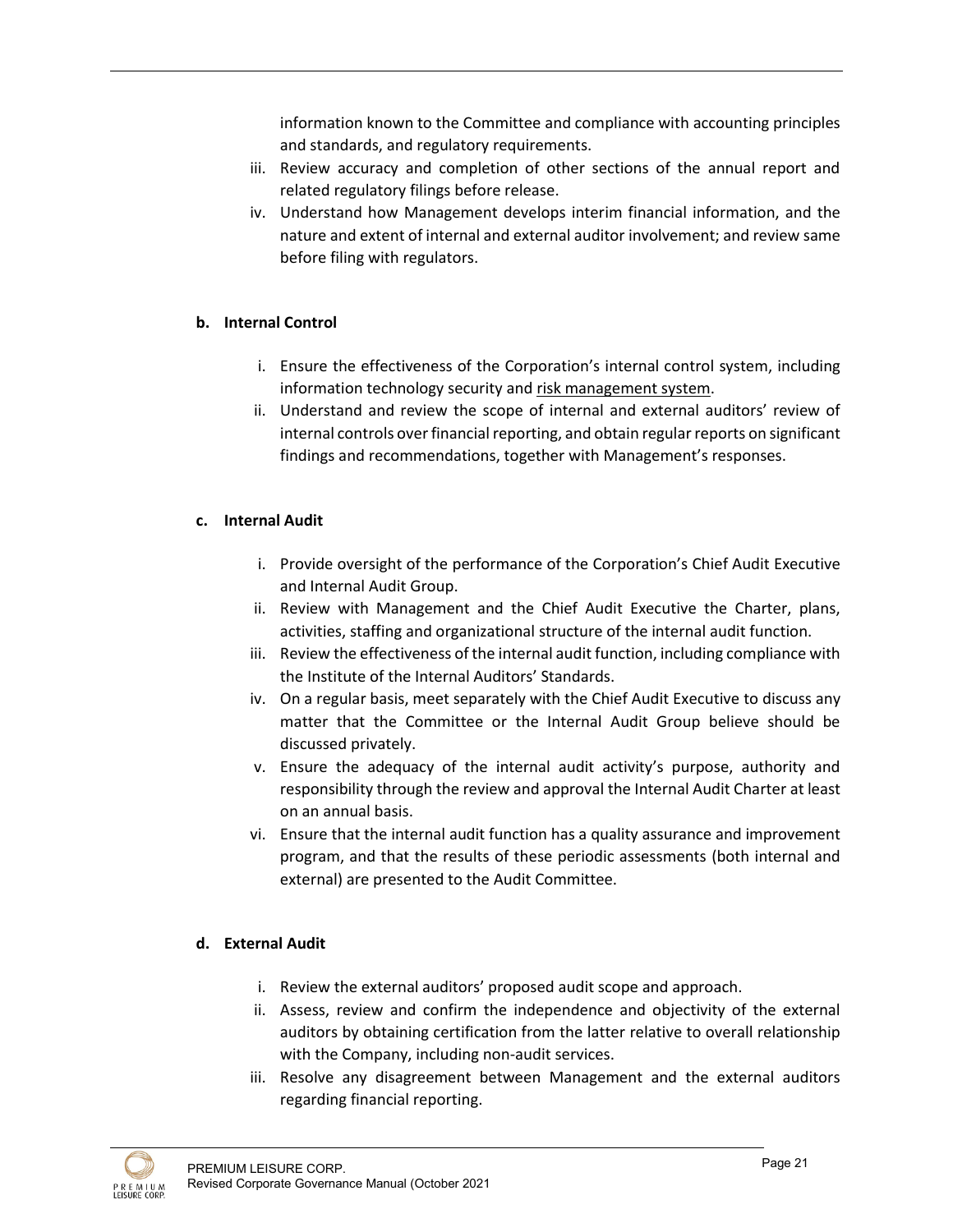information known to the Committee and compliance with accounting principles and standards, and regulatory requirements.

- iii. Review accuracy and completion of other sections of the annual report and related regulatory filings before release.
- iv. Understand how Management develops interim financial information, and the nature and extent of internal and external auditor involvement; and review same before filing with regulators.

# **b. Internal Control**

- i. Ensure the effectiveness of the Corporation's internal control system, including information technology security and risk management system.
- ii. Understand and review the scope of internal and external auditors' review of internal controls over financial reporting, and obtain regular reports on significant findings and recommendations, together with Management's responses.

# **c. Internal Audit**

- i. Provide oversight of the performance of the Corporation's Chief Audit Executive and Internal Audit Group.
- ii. Review with Management and the Chief Audit Executive the Charter, plans, activities, staffing and organizational structure of the internal audit function.
- iii. Review the effectiveness of the internal audit function, including compliance with the Institute of the Internal Auditors' Standards.
- iv. On a regular basis, meet separately with the Chief Audit Executive to discuss any matter that the Committee or the Internal Audit Group believe should be discussed privately.
- v. Ensure the adequacy of the internal audit activity's purpose, authority and responsibility through the review and approval the Internal Audit Charter at least on an annual basis.
- vi. Ensure that the internal audit function has a quality assurance and improvement program, and that the results of these periodic assessments (both internal and external) are presented to the Audit Committee.

## **d. External Audit**

- i. Review the external auditors' proposed audit scope and approach.
- ii. Assess, review and confirm the independence and objectivity of the external auditors by obtaining certification from the latter relative to overall relationship with the Company, including non-audit services.
- iii. Resolve any disagreement between Management and the external auditors regarding financial reporting.

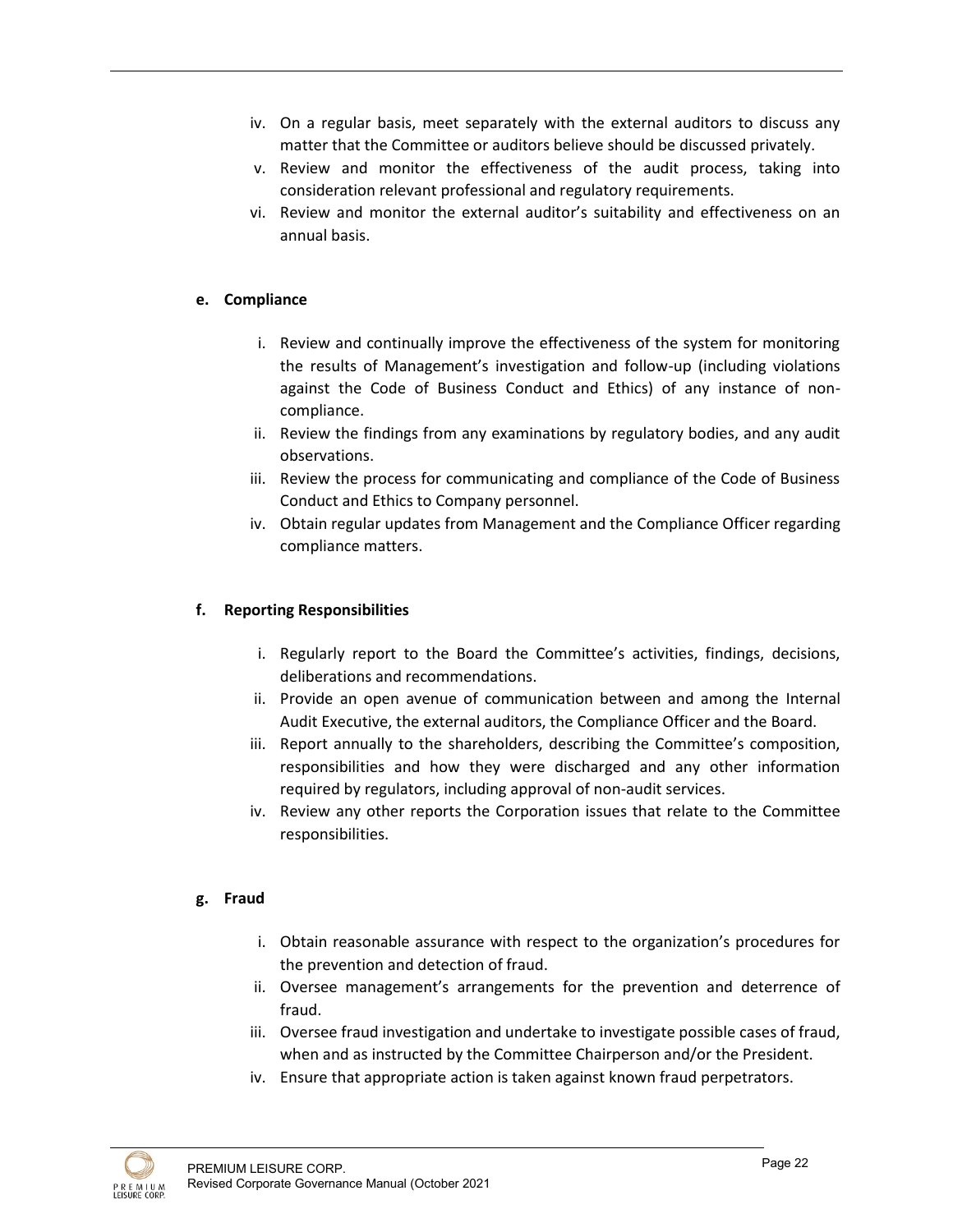- iv. On a regular basis, meet separately with the external auditors to discuss any matter that the Committee or auditors believe should be discussed privately.
- v. Review and monitor the effectiveness of the audit process, taking into consideration relevant professional and regulatory requirements.
- vi. Review and monitor the external auditor's suitability and effectiveness on an annual basis.

# **e. Compliance**

- i. Review and continually improve the effectiveness of the system for monitoring the results of Management's investigation and follow-up (including violations against the Code of Business Conduct and Ethics) of any instance of noncompliance.
- ii. Review the findings from any examinations by regulatory bodies, and any audit observations.
- iii. Review the process for communicating and compliance of the Code of Business Conduct and Ethics to Company personnel.
- iv. Obtain regular updates from Management and the Compliance Officer regarding compliance matters.

## **f. Reporting Responsibilities**

- i. Regularly report to the Board the Committee's activities, findings, decisions, deliberations and recommendations.
- ii. Provide an open avenue of communication between and among the Internal Audit Executive, the external auditors, the Compliance Officer and the Board.
- iii. Report annually to the shareholders, describing the Committee's composition, responsibilities and how they were discharged and any other information required by regulators, including approval of non-audit services.
- iv. Review any other reports the Corporation issues that relate to the Committee responsibilities.

## **g. Fraud**

- i. Obtain reasonable assurance with respect to the organization's procedures for the prevention and detection of fraud.
- ii. Oversee management's arrangements for the prevention and deterrence of fraud.
- iii. Oversee fraud investigation and undertake to investigate possible cases of fraud, when and as instructed by the Committee Chairperson and/or the President.
- iv. Ensure that appropriate action is taken against known fraud perpetrators.

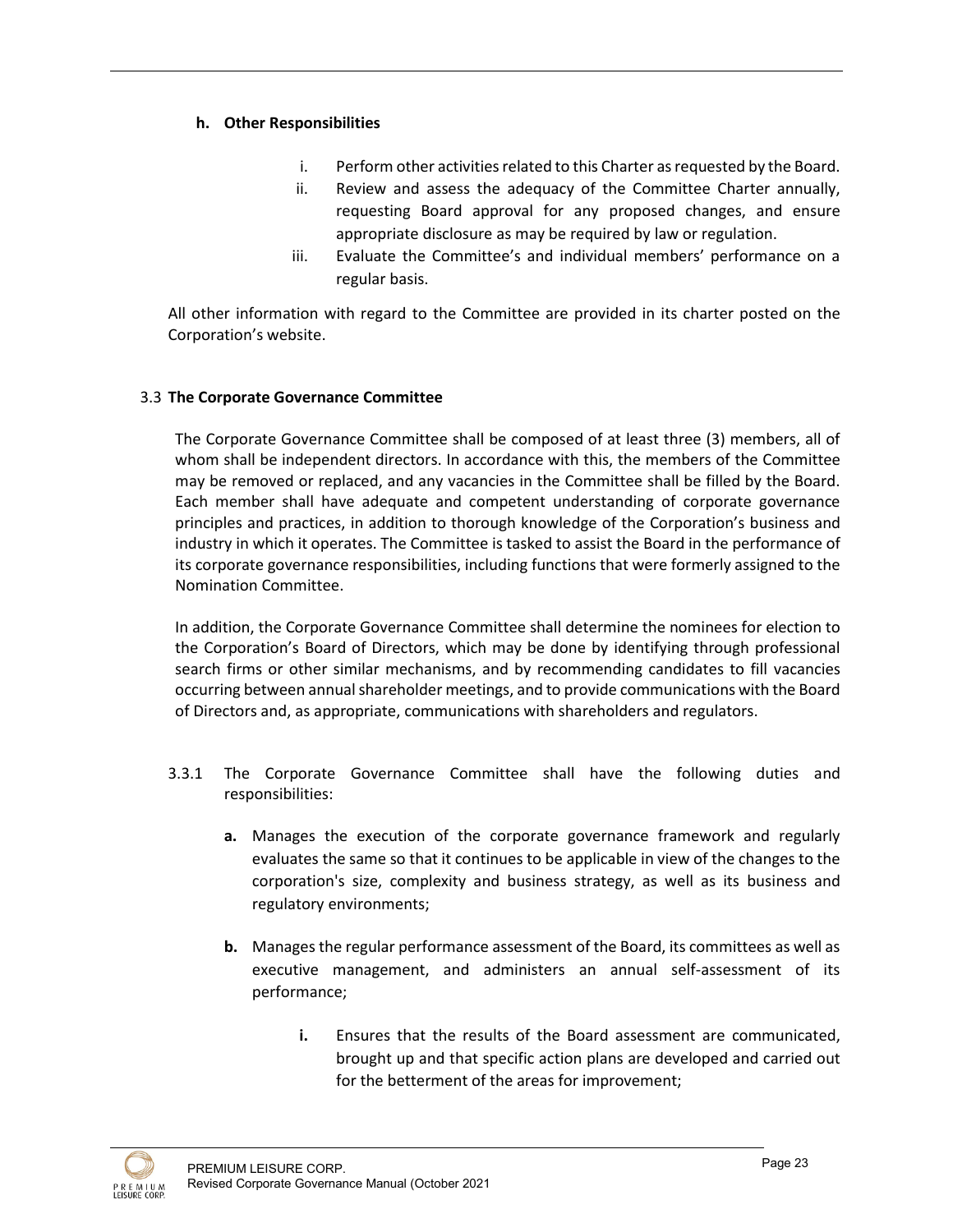# **h. Other Responsibilities**

- i. Perform other activities related to this Charter as requested by the Board.
- ii. Review and assess the adequacy of the Committee Charter annually, requesting Board approval for any proposed changes, and ensure appropriate disclosure as may be required by law or regulation.
- iii. Evaluate the Committee's and individual members' performance on a regular basis.

All other information with regard to the Committee are provided in its charter posted on the Corporation's website.

## 3.3 **The Corporate Governance Committee**

The Corporate Governance Committee shall be composed of at least three (3) members, all of whom shall be independent directors. In accordance with this, the members of the Committee may be removed or replaced, and any vacancies in the Committee shall be filled by the Board. Each member shall have adequate and competent understanding of corporate governance principles and practices, in addition to thorough knowledge of the Corporation's business and industry in which it operates. The Committee is tasked to assist the Board in the performance of its corporate governance responsibilities, including functions that were formerly assigned to the Nomination Committee.

In addition, the Corporate Governance Committee shall determine the nominees for election to the Corporation's Board of Directors, which may be done by identifying through professional search firms or other similar mechanisms, and by recommending candidates to fill vacancies occurring between annual shareholder meetings, and to provide communications with the Board of Directors and, as appropriate, communications with shareholders and regulators.

- 3.3.1 The Corporate Governance Committee shall have the following duties and responsibilities:
	- **a.** Manages the execution of the corporate governance framework and regularly evaluates the same so that it continues to be applicable in view of the changes to the corporation's size, complexity and business strategy, as well as its business and regulatory environments;
	- **b.** Manages the regular performance assessment of the Board, its committees as well as executive management, and administers an annual self-assessment of its performance;
		- **i.** Ensures that the results of the Board assessment are communicated, brought up and that specific action plans are developed and carried out for the betterment of the areas for improvement;

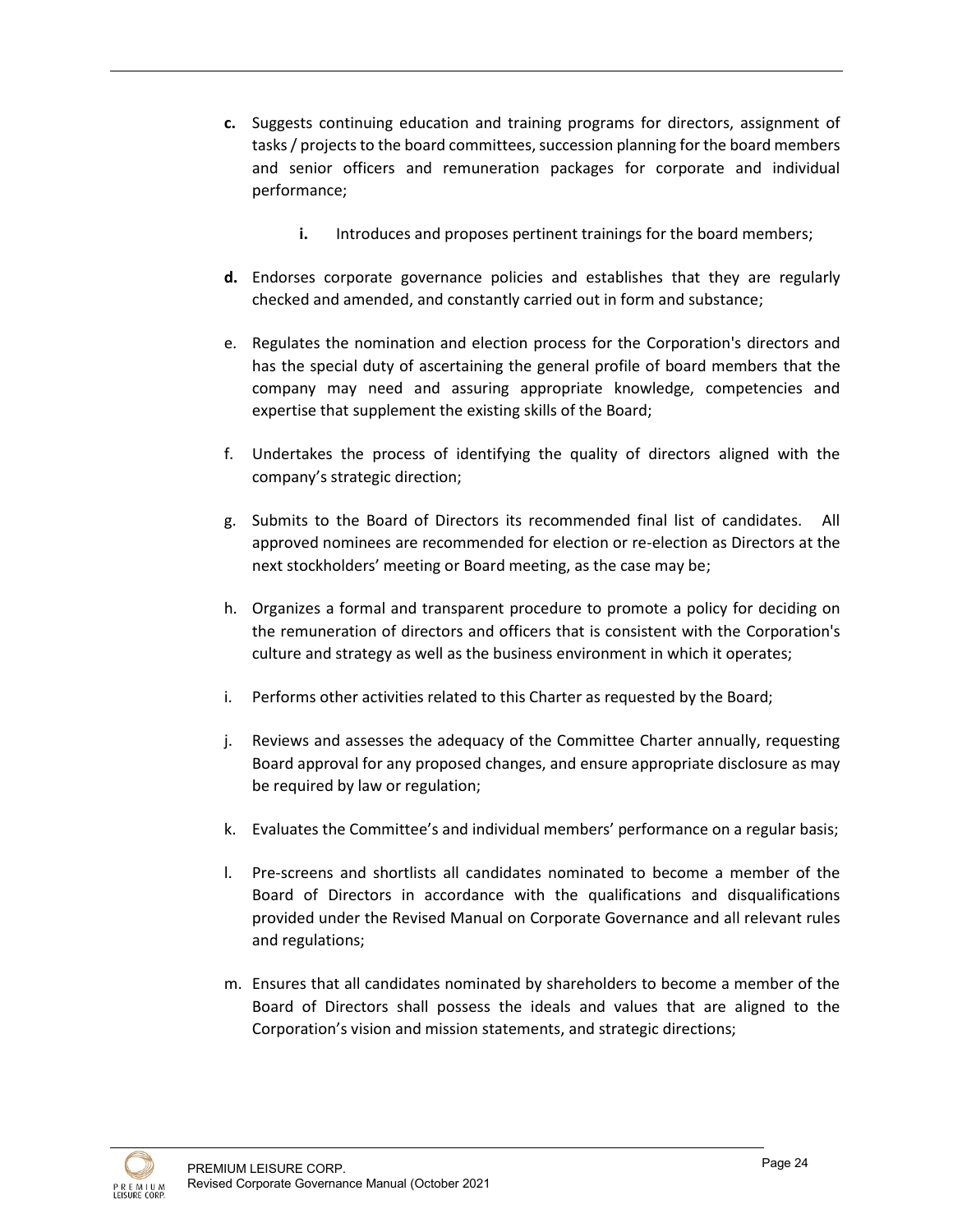- **c.** Suggests continuing education and training programs for directors, assignment of tasks / projects to the board committees, succession planning for the board members and senior officers and remuneration packages for corporate and individual performance;
	- **i.** Introduces and proposes pertinent trainings for the board members;
- **d.** Endorses corporate governance policies and establishes that they are regularly checked and amended, and constantly carried out in form and substance;
- e. Regulates the nomination and election process for the Corporation's directors and has the special duty of ascertaining the general profile of board members that the company may need and assuring appropriate knowledge, competencies and expertise that supplement the existing skills of the Board;
- f. Undertakes the process of identifying the quality of directors aligned with the company's strategic direction;
- g. Submits to the Board of Directors its recommended final list of candidates. All approved nominees are recommended for election or re-election as Directors at the next stockholders' meeting or Board meeting, as the case may be;
- h. Organizes a formal and transparent procedure to promote a policy for deciding on the remuneration of directors and officers that is consistent with the Corporation's culture and strategy as well as the business environment in which it operates;
- i. Performs other activities related to this Charter as requested by the Board;
- j. Reviews and assesses the adequacy of the Committee Charter annually, requesting Board approval for any proposed changes, and ensure appropriate disclosure as may be required by law or regulation;
- k. Evaluates the Committee's and individual members' performance on a regular basis;
- l. Pre-screens and shortlists all candidates nominated to become a member of the Board of Directors in accordance with the qualifications and disqualifications provided under the Revised Manual on Corporate Governance and all relevant rules and regulations;
- m. Ensures that all candidates nominated by shareholders to become a member of the Board of Directors shall possess the ideals and values that are aligned to the Corporation's vision and mission statements, and strategic directions;

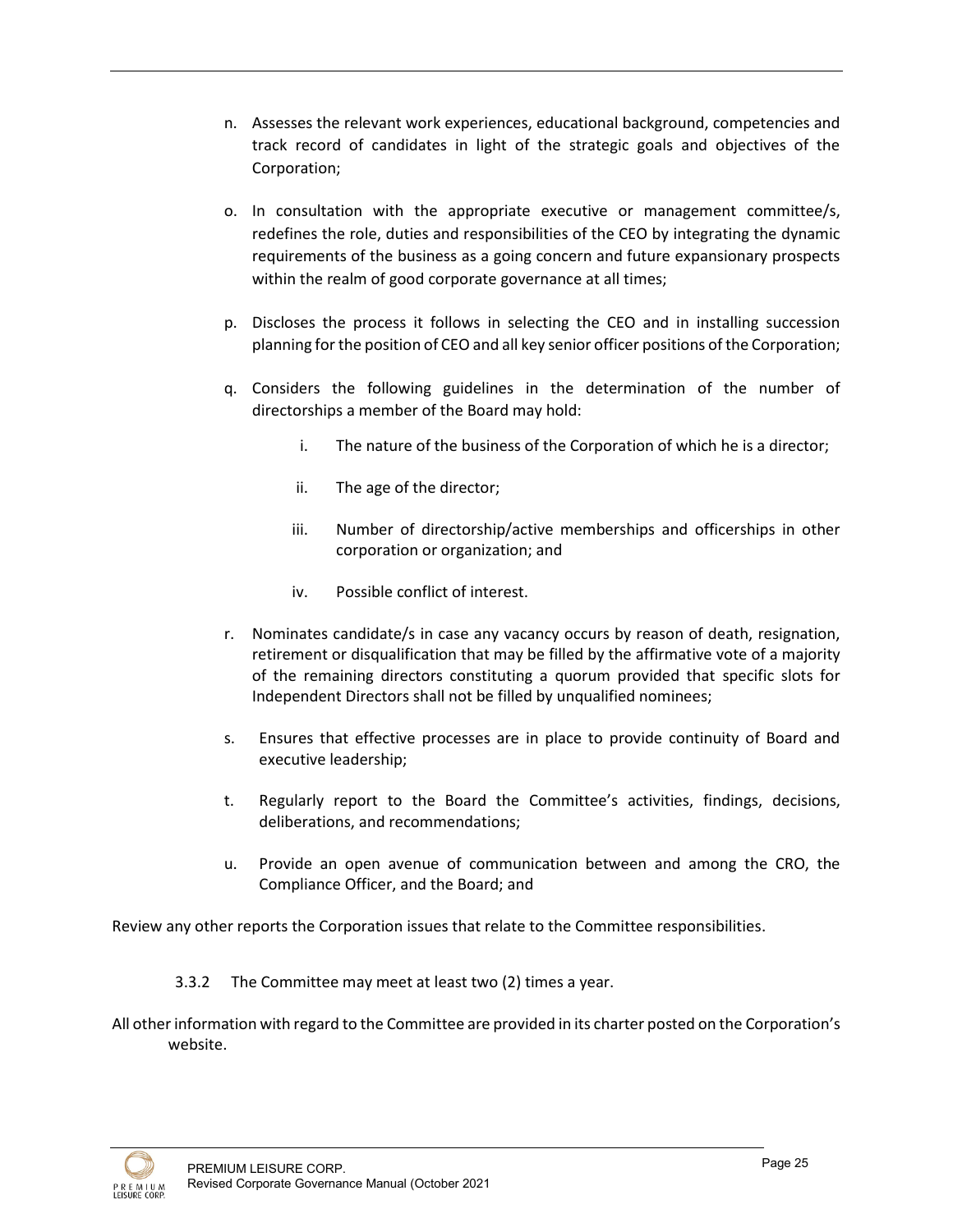- n. Assesses the relevant work experiences, educational background, competencies and track record of candidates in light of the strategic goals and objectives of the Corporation;
- o. In consultation with the appropriate executive or management committee/s, redefines the role, duties and responsibilities of the CEO by integrating the dynamic requirements of the business as a going concern and future expansionary prospects within the realm of good corporate governance at all times;
- p. Discloses the process it follows in selecting the CEO and in installing succession planning for the position of CEO and all key senior officer positions of the Corporation;
- q. Considers the following guidelines in the determination of the number of directorships a member of the Board may hold:
	- i. The nature of the business of the Corporation of which he is a director;
	- ii. The age of the director;
	- iii. Number of directorship/active memberships and officerships in other corporation or organization; and
	- iv. Possible conflict of interest.
- r. Nominates candidate/s in case any vacancy occurs by reason of death, resignation, retirement or disqualification that may be filled by the affirmative vote of a majority of the remaining directors constituting a quorum provided that specific slots for Independent Directors shall not be filled by unqualified nominees;
- s. Ensures that effective processes are in place to provide continuity of Board and executive leadership;
- t. Regularly report to the Board the Committee's activities, findings, decisions, deliberations, and recommendations;
- u. Provide an open avenue of communication between and among the CRO, the Compliance Officer, and the Board; and

Review any other reports the Corporation issues that relate to the Committee responsibilities.

3.3.2 The Committee may meet at least two (2) times a year.

All other information with regard to the Committee are provided in its charter posted on the Corporation's website.

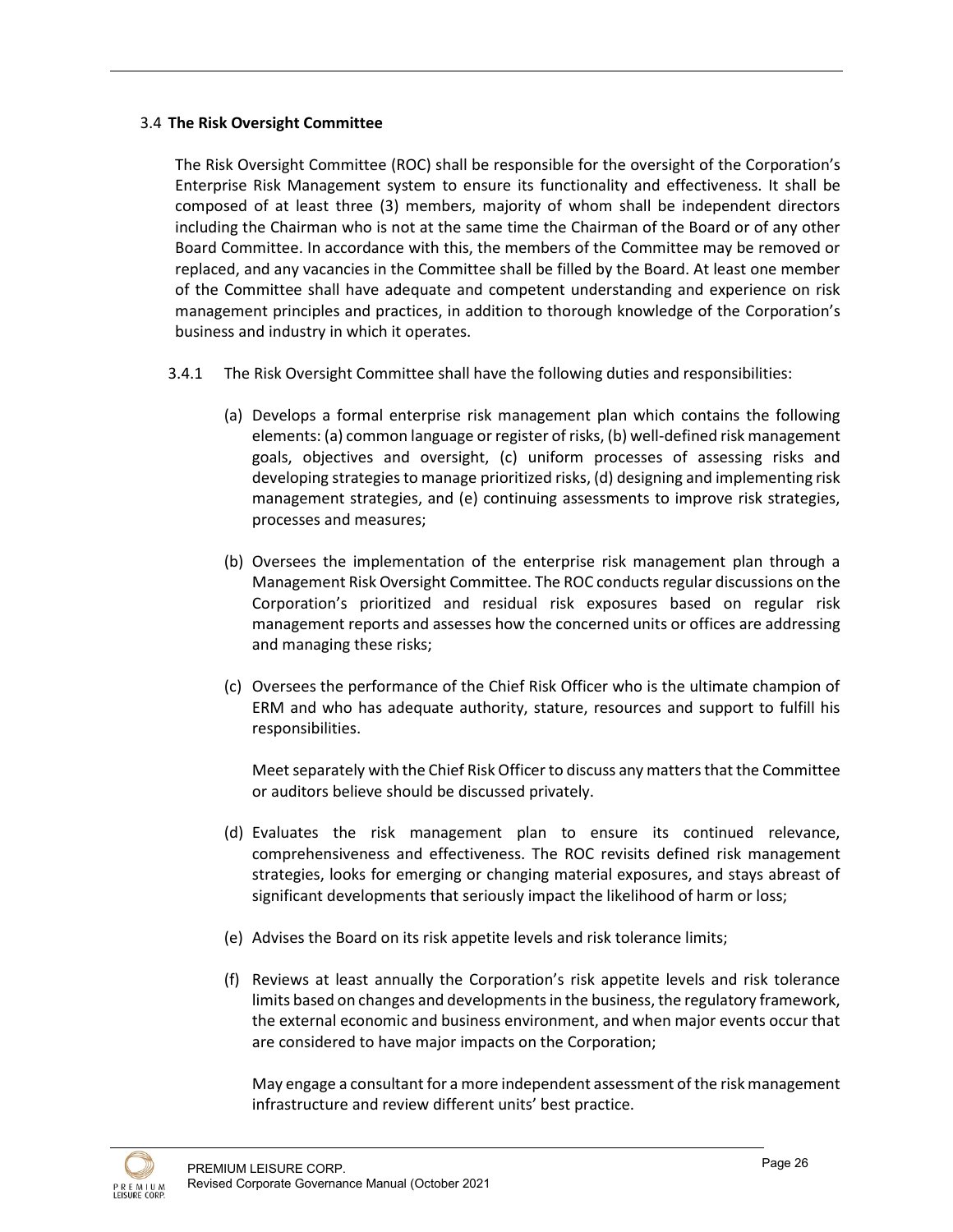## 3.4 **The Risk Oversight Committee**

The Risk Oversight Committee (ROC) shall be responsible for the oversight of the Corporation's Enterprise Risk Management system to ensure its functionality and effectiveness. It shall be composed of at least three (3) members, majority of whom shall be independent directors including the Chairman who is not at the same time the Chairman of the Board or of any other Board Committee. In accordance with this, the members of the Committee may be removed or replaced, and any vacancies in the Committee shall be filled by the Board. At least one member of the Committee shall have adequate and competent understanding and experience on risk management principles and practices, in addition to thorough knowledge of the Corporation's business and industry in which it operates.

- 3.4.1 The Risk Oversight Committee shall have the following duties and responsibilities:
	- (a) Develops a formal enterprise risk management plan which contains the following elements: (a) common language or register of risks, (b) well-defined risk management goals, objectives and oversight, (c) uniform processes of assessing risks and developing strategies to manage prioritized risks, (d) designing and implementing risk management strategies, and (e) continuing assessments to improve risk strategies, processes and measures;
	- (b) Oversees the implementation of the enterprise risk management plan through a Management Risk Oversight Committee. The ROC conducts regular discussions on the Corporation's prioritized and residual risk exposures based on regular risk management reports and assesses how the concerned units or offices are addressing and managing these risks;
	- (c) Oversees the performance of the Chief Risk Officer who is the ultimate champion of ERM and who has adequate authority, stature, resources and support to fulfill his responsibilities.

Meet separately with the Chief Risk Officer to discuss any matters that the Committee or auditors believe should be discussed privately.

- (d) Evaluates the risk management plan to ensure its continued relevance, comprehensiveness and effectiveness. The ROC revisits defined risk management strategies, looks for emerging or changing material exposures, and stays abreast of significant developments that seriously impact the likelihood of harm or loss;
- (e) Advises the Board on its risk appetite levels and risk tolerance limits;
- (f) Reviews at least annually the Corporation's risk appetite levels and risk tolerance limits based on changes and developments in the business, the regulatory framework, the external economic and business environment, and when major events occur that are considered to have major impacts on the Corporation;

May engage a consultant for a more independent assessment of the risk management infrastructure and review different units' best practice.

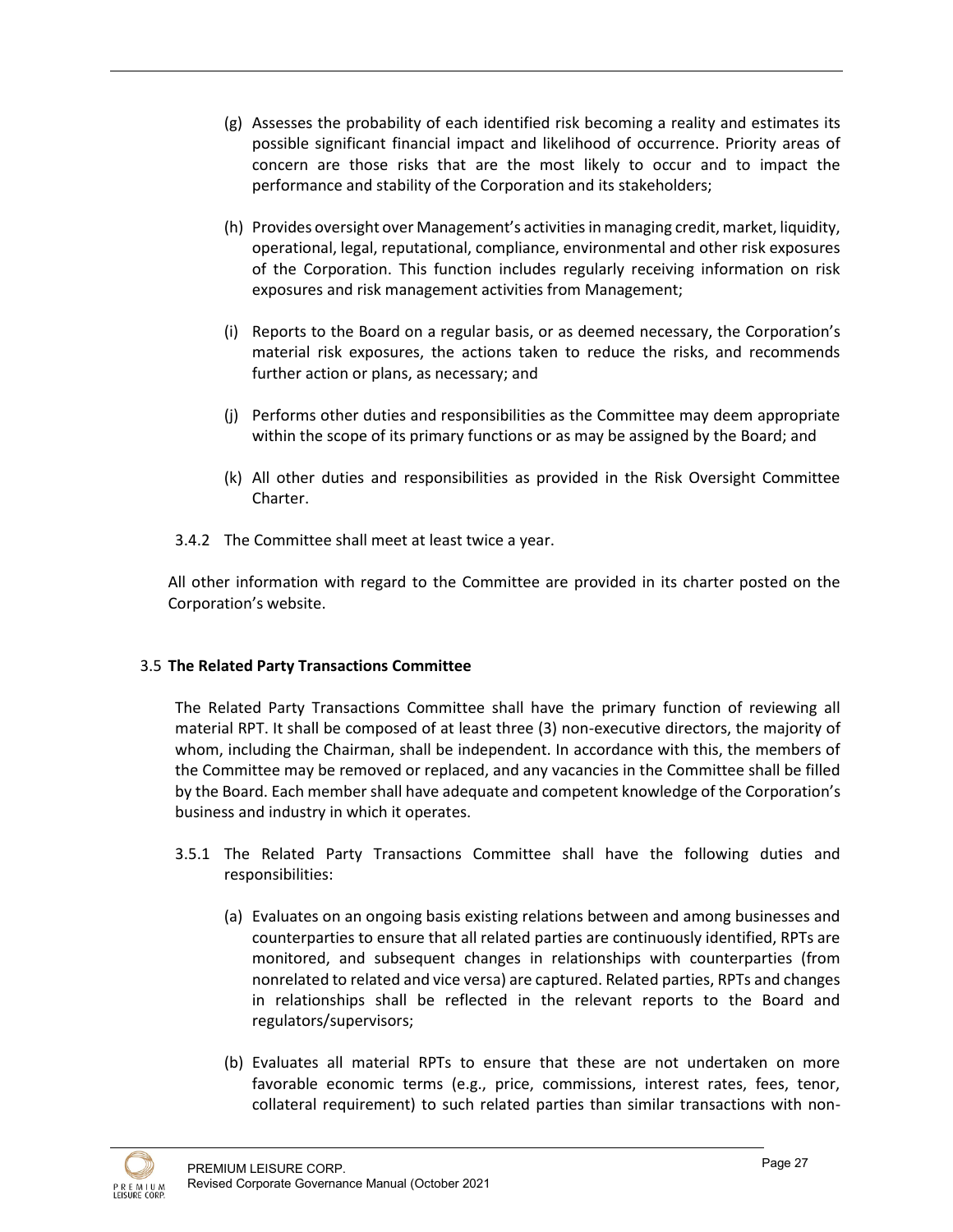- (g) Assesses the probability of each identified risk becoming a reality and estimates its possible significant financial impact and likelihood of occurrence. Priority areas of concern are those risks that are the most likely to occur and to impact the performance and stability of the Corporation and its stakeholders;
- (h) Provides oversight over Management's activities in managing credit, market, liquidity, operational, legal, reputational, compliance, environmental and other risk exposures of the Corporation. This function includes regularly receiving information on risk exposures and risk management activities from Management;
- (i) Reports to the Board on a regular basis, or as deemed necessary, the Corporation's material risk exposures, the actions taken to reduce the risks, and recommends further action or plans, as necessary; and
- (j) Performs other duties and responsibilities as the Committee may deem appropriate within the scope of its primary functions or as may be assigned by the Board; and
- (k) All other duties and responsibilities as provided in the Risk Oversight Committee Charter.
- 3.4.2 The Committee shall meet at least twice a year.

All other information with regard to the Committee are provided in its charter posted on the Corporation's website.

#### 3.5 **The Related Party Transactions Committee**

The Related Party Transactions Committee shall have the primary function of reviewing all material RPT. It shall be composed of at least three (3) non-executive directors, the majority of whom, including the Chairman, shall be independent. In accordance with this, the members of the Committee may be removed or replaced, and any vacancies in the Committee shall be filled by the Board. Each member shall have adequate and competent knowledge of the Corporation's business and industry in which it operates.

- 3.5.1 The Related Party Transactions Committee shall have the following duties and responsibilities:
	- (a) Evaluates on an ongoing basis existing relations between and among businesses and counterparties to ensure that all related parties are continuously identified, RPTs are monitored, and subsequent changes in relationships with counterparties (from nonrelated to related and vice versa) are captured. Related parties, RPTs and changes in relationships shall be reflected in the relevant reports to the Board and regulators/supervisors;
	- (b) Evaluates all material RPTs to ensure that these are not undertaken on more favorable economic terms (e.g., price, commissions, interest rates, fees, tenor, collateral requirement) to such related parties than similar transactions with non-

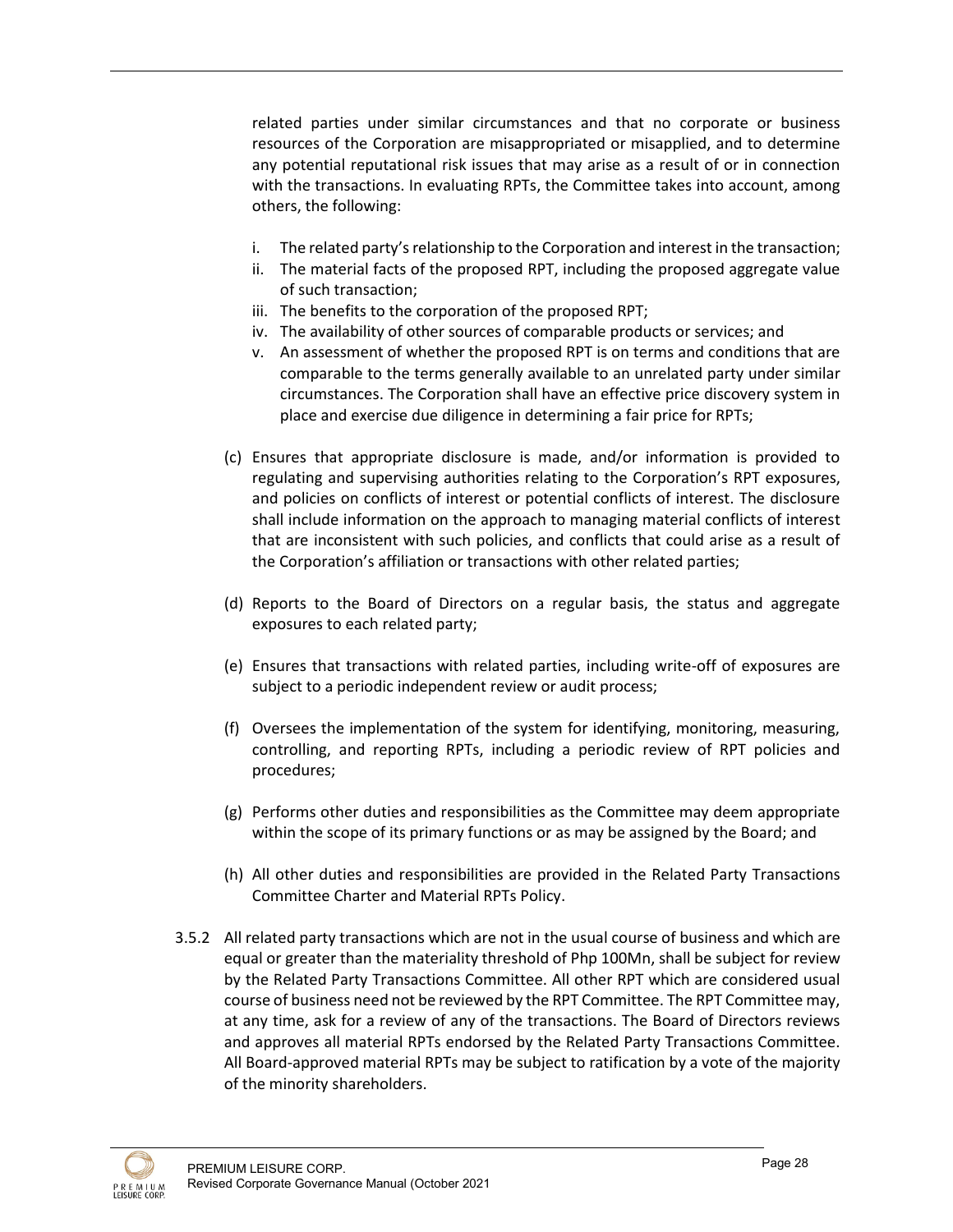related parties under similar circumstances and that no corporate or business resources of the Corporation are misappropriated or misapplied, and to determine any potential reputational risk issues that may arise as a result of or in connection with the transactions. In evaluating RPTs, the Committee takes into account, among others, the following:

- i. The related party's relationship to the Corporation and interest in the transaction;
- ii. The material facts of the proposed RPT, including the proposed aggregate value of such transaction;
- iii. The benefits to the corporation of the proposed RPT;
- iv. The availability of other sources of comparable products or services; and
- v. An assessment of whether the proposed RPT is on terms and conditions that are comparable to the terms generally available to an unrelated party under similar circumstances. The Corporation shall have an effective price discovery system in place and exercise due diligence in determining a fair price for RPTs;
- (c) Ensures that appropriate disclosure is made, and/or information is provided to regulating and supervising authorities relating to the Corporation's RPT exposures, and policies on conflicts of interest or potential conflicts of interest. The disclosure shall include information on the approach to managing material conflicts of interest that are inconsistent with such policies, and conflicts that could arise as a result of the Corporation's affiliation or transactions with other related parties;
- (d) Reports to the Board of Directors on a regular basis, the status and aggregate exposures to each related party;
- (e) Ensures that transactions with related parties, including write-off of exposures are subject to a periodic independent review or audit process;
- (f) Oversees the implementation of the system for identifying, monitoring, measuring, controlling, and reporting RPTs, including a periodic review of RPT policies and procedures;
- (g) Performs other duties and responsibilities as the Committee may deem appropriate within the scope of its primary functions or as may be assigned by the Board; and
- (h) All other duties and responsibilities are provided in the Related Party Transactions Committee Charter and Material RPTs Policy.
- 3.5.2 All related party transactions which are not in the usual course of business and which are equal or greater than the materiality threshold of Php 100Mn, shall be subject for review by the Related Party Transactions Committee. All other RPT which are considered usual course of business need not be reviewed by the RPT Committee. The RPT Committee may, at any time, ask for a review of any of the transactions. The Board of Directors reviews and approves all material RPTs endorsed by the Related Party Transactions Committee. All Board-approved material RPTs may be subject to ratification by a vote of the majority of the minority shareholders.

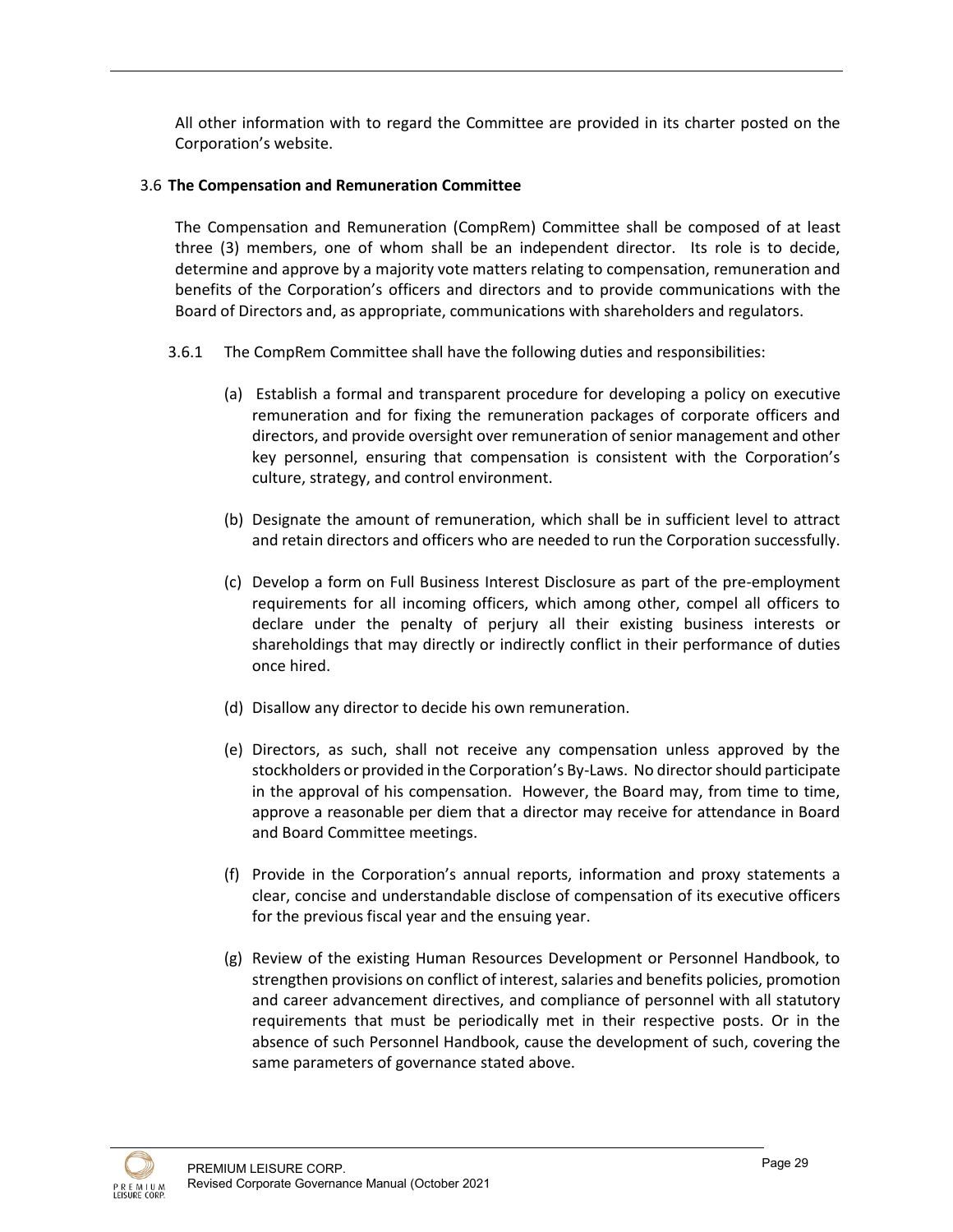All other information with to regard the Committee are provided in its charter posted on the Corporation's website.

#### 3.6 **The Compensation and Remuneration Committee**

The Compensation and Remuneration (CompRem) Committee shall be composed of at least three (3) members, one of whom shall be an independent director. Its role is to decide, determine and approve by a majority vote matters relating to compensation, remuneration and benefits of the Corporation's officers and directors and to provide communications with the Board of Directors and, as appropriate, communications with shareholders and regulators.

- 3.6.1 The CompRem Committee shall have the following duties and responsibilities:
	- (a) Establish a formal and transparent procedure for developing a policy on executive remuneration and for fixing the remuneration packages of corporate officers and directors, and provide oversight over remuneration of senior management and other key personnel, ensuring that compensation is consistent with the Corporation's culture, strategy, and control environment.
	- (b) Designate the amount of remuneration, which shall be in sufficient level to attract and retain directors and officers who are needed to run the Corporation successfully.
	- (c) Develop a form on Full Business Interest Disclosure as part of the pre-employment requirements for all incoming officers, which among other, compel all officers to declare under the penalty of perjury all their existing business interests or shareholdings that may directly or indirectly conflict in their performance of duties once hired.
	- (d) Disallow any director to decide his own remuneration.
	- (e) Directors, as such, shall not receive any compensation unless approved by the stockholders or provided in the Corporation's By-Laws. No director should participate in the approval of his compensation. However, the Board may, from time to time, approve a reasonable per diem that a director may receive for attendance in Board and Board Committee meetings.
	- (f) Provide in the Corporation's annual reports, information and proxy statements a clear, concise and understandable disclose of compensation of its executive officers for the previous fiscal year and the ensuing year.
	- (g) Review of the existing Human Resources Development or Personnel Handbook, to strengthen provisions on conflict of interest, salaries and benefits policies, promotion and career advancement directives, and compliance of personnel with all statutory requirements that must be periodically met in their respective posts. Or in the absence of such Personnel Handbook, cause the development of such, covering the same parameters of governance stated above.

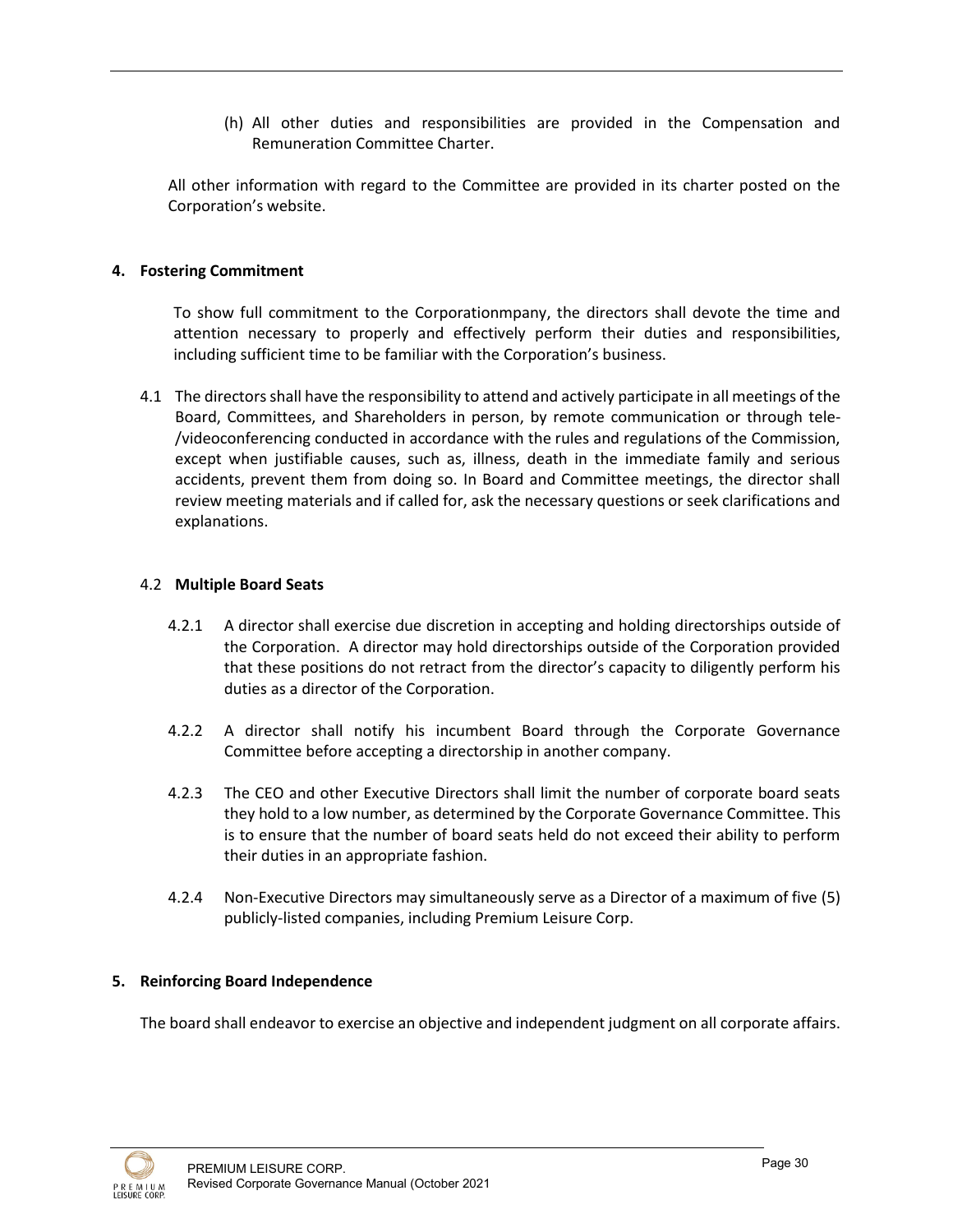(h) All other duties and responsibilities are provided in the Compensation and Remuneration Committee Charter.

All other information with regard to the Committee are provided in its charter posted on the Corporation's website.

## **4. Fostering Commitment**

To show full commitment to the Corporationmpany, the directors shall devote the time and attention necessary to properly and effectively perform their duties and responsibilities, including sufficient time to be familiar with the Corporation's business.

4.1 The directors shall have the responsibility to attend and actively participate in all meetings of the Board, Committees, and Shareholders in person, by remote communication or through tele- /videoconferencing conducted in accordance with the rules and regulations of the Commission, except when justifiable causes, such as, illness, death in the immediate family and serious accidents, prevent them from doing so. In Board and Committee meetings, the director shall review meeting materials and if called for, ask the necessary questions or seek clarifications and explanations.

## 4.2 **Multiple Board Seats**

- 4.2.1 A director shall exercise due discretion in accepting and holding directorships outside of the Corporation. A director may hold directorships outside of the Corporation provided that these positions do not retract from the director's capacity to diligently perform his duties as a director of the Corporation.
- 4.2.2 A director shall notify his incumbent Board through the Corporate Governance Committee before accepting a directorship in another company.
- 4.2.3 The CEO and other Executive Directors shall limit the number of corporate board seats they hold to a low number, as determined by the Corporate Governance Committee. This is to ensure that the number of board seats held do not exceed their ability to perform their duties in an appropriate fashion.
- 4.2.4 Non-Executive Directors may simultaneously serve as a Director of a maximum of five (5) publicly-listed companies, including Premium Leisure Corp.

#### **5. Reinforcing Board Independence**

The board shall endeavor to exercise an objective and independent judgment on all corporate affairs.

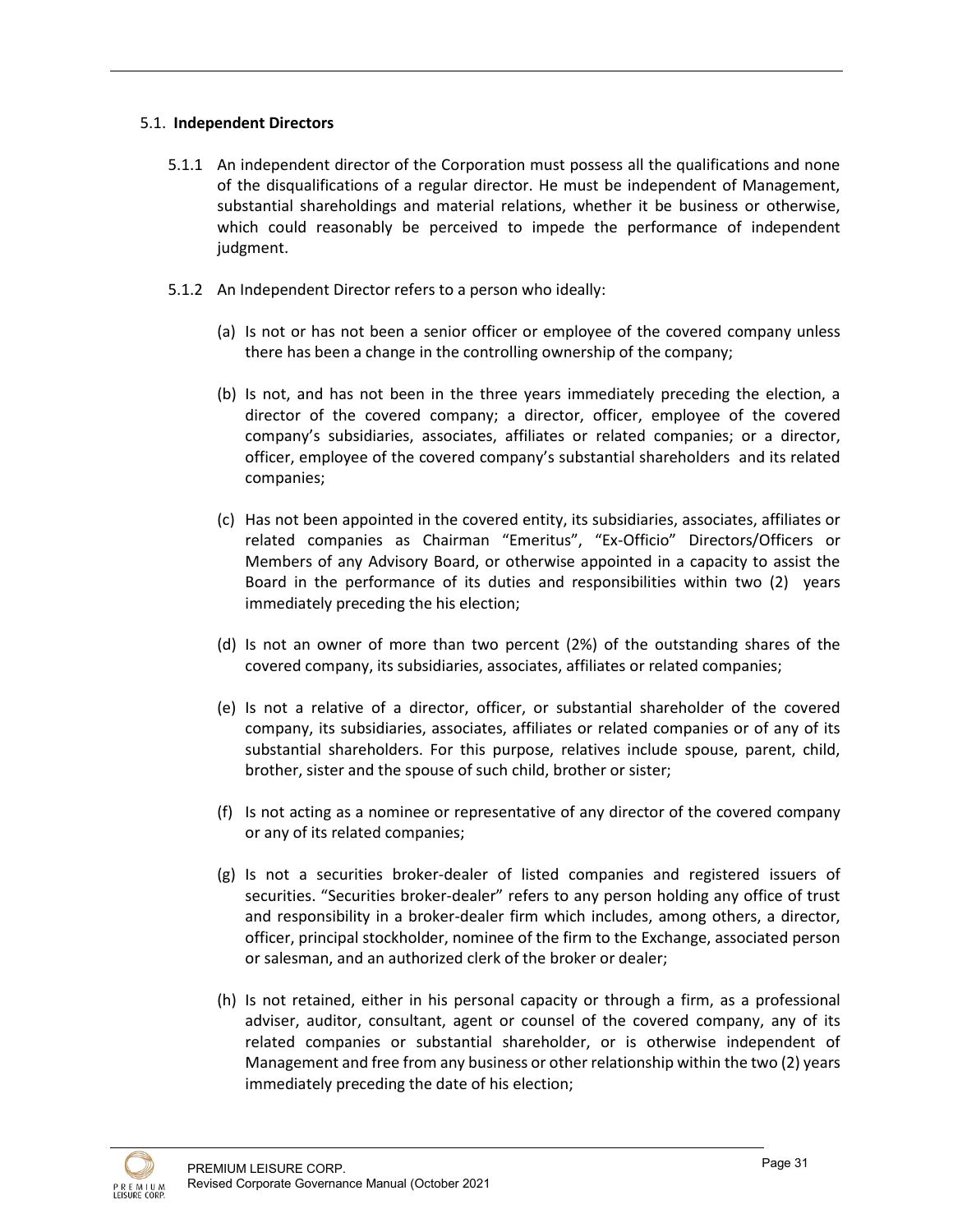## 5.1. **Independent Directors**

- 5.1.1 An independent director of the Corporation must possess all the qualifications and none of the disqualifications of a regular director. He must be independent of Management, substantial shareholdings and material relations, whether it be business or otherwise, which could reasonably be perceived to impede the performance of independent judgment.
- 5.1.2 An Independent Director refers to a person who ideally:
	- (a) Is not or has not been a senior officer or employee of the covered company unless there has been a change in the controlling ownership of the company;
	- (b) Is not, and has not been in the three years immediately preceding the election, a director of the covered company; a director, officer, employee of the covered company's subsidiaries, associates, affiliates or related companies; or a director, officer, employee of the covered company's substantial shareholders and its related companies;
	- (c) Has not been appointed in the covered entity, its subsidiaries, associates, affiliates or related companies as Chairman "Emeritus", "Ex-Officio" Directors/Officers or Members of any Advisory Board, or otherwise appointed in a capacity to assist the Board in the performance of its duties and responsibilities within two (2) years immediately preceding the his election;
	- (d) Is not an owner of more than two percent (2%) of the outstanding shares of the covered company, its subsidiaries, associates, affiliates or related companies;
	- (e) Is not a relative of a director, officer, or substantial shareholder of the covered company, its subsidiaries, associates, affiliates or related companies or of any of its substantial shareholders. For this purpose, relatives include spouse, parent, child, brother, sister and the spouse of such child, brother or sister;
	- (f) Is not acting as a nominee or representative of any director of the covered company or any of its related companies;
	- (g) Is not a securities broker-dealer of listed companies and registered issuers of securities. "Securities broker-dealer" refers to any person holding any office of trust and responsibility in a broker-dealer firm which includes, among others, a director, officer, principal stockholder, nominee of the firm to the Exchange, associated person or salesman, and an authorized clerk of the broker or dealer;
	- (h) Is not retained, either in his personal capacity or through a firm, as a professional adviser, auditor, consultant, agent or counsel of the covered company, any of its related companies or substantial shareholder, or is otherwise independent of Management and free from any business or other relationship within the two (2) years immediately preceding the date of his election;

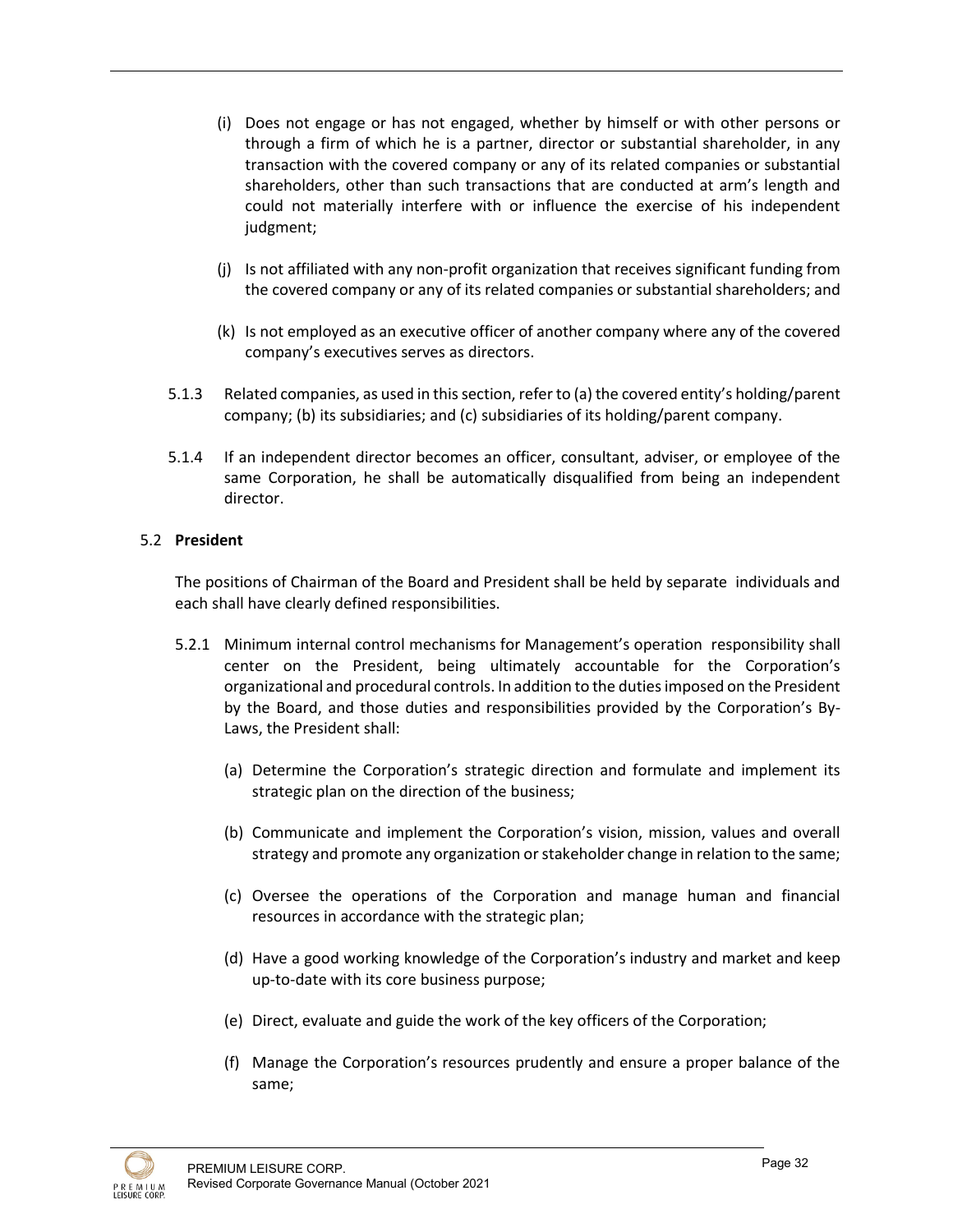- (i) Does not engage or has not engaged, whether by himself or with other persons or through a firm of which he is a partner, director or substantial shareholder, in any transaction with the covered company or any of its related companies or substantial shareholders, other than such transactions that are conducted at arm's length and could not materially interfere with or influence the exercise of his independent judgment;
- (j) Is not affiliated with any non-profit organization that receives significant funding from the covered company or any of its related companies or substantial shareholders; and
- (k) Is not employed as an executive officer of another company where any of the covered company's executives serves as directors.
- 5.1.3 Related companies, as used in this section, refer to (a) the covered entity's holding/parent company; (b) its subsidiaries; and (c) subsidiaries of its holding/parent company.
- 5.1.4 If an independent director becomes an officer, consultant, adviser, or employee of the same Corporation, he shall be automatically disqualified from being an independent director.

## 5.2 **President**

The positions of Chairman of the Board and President shall be held by separate individuals and each shall have clearly defined responsibilities.

- 5.2.1 Minimum internal control mechanisms for Management's operation responsibility shall center on the President, being ultimately accountable for the Corporation's organizational and procedural controls. In addition to the duties imposed on the President by the Board, and those duties and responsibilities provided by the Corporation's By-Laws, the President shall:
	- (a) Determine the Corporation's strategic direction and formulate and implement its strategic plan on the direction of the business;
	- (b) Communicate and implement the Corporation's vision, mission, values and overall strategy and promote any organization or stakeholder change in relation to the same;
	- (c) Oversee the operations of the Corporation and manage human and financial resources in accordance with the strategic plan;
	- (d) Have a good working knowledge of the Corporation's industry and market and keep up-to-date with its core business purpose;
	- (e) Direct, evaluate and guide the work of the key officers of the Corporation;
	- (f) Manage the Corporation's resources prudently and ensure a proper balance of the same;

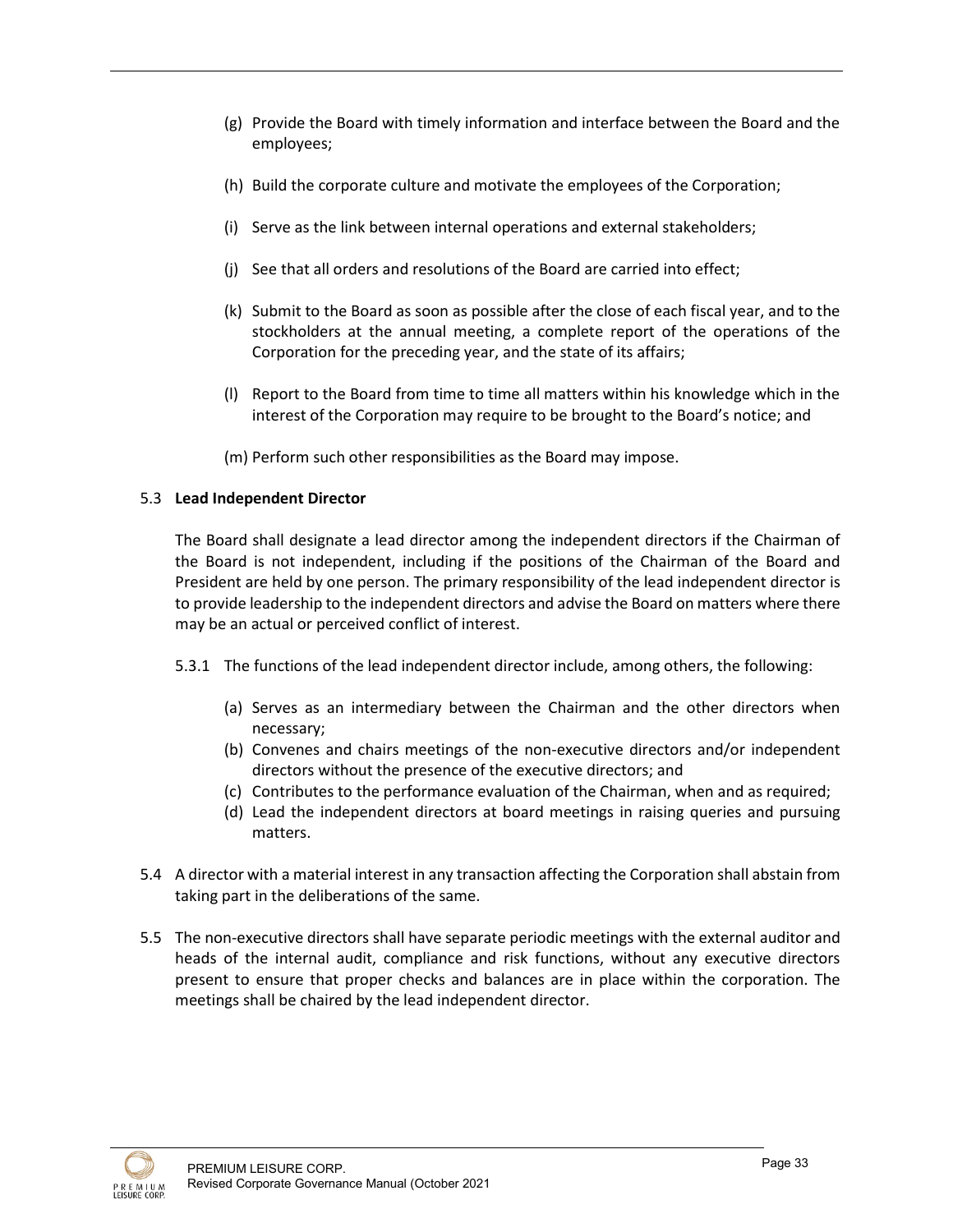- (g) Provide the Board with timely information and interface between the Board and the employees;
- (h) Build the corporate culture and motivate the employees of the Corporation;
- (i) Serve as the link between internal operations and external stakeholders;
- (j) See that all orders and resolutions of the Board are carried into effect;
- (k) Submit to the Board as soon as possible after the close of each fiscal year, and to the stockholders at the annual meeting, a complete report of the operations of the Corporation for the preceding year, and the state of its affairs;
- (l) Report to the Board from time to time all matters within his knowledge which in the interest of the Corporation may require to be brought to the Board's notice; and

(m) Perform such other responsibilities as the Board may impose.

## 5.3 **Lead Independent Director**

The Board shall designate a lead director among the independent directors if the Chairman of the Board is not independent, including if the positions of the Chairman of the Board and President are held by one person. The primary responsibility of the lead independent director is to provide leadership to the independent directors and advise the Board on matters where there may be an actual or perceived conflict of interest.

- 5.3.1 The functions of the lead independent director include, among others, the following:
	- (a) Serves as an intermediary between the Chairman and the other directors when necessary;
	- (b) Convenes and chairs meetings of the non-executive directors and/or independent directors without the presence of the executive directors; and
	- (c) Contributes to the performance evaluation of the Chairman, when and as required;
	- (d) Lead the independent directors at board meetings in raising queries and pursuing matters.
- 5.4 A director with a material interest in any transaction affecting the Corporation shall abstain from taking part in the deliberations of the same.
- 5.5 The non-executive directors shall have separate periodic meetings with the external auditor and heads of the internal audit, compliance and risk functions, without any executive directors present to ensure that proper checks and balances are in place within the corporation. The meetings shall be chaired by the lead independent director.

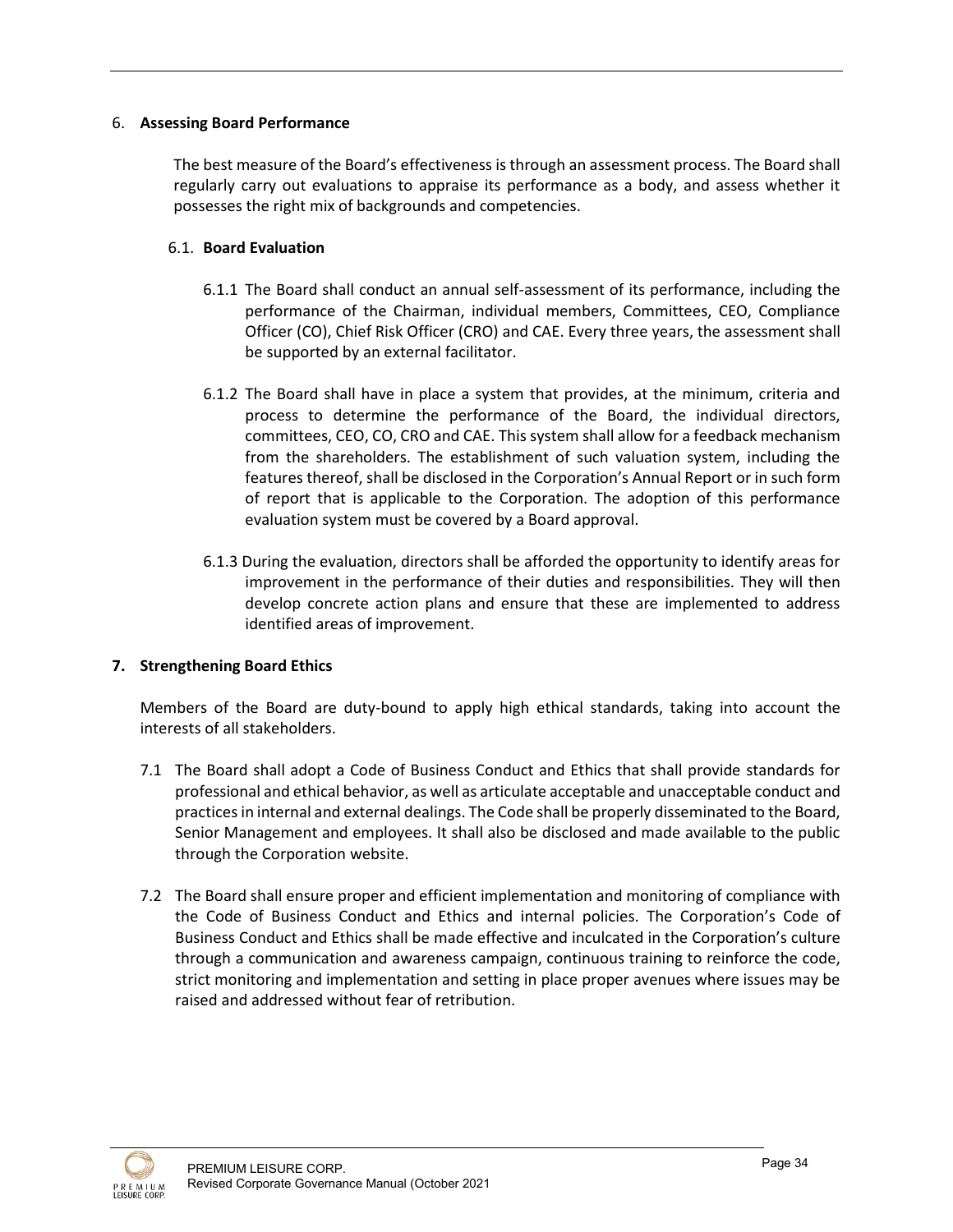## 6. **Assessing Board Performance**

The best measure of the Board's effectiveness is through an assessment process. The Board shall regularly carry out evaluations to appraise its performance as a body, and assess whether it possesses the right mix of backgrounds and competencies.

## 6.1. **Board Evaluation**

- 6.1.1 The Board shall conduct an annual self-assessment of its performance, including the performance of the Chairman, individual members, Committees, CEO, Compliance Officer (CO), Chief Risk Officer (CRO) and CAE. Every three years, the assessment shall be supported by an external facilitator.
- 6.1.2 The Board shall have in place a system that provides, at the minimum, criteria and process to determine the performance of the Board, the individual directors, committees, CEO, CO, CRO and CAE. This system shall allow for a feedback mechanism from the shareholders. The establishment of such valuation system, including the features thereof, shall be disclosed in the Corporation's Annual Report or in such form of report that is applicable to the Corporation. The adoption of this performance evaluation system must be covered by a Board approval.
- 6.1.3 During the evaluation, directors shall be afforded the opportunity to identify areas for improvement in the performance of their duties and responsibilities. They will then develop concrete action plans and ensure that these are implemented to address identified areas of improvement.

## **7. Strengthening Board Ethics**

Members of the Board are duty-bound to apply high ethical standards, taking into account the interests of all stakeholders.

- 7.1 The Board shall adopt a Code of Business Conduct and Ethics that shall provide standards for professional and ethical behavior, as well as articulate acceptable and unacceptable conduct and practices in internal and external dealings. The Code shall be properly disseminated to the Board, Senior Management and employees. It shall also be disclosed and made available to the public through the Corporation website.
- 7.2 The Board shall ensure proper and efficient implementation and monitoring of compliance with the Code of Business Conduct and Ethics and internal policies. The Corporation's Code of Business Conduct and Ethics shall be made effective and inculcated in the Corporation's culture through a communication and awareness campaign, continuous training to reinforce the code, strict monitoring and implementation and setting in place proper avenues where issues may be raised and addressed without fear of retribution.

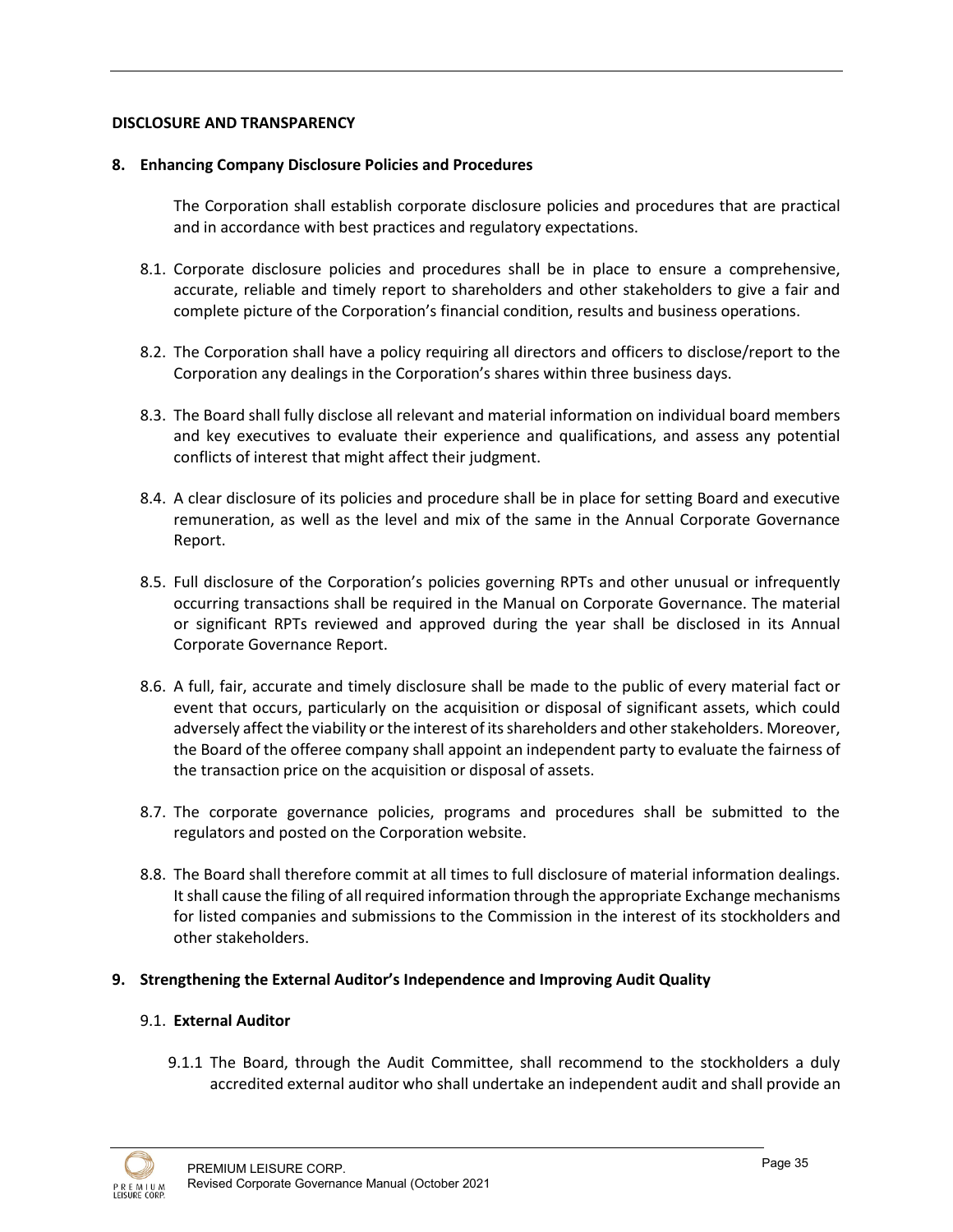## **DISCLOSURE AND TRANSPARENCY**

#### **8. Enhancing Company Disclosure Policies and Procedures**

The Corporation shall establish corporate disclosure policies and procedures that are practical and in accordance with best practices and regulatory expectations.

- 8.1. Corporate disclosure policies and procedures shall be in place to ensure a comprehensive, accurate, reliable and timely report to shareholders and other stakeholders to give a fair and complete picture of the Corporation's financial condition, results and business operations.
- 8.2. The Corporation shall have a policy requiring all directors and officers to disclose/report to the Corporation any dealings in the Corporation's shares within three business days.
- 8.3. The Board shall fully disclose all relevant and material information on individual board members and key executives to evaluate their experience and qualifications, and assess any potential conflicts of interest that might affect their judgment.
- 8.4. A clear disclosure of its policies and procedure shall be in place for setting Board and executive remuneration, as well as the level and mix of the same in the Annual Corporate Governance Report.
- 8.5. Full disclosure of the Corporation's policies governing RPTs and other unusual or infrequently occurring transactions shall be required in the Manual on Corporate Governance. The material or significant RPTs reviewed and approved during the year shall be disclosed in its Annual Corporate Governance Report.
- 8.6. A full, fair, accurate and timely disclosure shall be made to the public of every material fact or event that occurs, particularly on the acquisition or disposal of significant assets, which could adversely affect the viability or the interest of its shareholders and other stakeholders. Moreover, the Board of the offeree company shall appoint an independent party to evaluate the fairness of the transaction price on the acquisition or disposal of assets.
- 8.7. The corporate governance policies, programs and procedures shall be submitted to the regulators and posted on the Corporation website.
- 8.8. The Board shall therefore commit at all times to full disclosure of material information dealings. It shall cause the filing of all required information through the appropriate Exchange mechanisms for listed companies and submissions to the Commission in the interest of its stockholders and other stakeholders.

## **9. Strengthening the External Auditor's Independence and Improving Audit Quality**

#### 9.1. **External Auditor**

9.1.1 The Board, through the Audit Committee, shall recommend to the stockholders a duly accredited external auditor who shall undertake an independent audit and shall provide an

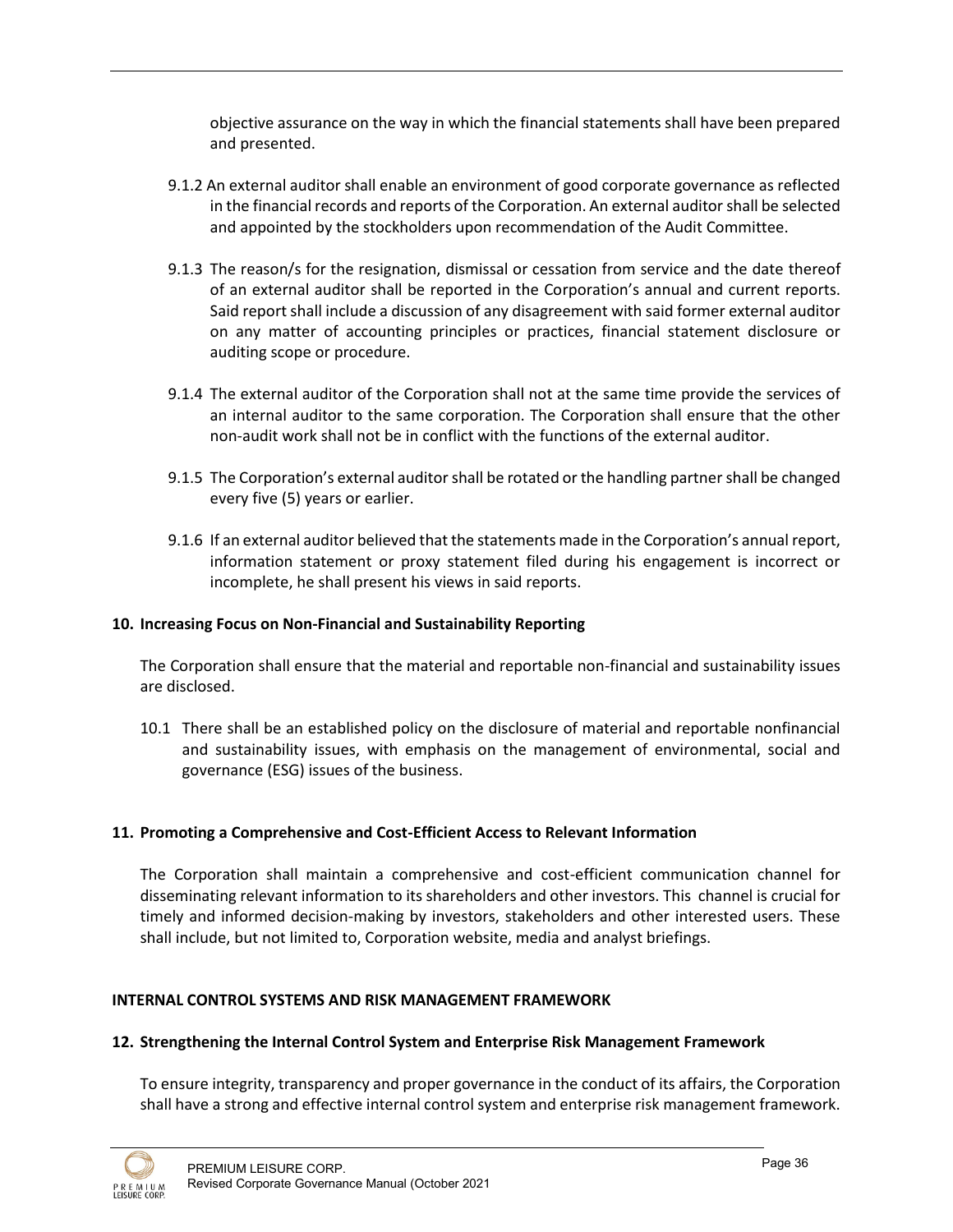objective assurance on the way in which the financial statements shall have been prepared and presented.

- 9.1.2 An external auditor shall enable an environment of good corporate governance as reflected in the financial records and reports of the Corporation. An external auditor shall be selected and appointed by the stockholders upon recommendation of the Audit Committee.
- 9.1.3 The reason/s for the resignation, dismissal or cessation from service and the date thereof of an external auditor shall be reported in the Corporation's annual and current reports. Said report shall include a discussion of any disagreement with said former external auditor on any matter of accounting principles or practices, financial statement disclosure or auditing scope or procedure.
- 9.1.4 The external auditor of the Corporation shall not at the same time provide the services of an internal auditor to the same corporation. The Corporation shall ensure that the other non-audit work shall not be in conflict with the functions of the external auditor.
- 9.1.5 The Corporation's external auditor shall be rotated or the handling partner shall be changed every five (5) years or earlier.
- 9.1.6 If an external auditor believed that the statements made in the Corporation's annual report, information statement or proxy statement filed during his engagement is incorrect or incomplete, he shall present his views in said reports.

## **10. Increasing Focus on Non-Financial and Sustainability Reporting**

The Corporation shall ensure that the material and reportable non-financial and sustainability issues are disclosed.

10.1 There shall be an established policy on the disclosure of material and reportable nonfinancial and sustainability issues, with emphasis on the management of environmental, social and governance (ESG) issues of the business.

#### **11. Promoting a Comprehensive and Cost-Efficient Access to Relevant Information**

The Corporation shall maintain a comprehensive and cost-efficient communication channel for disseminating relevant information to its shareholders and other investors. This channel is crucial for timely and informed decision-making by investors, stakeholders and other interested users. These shall include, but not limited to, Corporation website, media and analyst briefings.

#### **INTERNAL CONTROL SYSTEMS AND RISK MANAGEMENT FRAMEWORK**

#### **12. Strengthening the Internal Control System and Enterprise Risk Management Framework**

To ensure integrity, transparency and proper governance in the conduct of its affairs, the Corporation shall have a strong and effective internal control system and enterprise risk management framework.

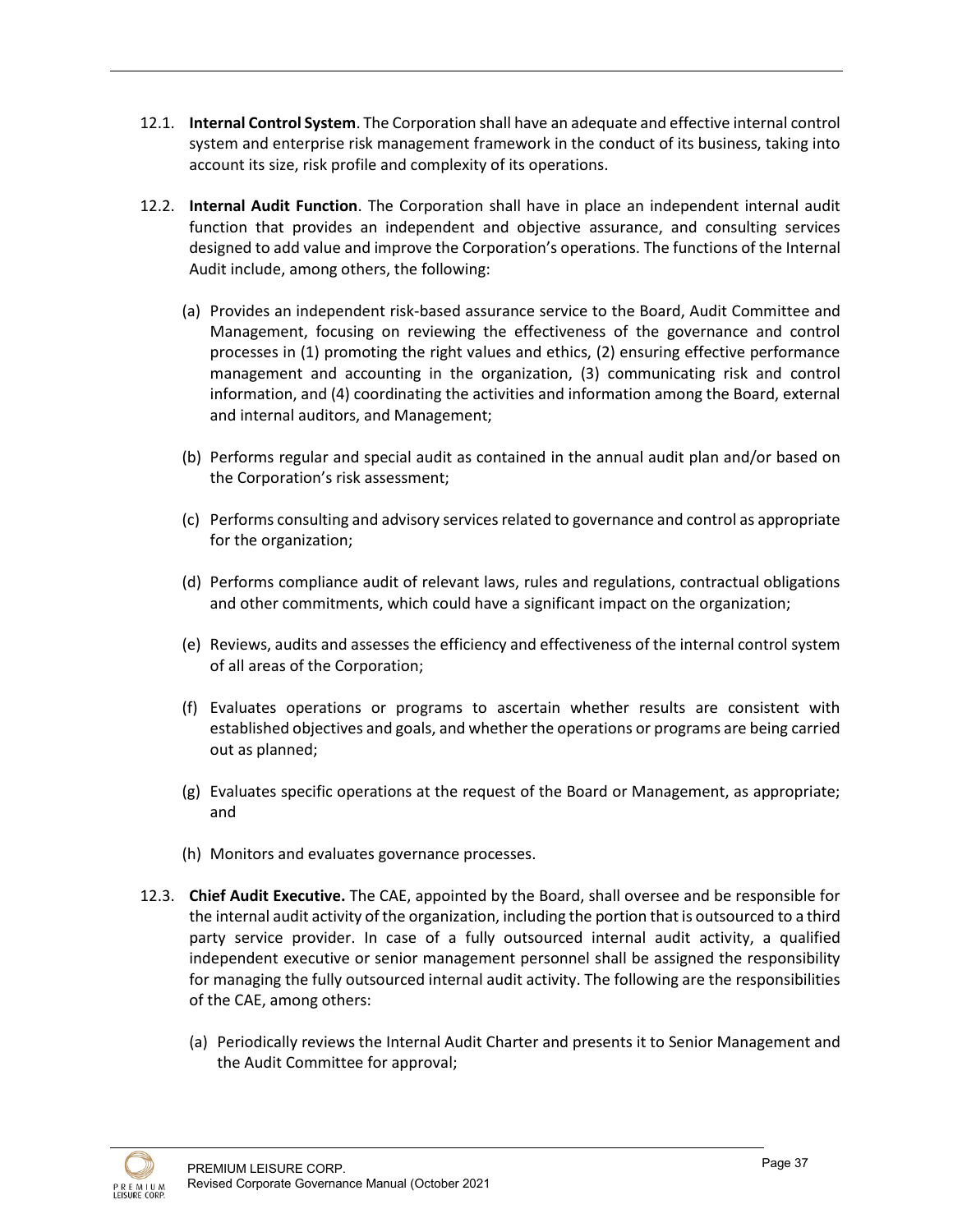- 12.1. **Internal Control System**. The Corporation shall have an adequate and effective internal control system and enterprise risk management framework in the conduct of its business, taking into account its size, risk profile and complexity of its operations.
- 12.2. **Internal Audit Function**. The Corporation shall have in place an independent internal audit function that provides an independent and objective assurance, and consulting services designed to add value and improve the Corporation's operations. The functions of the Internal Audit include, among others, the following:
	- (a) Provides an independent risk-based assurance service to the Board, Audit Committee and Management, focusing on reviewing the effectiveness of the governance and control processes in (1) promoting the right values and ethics, (2) ensuring effective performance management and accounting in the organization, (3) communicating risk and control information, and (4) coordinating the activities and information among the Board, external and internal auditors, and Management;
	- (b) Performs regular and special audit as contained in the annual audit plan and/or based on the Corporation's risk assessment;
	- (c) Performs consulting and advisory services related to governance and control as appropriate for the organization;
	- (d) Performs compliance audit of relevant laws, rules and regulations, contractual obligations and other commitments, which could have a significant impact on the organization;
	- (e) Reviews, audits and assesses the efficiency and effectiveness of the internal control system of all areas of the Corporation;
	- (f) Evaluates operations or programs to ascertain whether results are consistent with established objectives and goals, and whether the operations or programs are being carried out as planned;
	- (g) Evaluates specific operations at the request of the Board or Management, as appropriate; and
	- (h) Monitors and evaluates governance processes.
- 12.3. **Chief Audit Executive.** The CAE, appointed by the Board, shall oversee and be responsible for the internal audit activity of the organization, including the portion that is outsourced to a third party service provider. In case of a fully outsourced internal audit activity, a qualified independent executive or senior management personnel shall be assigned the responsibility for managing the fully outsourced internal audit activity. The following are the responsibilities of the CAE, among others:
	- (a) Periodically reviews the Internal Audit Charter and presents it to Senior Management and the Audit Committee for approval;

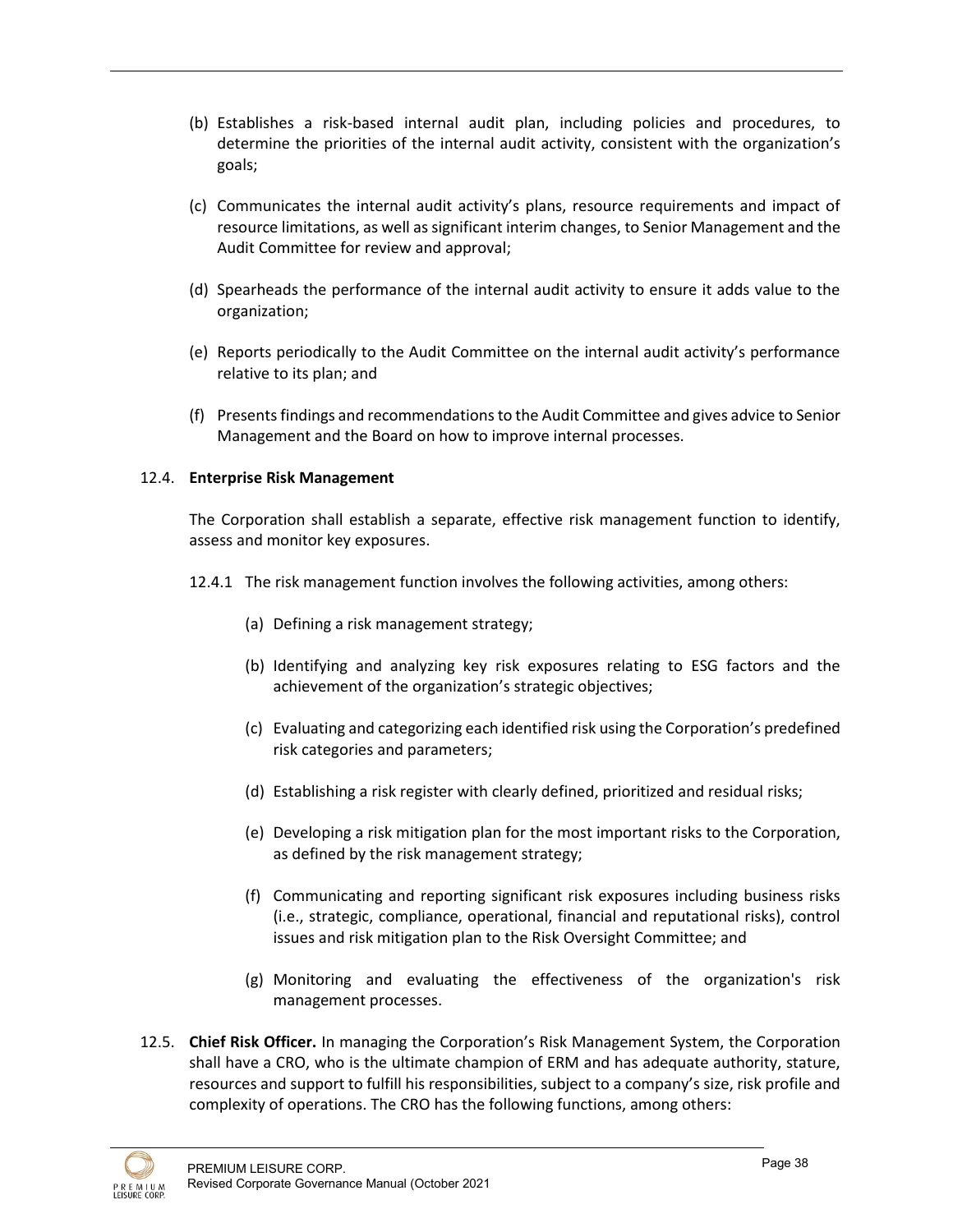- (b) Establishes a risk-based internal audit plan, including policies and procedures, to determine the priorities of the internal audit activity, consistent with the organization's goals;
- (c) Communicates the internal audit activity's plans, resource requirements and impact of resource limitations, as well as significant interim changes, to Senior Management and the Audit Committee for review and approval;
- (d) Spearheads the performance of the internal audit activity to ensure it adds value to the organization;
- (e) Reports periodically to the Audit Committee on the internal audit activity's performance relative to its plan; and
- (f) Presents findings and recommendations to the Audit Committee and gives advice to Senior Management and the Board on how to improve internal processes.

## 12.4. **Enterprise Risk Management**

The Corporation shall establish a separate, effective risk management function to identify, assess and monitor key exposures.

- 12.4.1 The risk management function involves the following activities, among others:
	- (a) Defining a risk management strategy;
	- (b) Identifying and analyzing key risk exposures relating to ESG factors and the achievement of the organization's strategic objectives;
	- (c) Evaluating and categorizing each identified risk using the Corporation's predefined risk categories and parameters;
	- (d) Establishing a risk register with clearly defined, prioritized and residual risks;
	- (e) Developing a risk mitigation plan for the most important risks to the Corporation, as defined by the risk management strategy;
	- (f) Communicating and reporting significant risk exposures including business risks (i.e., strategic, compliance, operational, financial and reputational risks), control issues and risk mitigation plan to the Risk Oversight Committee; and
	- (g) Monitoring and evaluating the effectiveness of the organization's risk management processes.
- 12.5. **Chief Risk Officer.** In managing the Corporation's Risk Management System, the Corporation shall have a CRO, who is the ultimate champion of ERM and has adequate authority, stature, resources and support to fulfill his responsibilities, subject to a company's size, risk profile and complexity of operations. The CRO has the following functions, among others:

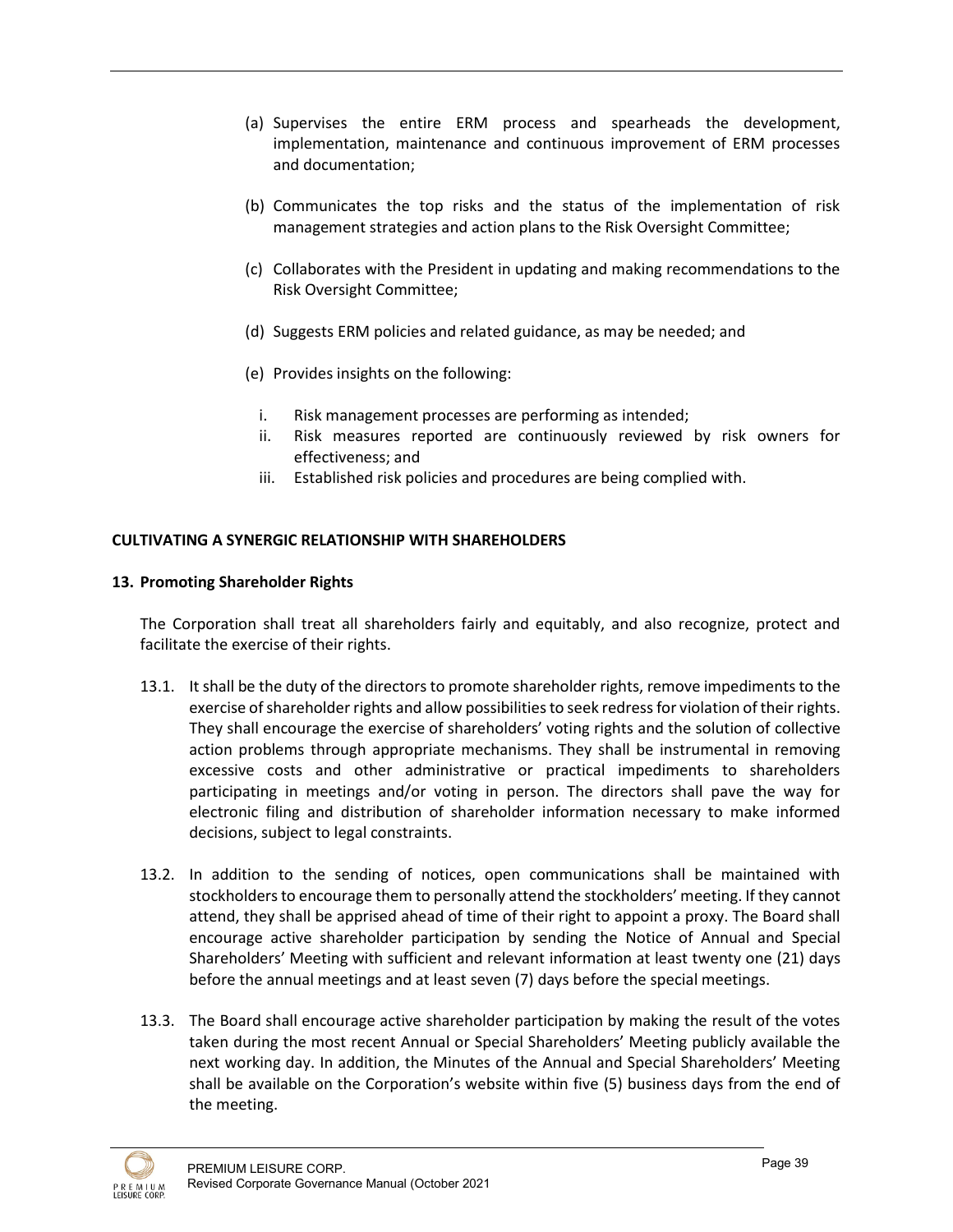- (a) Supervises the entire ERM process and spearheads the development, implementation, maintenance and continuous improvement of ERM processes and documentation;
- (b) Communicates the top risks and the status of the implementation of risk management strategies and action plans to the Risk Oversight Committee;
- (c) Collaborates with the President in updating and making recommendations to the Risk Oversight Committee;
- (d) Suggests ERM policies and related guidance, as may be needed; and
- (e) Provides insights on the following:
	- i. Risk management processes are performing as intended;
	- ii. Risk measures reported are continuously reviewed by risk owners for effectiveness; and
	- iii. Established risk policies and procedures are being complied with.

# **CULTIVATING A SYNERGIC RELATIONSHIP WITH SHAREHOLDERS**

## **13. Promoting Shareholder Rights**

The Corporation shall treat all shareholders fairly and equitably, and also recognize, protect and facilitate the exercise of their rights.

- 13.1. It shall be the duty of the directors to promote shareholder rights, remove impediments to the exercise of shareholder rights and allow possibilities to seek redress for violation of their rights. They shall encourage the exercise of shareholders' voting rights and the solution of collective action problems through appropriate mechanisms. They shall be instrumental in removing excessive costs and other administrative or practical impediments to shareholders participating in meetings and/or voting in person. The directors shall pave the way for electronic filing and distribution of shareholder information necessary to make informed decisions, subject to legal constraints.
- 13.2. In addition to the sending of notices, open communications shall be maintained with stockholders to encourage them to personally attend the stockholders' meeting. If they cannot attend, they shall be apprised ahead of time of their right to appoint a proxy. The Board shall encourage active shareholder participation by sending the Notice of Annual and Special Shareholders' Meeting with sufficient and relevant information at least twenty one (21) days before the annual meetings and at least seven (7) days before the special meetings.
- 13.3. The Board shall encourage active shareholder participation by making the result of the votes taken during the most recent Annual or Special Shareholders' Meeting publicly available the next working day. In addition, the Minutes of the Annual and Special Shareholders' Meeting shall be available on the Corporation's website within five (5) business days from the end of the meeting.

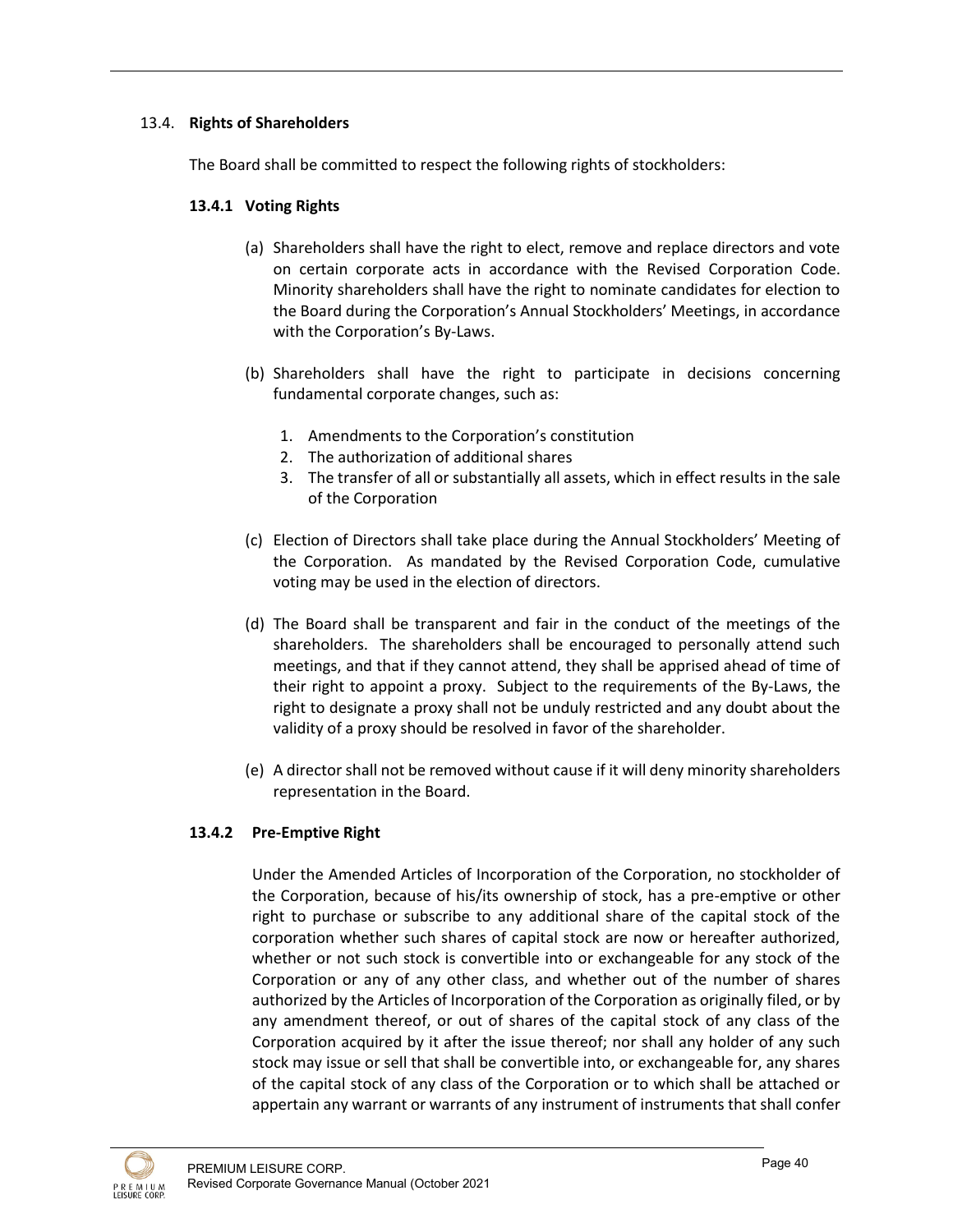# 13.4. **Rights of Shareholders**

The Board shall be committed to respect the following rights of stockholders:

# **13.4.1 Voting Rights**

- (a) Shareholders shall have the right to elect, remove and replace directors and vote on certain corporate acts in accordance with the Revised Corporation Code. Minority shareholders shall have the right to nominate candidates for election to the Board during the Corporation's Annual Stockholders' Meetings, in accordance with the Corporation's By-Laws.
- (b) Shareholders shall have the right to participate in decisions concerning fundamental corporate changes, such as:
	- 1. Amendments to the Corporation's constitution
	- 2. The authorization of additional shares
	- 3. The transfer of all or substantially all assets, which in effect results in the sale of the Corporation
- (c) Election of Directors shall take place during the Annual Stockholders' Meeting of the Corporation. As mandated by the Revised Corporation Code, cumulative voting may be used in the election of directors.
- (d) The Board shall be transparent and fair in the conduct of the meetings of the shareholders. The shareholders shall be encouraged to personally attend such meetings, and that if they cannot attend, they shall be apprised ahead of time of their right to appoint a proxy. Subject to the requirements of the By-Laws, the right to designate a proxy shall not be unduly restricted and any doubt about the validity of a proxy should be resolved in favor of the shareholder.
- (e) A director shall not be removed without cause if it will deny minority shareholders representation in the Board.

## **13.4.2 Pre-Emptive Right**

Under the Amended Articles of Incorporation of the Corporation, no stockholder of the Corporation, because of his/its ownership of stock, has a pre-emptive or other right to purchase or subscribe to any additional share of the capital stock of the corporation whether such shares of capital stock are now or hereafter authorized, whether or not such stock is convertible into or exchangeable for any stock of the Corporation or any of any other class, and whether out of the number of shares authorized by the Articles of Incorporation of the Corporation as originally filed, or by any amendment thereof, or out of shares of the capital stock of any class of the Corporation acquired by it after the issue thereof; nor shall any holder of any such stock may issue or sell that shall be convertible into, or exchangeable for, any shares of the capital stock of any class of the Corporation or to which shall be attached or appertain any warrant or warrants of any instrument of instruments that shall confer

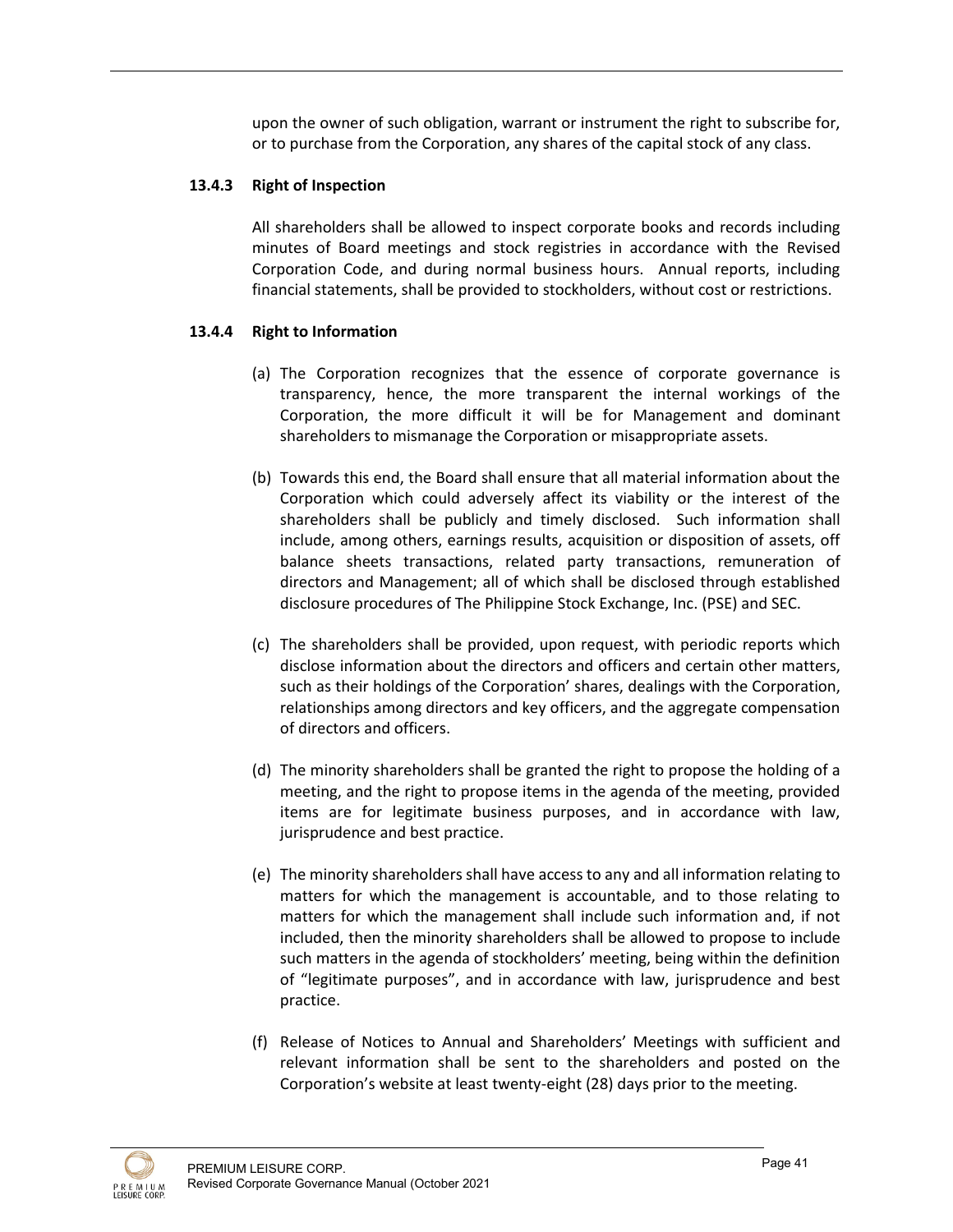upon the owner of such obligation, warrant or instrument the right to subscribe for, or to purchase from the Corporation, any shares of the capital stock of any class.

# **13.4.3 Right of Inspection**

All shareholders shall be allowed to inspect corporate books and records including minutes of Board meetings and stock registries in accordance with the Revised Corporation Code, and during normal business hours. Annual reports, including financial statements, shall be provided to stockholders, without cost or restrictions.

# **13.4.4 Right to Information**

- (a) The Corporation recognizes that the essence of corporate governance is transparency, hence, the more transparent the internal workings of the Corporation, the more difficult it will be for Management and dominant shareholders to mismanage the Corporation or misappropriate assets.
- (b) Towards this end, the Board shall ensure that all material information about the Corporation which could adversely affect its viability or the interest of the shareholders shall be publicly and timely disclosed. Such information shall include, among others, earnings results, acquisition or disposition of assets, off balance sheets transactions, related party transactions, remuneration of directors and Management; all of which shall be disclosed through established disclosure procedures of The Philippine Stock Exchange, Inc. (PSE) and SEC.
- (c) The shareholders shall be provided, upon request, with periodic reports which disclose information about the directors and officers and certain other matters, such as their holdings of the Corporation' shares, dealings with the Corporation, relationships among directors and key officers, and the aggregate compensation of directors and officers.
- (d) The minority shareholders shall be granted the right to propose the holding of a meeting, and the right to propose items in the agenda of the meeting, provided items are for legitimate business purposes, and in accordance with law, jurisprudence and best practice.
- (e) The minority shareholders shall have access to any and all information relating to matters for which the management is accountable, and to those relating to matters for which the management shall include such information and, if not included, then the minority shareholders shall be allowed to propose to include such matters in the agenda of stockholders' meeting, being within the definition of "legitimate purposes", and in accordance with law, jurisprudence and best practice.
- (f) Release of Notices to Annual and Shareholders' Meetings with sufficient and relevant information shall be sent to the shareholders and posted on the Corporation's website at least twenty-eight (28) days prior to the meeting.

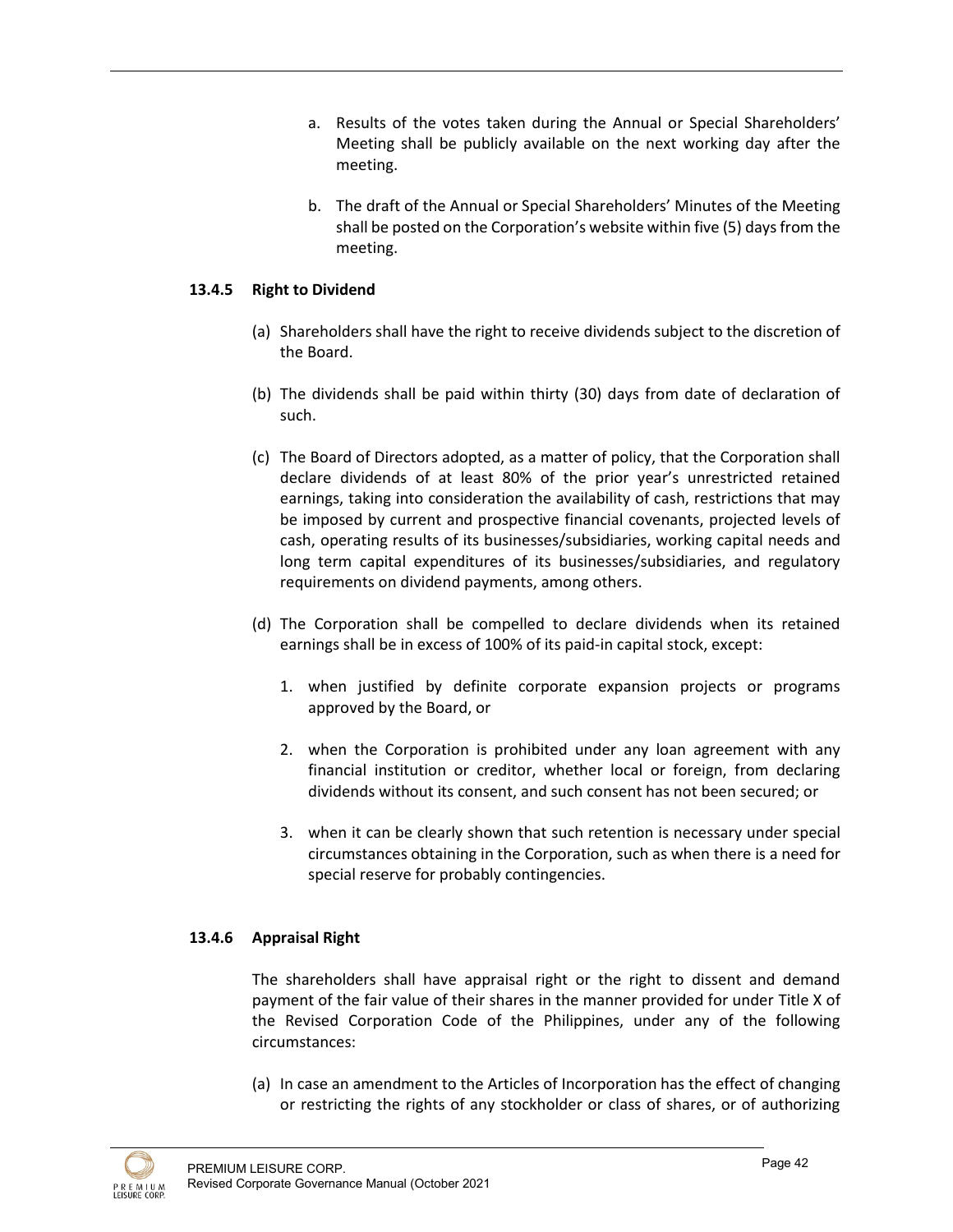- a. Results of the votes taken during the Annual or Special Shareholders' Meeting shall be publicly available on the next working day after the meeting.
- b. The draft of the Annual or Special Shareholders' Minutes of the Meeting shall be posted on the Corporation's website within five (5) days from the meeting.

## **13.4.5 Right to Dividend**

- (a) Shareholders shall have the right to receive dividends subject to the discretion of the Board.
- (b) The dividends shall be paid within thirty (30) days from date of declaration of such.
- (c) The Board of Directors adopted, as a matter of policy, that the Corporation shall declare dividends of at least 80% of the prior year's unrestricted retained earnings, taking into consideration the availability of cash, restrictions that may be imposed by current and prospective financial covenants, projected levels of cash, operating results of its businesses/subsidiaries, working capital needs and long term capital expenditures of its businesses/subsidiaries, and regulatory requirements on dividend payments, among others.
- (d) The Corporation shall be compelled to declare dividends when its retained earnings shall be in excess of 100% of its paid-in capital stock, except:
	- 1. when justified by definite corporate expansion projects or programs approved by the Board, or
	- 2. when the Corporation is prohibited under any loan agreement with any financial institution or creditor, whether local or foreign, from declaring dividends without its consent, and such consent has not been secured; or
	- 3. when it can be clearly shown that such retention is necessary under special circumstances obtaining in the Corporation, such as when there is a need for special reserve for probably contingencies.

## **13.4.6 Appraisal Right**

The shareholders shall have appraisal right or the right to dissent and demand payment of the fair value of their shares in the manner provided for under Title X of the Revised Corporation Code of the Philippines, under any of the following circumstances:

(a) In case an amendment to the Articles of Incorporation has the effect of changing or restricting the rights of any stockholder or class of shares, or of authorizing

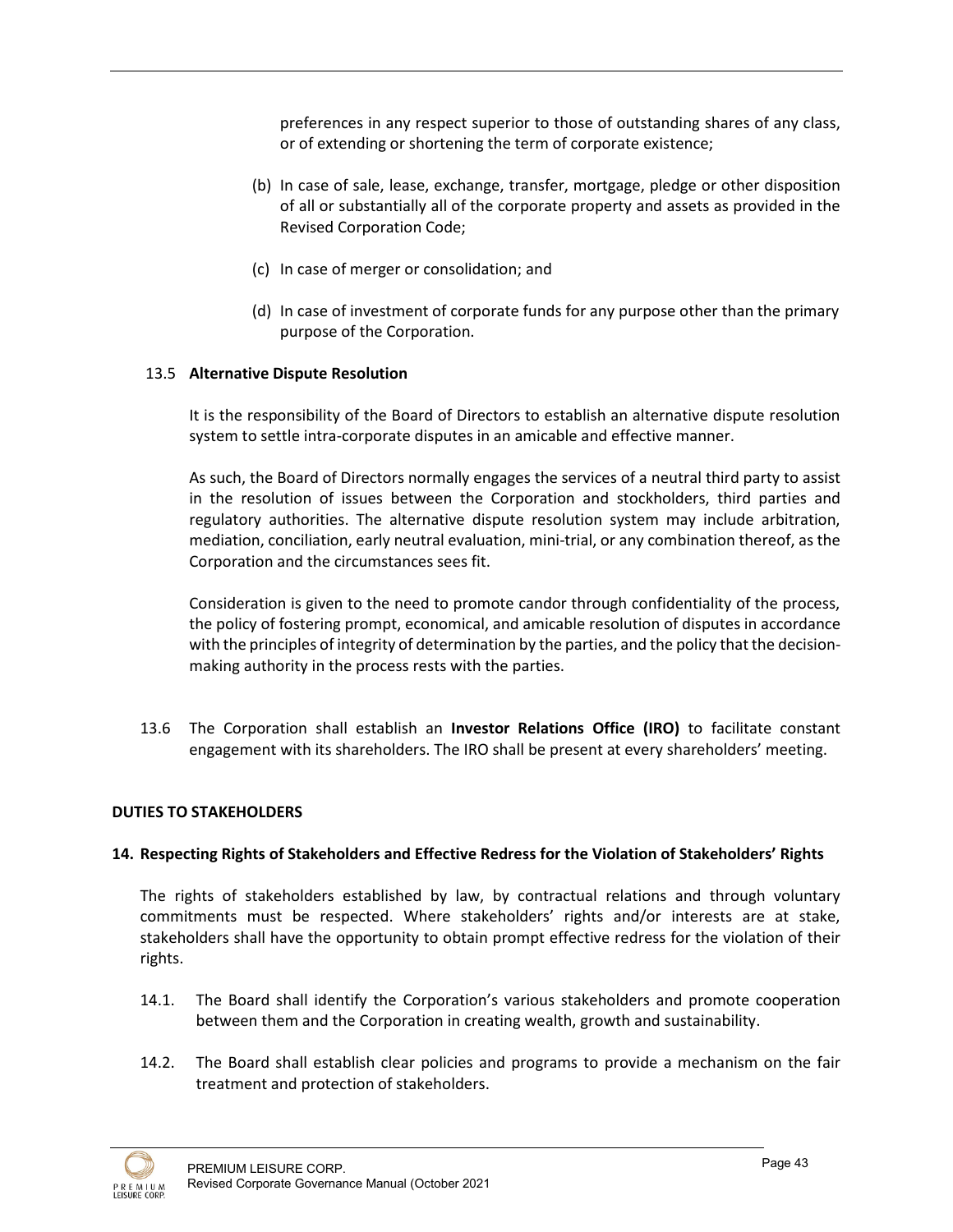preferences in any respect superior to those of outstanding shares of any class, or of extending or shortening the term of corporate existence;

- (b) In case of sale, lease, exchange, transfer, mortgage, pledge or other disposition of all or substantially all of the corporate property and assets as provided in the Revised Corporation Code;
- (c) In case of merger or consolidation; and
- (d) In case of investment of corporate funds for any purpose other than the primary purpose of the Corporation.

# 13.5 **Alternative Dispute Resolution**

It is the responsibility of the Board of Directors to establish an alternative dispute resolution system to settle intra-corporate disputes in an amicable and effective manner.

As such, the Board of Directors normally engages the services of a neutral third party to assist in the resolution of issues between the Corporation and stockholders, third parties and regulatory authorities. The alternative dispute resolution system may include arbitration, mediation, conciliation, early neutral evaluation, mini-trial, or any combination thereof, as the Corporation and the circumstances sees fit.

Consideration is given to the need to promote candor through confidentiality of the process, the policy of fostering prompt, economical, and amicable resolution of disputes in accordance with the principles of integrity of determination by the parties, and the policy that the decisionmaking authority in the process rests with the parties.

13.6 The Corporation shall establish an **Investor Relations Office (IRO)** to facilitate constant engagement with its shareholders. The IRO shall be present at every shareholders' meeting.

## **DUTIES TO STAKEHOLDERS**

## **14. Respecting Rights of Stakeholders and Effective Redress for the Violation of Stakeholders' Rights**

The rights of stakeholders established by law, by contractual relations and through voluntary commitments must be respected. Where stakeholders' rights and/or interests are at stake, stakeholders shall have the opportunity to obtain prompt effective redress for the violation of their rights.

- 14.1. The Board shall identify the Corporation's various stakeholders and promote cooperation between them and the Corporation in creating wealth, growth and sustainability.
- 14.2. The Board shall establish clear policies and programs to provide a mechanism on the fair treatment and protection of stakeholders.

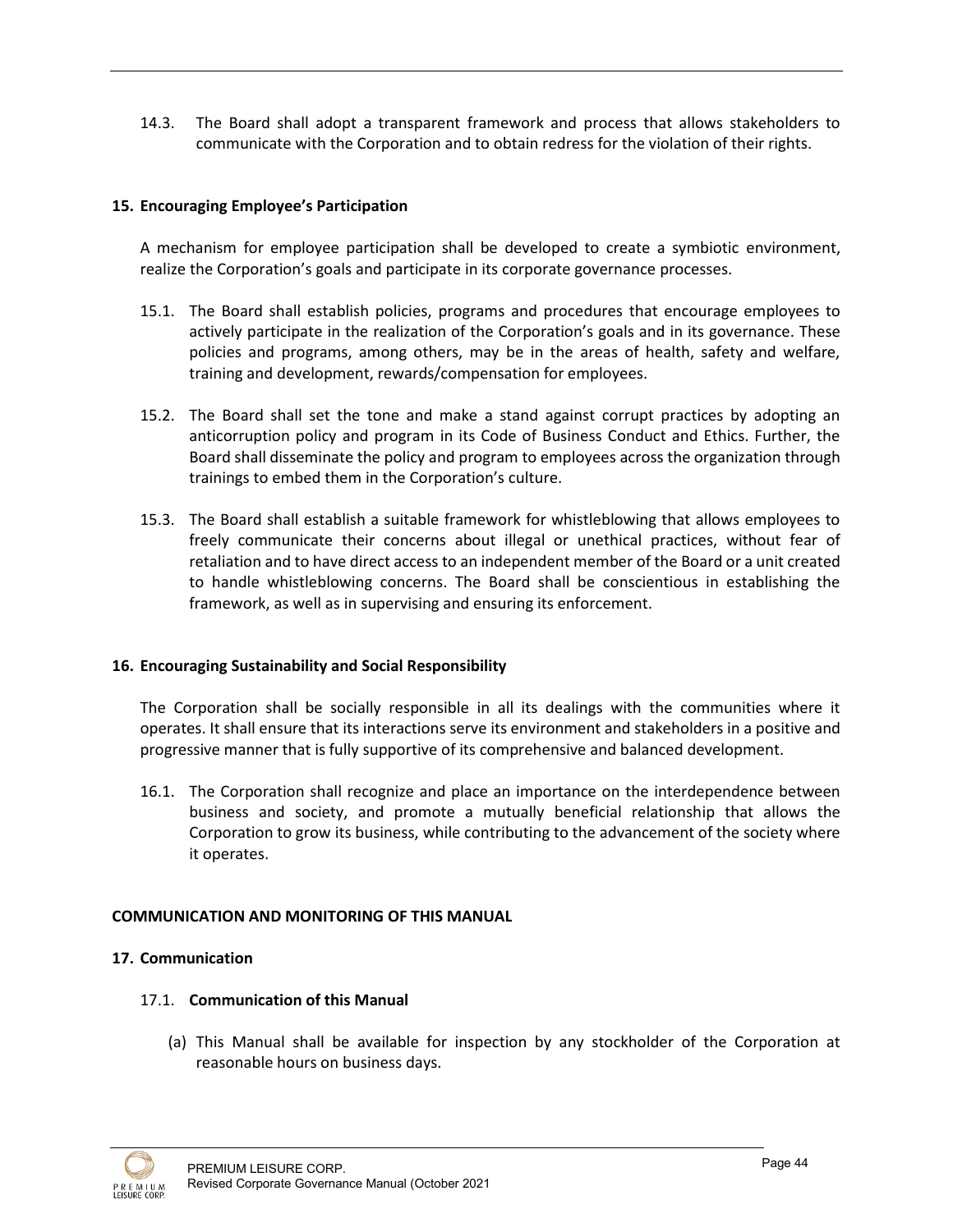14.3. The Board shall adopt a transparent framework and process that allows stakeholders to communicate with the Corporation and to obtain redress for the violation of their rights.

## **15. Encouraging Employee's Participation**

A mechanism for employee participation shall be developed to create a symbiotic environment, realize the Corporation's goals and participate in its corporate governance processes.

- 15.1. The Board shall establish policies, programs and procedures that encourage employees to actively participate in the realization of the Corporation's goals and in its governance. These policies and programs, among others, may be in the areas of health, safety and welfare, training and development, rewards/compensation for employees.
- 15.2. The Board shall set the tone and make a stand against corrupt practices by adopting an anticorruption policy and program in its Code of Business Conduct and Ethics. Further, the Board shall disseminate the policy and program to employees across the organization through trainings to embed them in the Corporation's culture.
- 15.3. The Board shall establish a suitable framework for whistleblowing that allows employees to freely communicate their concerns about illegal or unethical practices, without fear of retaliation and to have direct access to an independent member of the Board or a unit created to handle whistleblowing concerns. The Board shall be conscientious in establishing the framework, as well as in supervising and ensuring its enforcement.

#### **16. Encouraging Sustainability and Social Responsibility**

The Corporation shall be socially responsible in all its dealings with the communities where it operates. It shall ensure that its interactions serve its environment and stakeholders in a positive and progressive manner that is fully supportive of its comprehensive and balanced development.

16.1. The Corporation shall recognize and place an importance on the interdependence between business and society, and promote a mutually beneficial relationship that allows the Corporation to grow its business, while contributing to the advancement of the society where it operates.

## **COMMUNICATION AND MONITORING OF THIS MANUAL**

## **17. Communication**

- 17.1. **Communication of this Manual**
	- (a) This Manual shall be available for inspection by any stockholder of the Corporation at reasonable hours on business days.

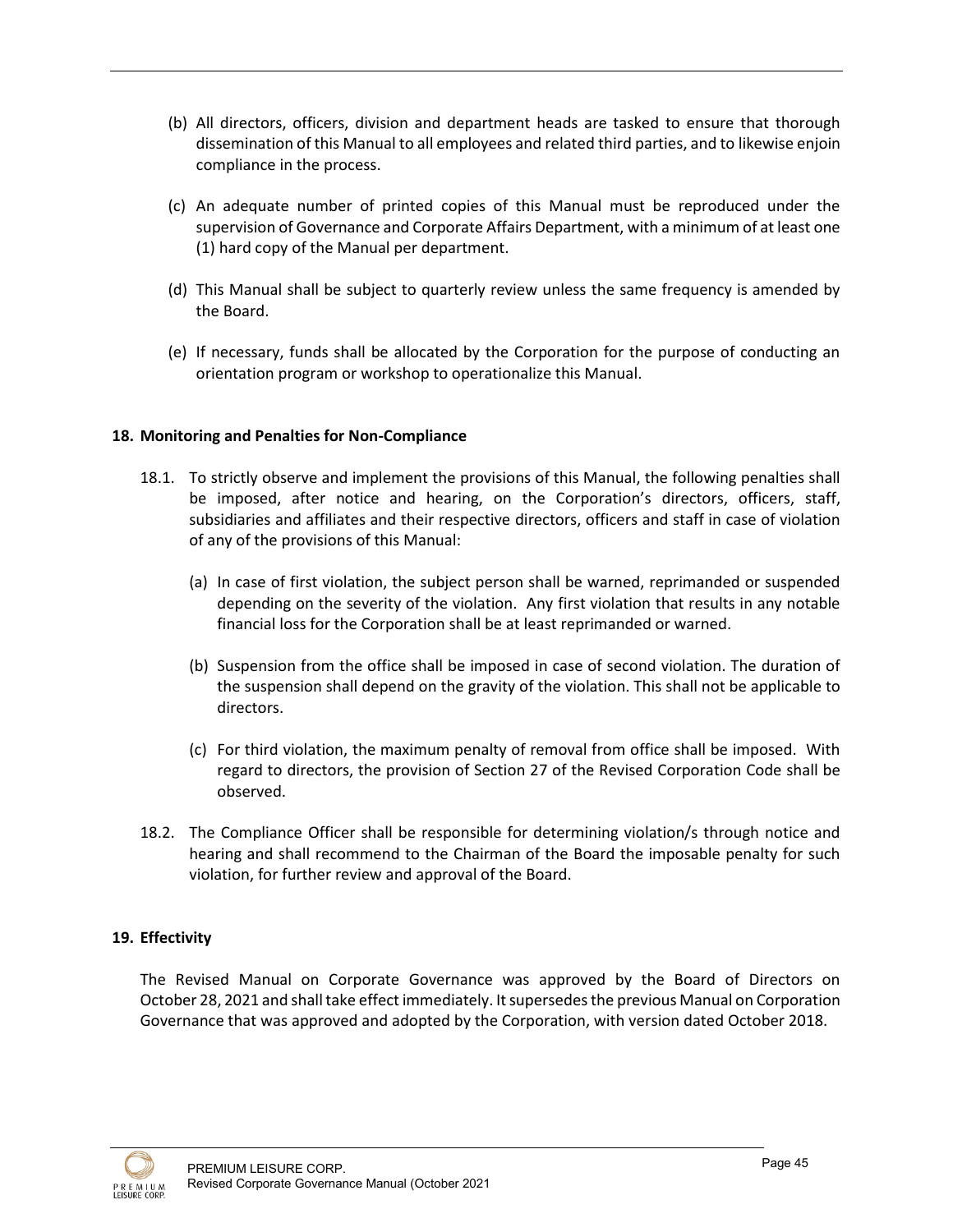- (b) All directors, officers, division and department heads are tasked to ensure that thorough dissemination of this Manual to all employees and related third parties, and to likewise enjoin compliance in the process.
- (c) An adequate number of printed copies of this Manual must be reproduced under the supervision of Governance and Corporate Affairs Department, with a minimum of at least one (1) hard copy of the Manual per department.
- (d) This Manual shall be subject to quarterly review unless the same frequency is amended by the Board.
- (e) If necessary, funds shall be allocated by the Corporation for the purpose of conducting an orientation program or workshop to operationalize this Manual.

## **18. Monitoring and Penalties for Non-Compliance**

- 18.1. To strictly observe and implement the provisions of this Manual, the following penalties shall be imposed, after notice and hearing, on the Corporation's directors, officers, staff, subsidiaries and affiliates and their respective directors, officers and staff in case of violation of any of the provisions of this Manual:
	- (a) In case of first violation, the subject person shall be warned, reprimanded or suspended depending on the severity of the violation. Any first violation that results in any notable financial loss for the Corporation shall be at least reprimanded or warned.
	- (b) Suspension from the office shall be imposed in case of second violation. The duration of the suspension shall depend on the gravity of the violation. This shall not be applicable to directors.
	- (c) For third violation, the maximum penalty of removal from office shall be imposed. With regard to directors, the provision of Section 27 of the Revised Corporation Code shall be observed.
- 18.2. The Compliance Officer shall be responsible for determining violation/s through notice and hearing and shall recommend to the Chairman of the Board the imposable penalty for such violation, for further review and approval of the Board.

#### **19. Effectivity**

The Revised Manual on Corporate Governance was approved by the Board of Directors on October 28, 2021 and shall take effect immediately. It supersedes the previous Manual on Corporation Governance that was approved and adopted by the Corporation, with version dated October 2018.